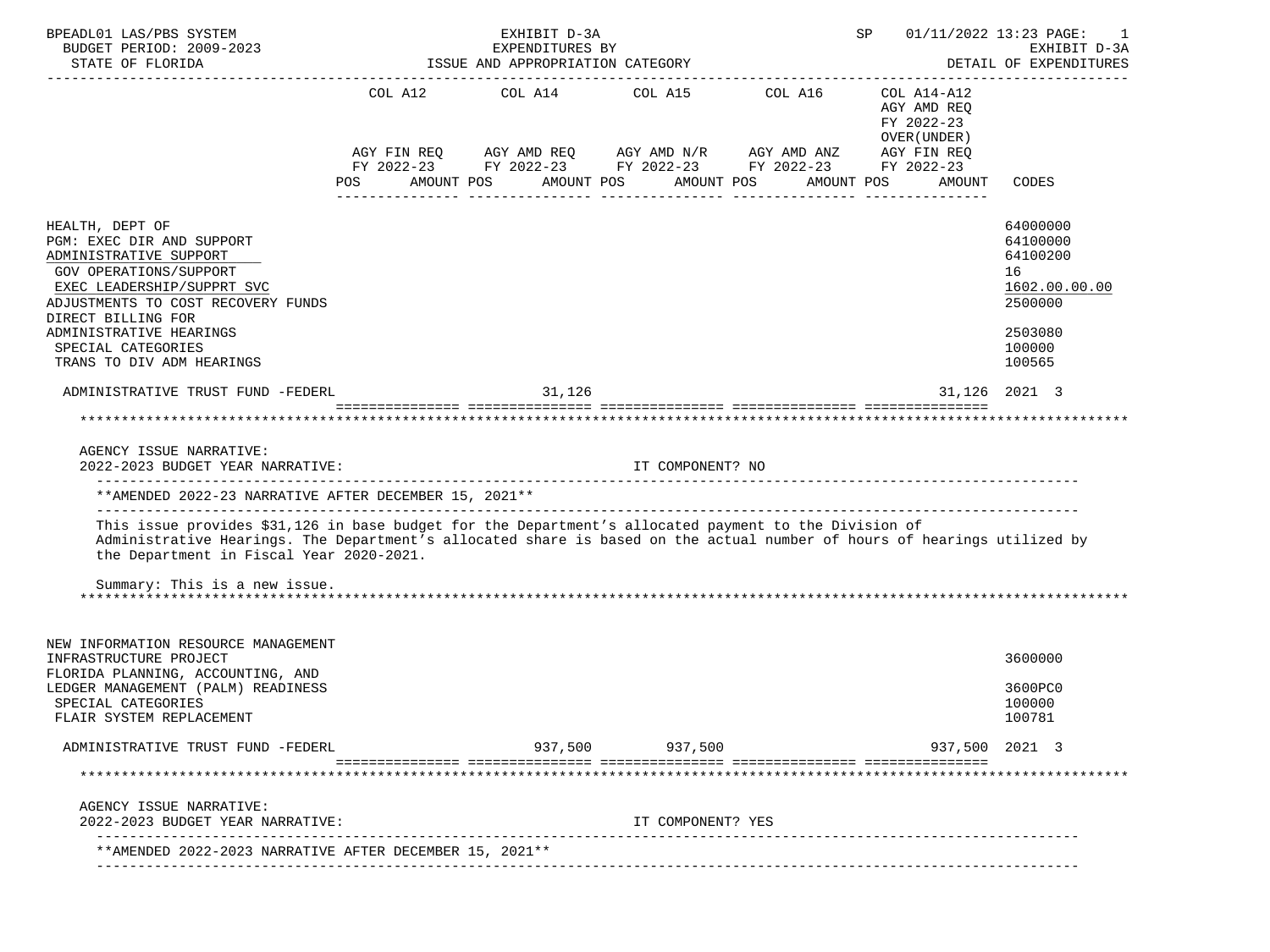| ISSUE AND APPROPRIATION CATEGORY<br>DETAIL OF EXPENDITURES<br>STATE OF FLORIDA<br>COL A12 COL A14 COL A15 COL A16<br>COL A14-A12<br>AGY AMD REO<br>FY 2022-23<br>OVER (UNDER)<br>AGY FIN REQ AGY AMD REQ AGY AMD N/R AGY AMD ANZ AGY FIN REQ<br>FY 2022-23 FY 2022-23 FY 2022-23 FY 2022-23 FY 2022-23<br>AMOUNT POS<br>AMOUNT POS<br>AMOUNT POS<br><b>POS</b><br>AMOUNT POS<br>AMOUNT<br>CODES<br>64000000<br>64100000<br>64100200<br>16<br>2500000<br>ADMINISTRATIVE HEARINGS<br>2503080<br>SPECIAL CATEGORIES<br>100000<br>TRANS TO DIV ADM HEARINGS<br>100565<br>31,126<br>ADMINISTRATIVE TRUST FUND -FEDERL<br>31,126 2021 3<br>AGENCY ISSUE NARRATIVE:<br>2022-2023 BUDGET YEAR NARRATIVE:<br>IT COMPONENT? NO<br>** AMENDED 2022-23 NARRATIVE AFTER DECEMBER 15, 2021 **<br>This issue provides \$31,126 in base budget for the Department's allocated payment to the Division of<br>Administrative Hearings. The Department's allocated share is based on the actual number of hours of hearings utilized by<br>the Department in Fiscal Year 2020-2021.<br>Summary: This is a new issue.<br>NEW INFORMATION RESOURCE MANAGEMENT<br>3600000<br>3600PC0<br>100000<br>100781<br>937,500<br>937,500<br>ADMINISTRATIVE TRUST FUND -FEDERL<br>937,500 2021 3<br>AGENCY ISSUE NARRATIVE:<br>2022-2023 BUDGET YEAR NARRATIVE:<br>IT COMPONENT? YES<br>**AMENDED 2022-2023 NARRATIVE AFTER DECEMBER 15, 2021** | BPEADL01 LAS/PBS SYSTEM<br>BUDGET PERIOD: 2009-2023                                                                       |  | EXHIBIT D-3A<br>EXPENDITURES BY |  |  | SP | 01/11/2022 13:23 PAGE:<br>EXHIBIT D-3A |  |
|----------------------------------------------------------------------------------------------------------------------------------------------------------------------------------------------------------------------------------------------------------------------------------------------------------------------------------------------------------------------------------------------------------------------------------------------------------------------------------------------------------------------------------------------------------------------------------------------------------------------------------------------------------------------------------------------------------------------------------------------------------------------------------------------------------------------------------------------------------------------------------------------------------------------------------------------------------------------------------------------------------------------------------------------------------------------------------------------------------------------------------------------------------------------------------------------------------------------------------------------------------------------------------------------------------------------------------------------------------------------------------------------------------------|---------------------------------------------------------------------------------------------------------------------------|--|---------------------------------|--|--|----|----------------------------------------|--|
|                                                                                                                                                                                                                                                                                                                                                                                                                                                                                                                                                                                                                                                                                                                                                                                                                                                                                                                                                                                                                                                                                                                                                                                                                                                                                                                                                                                                                |                                                                                                                           |  |                                 |  |  |    |                                        |  |
|                                                                                                                                                                                                                                                                                                                                                                                                                                                                                                                                                                                                                                                                                                                                                                                                                                                                                                                                                                                                                                                                                                                                                                                                                                                                                                                                                                                                                |                                                                                                                           |  |                                 |  |  |    |                                        |  |
|                                                                                                                                                                                                                                                                                                                                                                                                                                                                                                                                                                                                                                                                                                                                                                                                                                                                                                                                                                                                                                                                                                                                                                                                                                                                                                                                                                                                                |                                                                                                                           |  |                                 |  |  |    |                                        |  |
|                                                                                                                                                                                                                                                                                                                                                                                                                                                                                                                                                                                                                                                                                                                                                                                                                                                                                                                                                                                                                                                                                                                                                                                                                                                                                                                                                                                                                | HEALTH, DEPT OF                                                                                                           |  |                                 |  |  |    |                                        |  |
|                                                                                                                                                                                                                                                                                                                                                                                                                                                                                                                                                                                                                                                                                                                                                                                                                                                                                                                                                                                                                                                                                                                                                                                                                                                                                                                                                                                                                | PGM: EXEC DIR AND SUPPORT                                                                                                 |  |                                 |  |  |    |                                        |  |
|                                                                                                                                                                                                                                                                                                                                                                                                                                                                                                                                                                                                                                                                                                                                                                                                                                                                                                                                                                                                                                                                                                                                                                                                                                                                                                                                                                                                                | ADMINISTRATIVE SUPPORT                                                                                                    |  |                                 |  |  |    |                                        |  |
|                                                                                                                                                                                                                                                                                                                                                                                                                                                                                                                                                                                                                                                                                                                                                                                                                                                                                                                                                                                                                                                                                                                                                                                                                                                                                                                                                                                                                | <b>GOV OPERATIONS/SUPPORT</b>                                                                                             |  |                                 |  |  |    |                                        |  |
|                                                                                                                                                                                                                                                                                                                                                                                                                                                                                                                                                                                                                                                                                                                                                                                                                                                                                                                                                                                                                                                                                                                                                                                                                                                                                                                                                                                                                | EXEC LEADERSHIP/SUPPRT SVC                                                                                                |  |                                 |  |  |    | 1602.00.00.00                          |  |
|                                                                                                                                                                                                                                                                                                                                                                                                                                                                                                                                                                                                                                                                                                                                                                                                                                                                                                                                                                                                                                                                                                                                                                                                                                                                                                                                                                                                                | ADJUSTMENTS TO COST RECOVERY FUNDS                                                                                        |  |                                 |  |  |    |                                        |  |
|                                                                                                                                                                                                                                                                                                                                                                                                                                                                                                                                                                                                                                                                                                                                                                                                                                                                                                                                                                                                                                                                                                                                                                                                                                                                                                                                                                                                                | DIRECT BILLING FOR                                                                                                        |  |                                 |  |  |    |                                        |  |
|                                                                                                                                                                                                                                                                                                                                                                                                                                                                                                                                                                                                                                                                                                                                                                                                                                                                                                                                                                                                                                                                                                                                                                                                                                                                                                                                                                                                                |                                                                                                                           |  |                                 |  |  |    |                                        |  |
|                                                                                                                                                                                                                                                                                                                                                                                                                                                                                                                                                                                                                                                                                                                                                                                                                                                                                                                                                                                                                                                                                                                                                                                                                                                                                                                                                                                                                |                                                                                                                           |  |                                 |  |  |    |                                        |  |
|                                                                                                                                                                                                                                                                                                                                                                                                                                                                                                                                                                                                                                                                                                                                                                                                                                                                                                                                                                                                                                                                                                                                                                                                                                                                                                                                                                                                                |                                                                                                                           |  |                                 |  |  |    |                                        |  |
|                                                                                                                                                                                                                                                                                                                                                                                                                                                                                                                                                                                                                                                                                                                                                                                                                                                                                                                                                                                                                                                                                                                                                                                                                                                                                                                                                                                                                |                                                                                                                           |  |                                 |  |  |    |                                        |  |
|                                                                                                                                                                                                                                                                                                                                                                                                                                                                                                                                                                                                                                                                                                                                                                                                                                                                                                                                                                                                                                                                                                                                                                                                                                                                                                                                                                                                                |                                                                                                                           |  |                                 |  |  |    |                                        |  |
|                                                                                                                                                                                                                                                                                                                                                                                                                                                                                                                                                                                                                                                                                                                                                                                                                                                                                                                                                                                                                                                                                                                                                                                                                                                                                                                                                                                                                |                                                                                                                           |  |                                 |  |  |    |                                        |  |
|                                                                                                                                                                                                                                                                                                                                                                                                                                                                                                                                                                                                                                                                                                                                                                                                                                                                                                                                                                                                                                                                                                                                                                                                                                                                                                                                                                                                                |                                                                                                                           |  |                                 |  |  |    |                                        |  |
|                                                                                                                                                                                                                                                                                                                                                                                                                                                                                                                                                                                                                                                                                                                                                                                                                                                                                                                                                                                                                                                                                                                                                                                                                                                                                                                                                                                                                |                                                                                                                           |  |                                 |  |  |    |                                        |  |
|                                                                                                                                                                                                                                                                                                                                                                                                                                                                                                                                                                                                                                                                                                                                                                                                                                                                                                                                                                                                                                                                                                                                                                                                                                                                                                                                                                                                                | INFRASTRUCTURE PROJECT                                                                                                    |  |                                 |  |  |    |                                        |  |
|                                                                                                                                                                                                                                                                                                                                                                                                                                                                                                                                                                                                                                                                                                                                                                                                                                                                                                                                                                                                                                                                                                                                                                                                                                                                                                                                                                                                                |                                                                                                                           |  |                                 |  |  |    |                                        |  |
|                                                                                                                                                                                                                                                                                                                                                                                                                                                                                                                                                                                                                                                                                                                                                                                                                                                                                                                                                                                                                                                                                                                                                                                                                                                                                                                                                                                                                |                                                                                                                           |  |                                 |  |  |    |                                        |  |
|                                                                                                                                                                                                                                                                                                                                                                                                                                                                                                                                                                                                                                                                                                                                                                                                                                                                                                                                                                                                                                                                                                                                                                                                                                                                                                                                                                                                                | FLORIDA PLANNING, ACCOUNTING, AND<br>LEDGER MANAGEMENT (PALM) READINESS<br>SPECIAL CATEGORIES<br>FLAIR SYSTEM REPLACEMENT |  |                                 |  |  |    |                                        |  |
|                                                                                                                                                                                                                                                                                                                                                                                                                                                                                                                                                                                                                                                                                                                                                                                                                                                                                                                                                                                                                                                                                                                                                                                                                                                                                                                                                                                                                |                                                                                                                           |  |                                 |  |  |    |                                        |  |
|                                                                                                                                                                                                                                                                                                                                                                                                                                                                                                                                                                                                                                                                                                                                                                                                                                                                                                                                                                                                                                                                                                                                                                                                                                                                                                                                                                                                                |                                                                                                                           |  |                                 |  |  |    |                                        |  |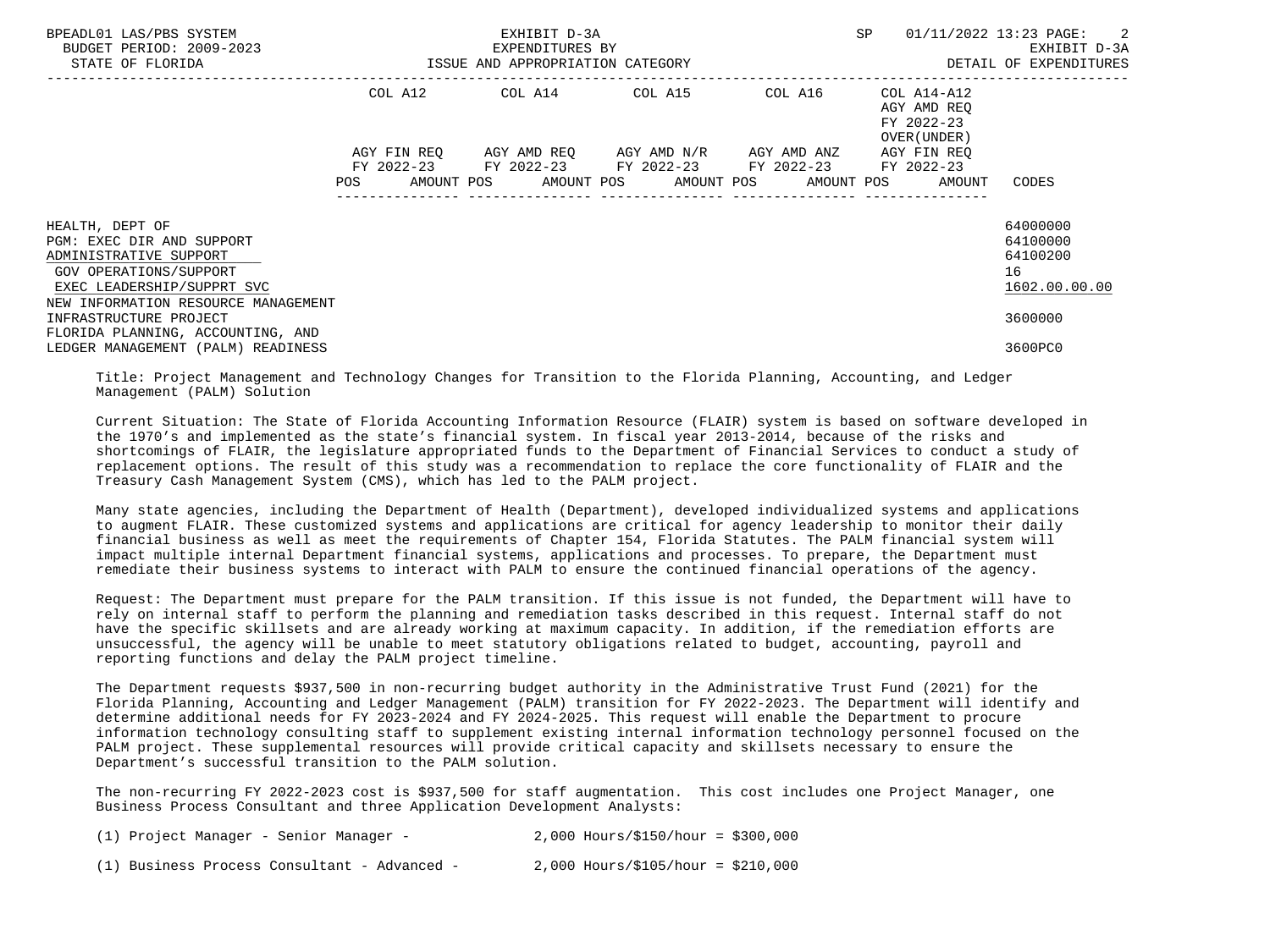| BPEADL01 LAS/PBS SYSTEM<br>BUDGET PERIOD: 2009-2023<br>STATE OF FLORIDA                                                                                               |                                                                                                                               | EXHIBIT D-3A<br>EXPENDITURES BY<br>ISSUE AND APPROPRIATION CATEGORY | SP                                                                                 | 01/11/2022 13:23 PAGE: 2<br>EXHIBIT D-3A<br>DETAIL OF EXPENDITURES              |                                                         |
|-----------------------------------------------------------------------------------------------------------------------------------------------------------------------|-------------------------------------------------------------------------------------------------------------------------------|---------------------------------------------------------------------|------------------------------------------------------------------------------------|---------------------------------------------------------------------------------|---------------------------------------------------------|
|                                                                                                                                                                       |                                                                                                                               |                                                                     | COL A12 COL A14 COL A15 COL A16                                                    | COL A14-A12<br>AGY AMD REO<br>FY 2022-23<br>OVER (UNDER)                        |                                                         |
|                                                                                                                                                                       | AGY FIN REO<br>POS FOR THE POST OF THE STATE STATE STATE STATE STATE STATE STATE STATE STATE STATE STATE STATE STATE STATE ST |                                                                     | AGY AMD REO AGY AMD N/R AGY AMD ANZ<br>FY 2022-23 FY 2022-23 FY 2022-23 FY 2022-23 | AGY FIN REO<br>FY 2022-23<br>AMOUNT POS AMOUNT POS AMOUNT POS AMOUNT POS AMOUNT | CODES                                                   |
| HEALTH, DEPT OF<br>PGM: EXEC DIR AND SUPPORT<br>ADMINISTRATIVE SUPPORT<br>GOV OPERATIONS/SUPPORT<br>EXEC LEADERSHIP/SUPPRT SVC<br>NEW INFORMATION RESOURCE MANAGEMENT |                                                                                                                               |                                                                     |                                                                                    |                                                                                 | 64000000<br>64100000<br>64100200<br>16<br>1602.00.00.00 |
| INFRASTRUCTURE PROJECT<br>FLORIDA PLANNING, ACCOUNTING, AND<br>LEDGER MANAGEMENT (PALM) READINESS                                                                     |                                                                                                                               |                                                                     |                                                                                    |                                                                                 | 3600000<br>3600PC0                                      |

 Title: Project Management and Technology Changes for Transition to the Florida Planning, Accounting, and Ledger Management (PALM) Solution

 Current Situation: The State of Florida Accounting Information Resource (FLAIR) system is based on software developed in the 1970's and implemented as the state's financial system. In fiscal year 2013-2014, because of the risks and shortcomings of FLAIR, the legislature appropriated funds to the Department of Financial Services to conduct a study of replacement options. The result of this study was a recommendation to replace the core functionality of FLAIR and the Treasury Cash Management System (CMS), which has led to the PALM project.

 Many state agencies, including the Department of Health (Department), developed individualized systems and applications to augment FLAIR. These customized systems and applications are critical for agency leadership to monitor their daily financial business as well as meet the requirements of Chapter 154, Florida Statutes. The PALM financial system will impact multiple internal Department financial systems, applications and processes. To prepare, the Department must remediate their business systems to interact with PALM to ensure the continued financial operations of the agency.

 Request: The Department must prepare for the PALM transition. If this issue is not funded, the Department will have to rely on internal staff to perform the planning and remediation tasks described in this request. Internal staff do not have the specific skillsets and are already working at maximum capacity. In addition, if the remediation efforts are unsuccessful, the agency will be unable to meet statutory obligations related to budget, accounting, payroll and reporting functions and delay the PALM project timeline.

 The Department requests \$937,500 in non-recurring budget authority in the Administrative Trust Fund (2021) for the Florida Planning, Accounting and Ledger Management (PALM) transition for FY 2022-2023. The Department will identify and determine additional needs for FY 2023-2024 and FY 2024-2025. This request will enable the Department to procure information technology consulting staff to supplement existing internal information technology personnel focused on the PALM project. These supplemental resources will provide critical capacity and skillsets necessary to ensure the Department's successful transition to the PALM solution.

 The non-recurring FY 2022-2023 cost is \$937,500 for staff augmentation. This cost includes one Project Manager, one Business Process Consultant and three Application Development Analysts:

| (1) Project Manager - Senior Manager -       | $2,000$ Hours/\$150/hour = \$300,000 |
|----------------------------------------------|--------------------------------------|
| (1) Business Process Consultant - Advanced - | $2,000$ Hours/\$105/hour = \$210,000 |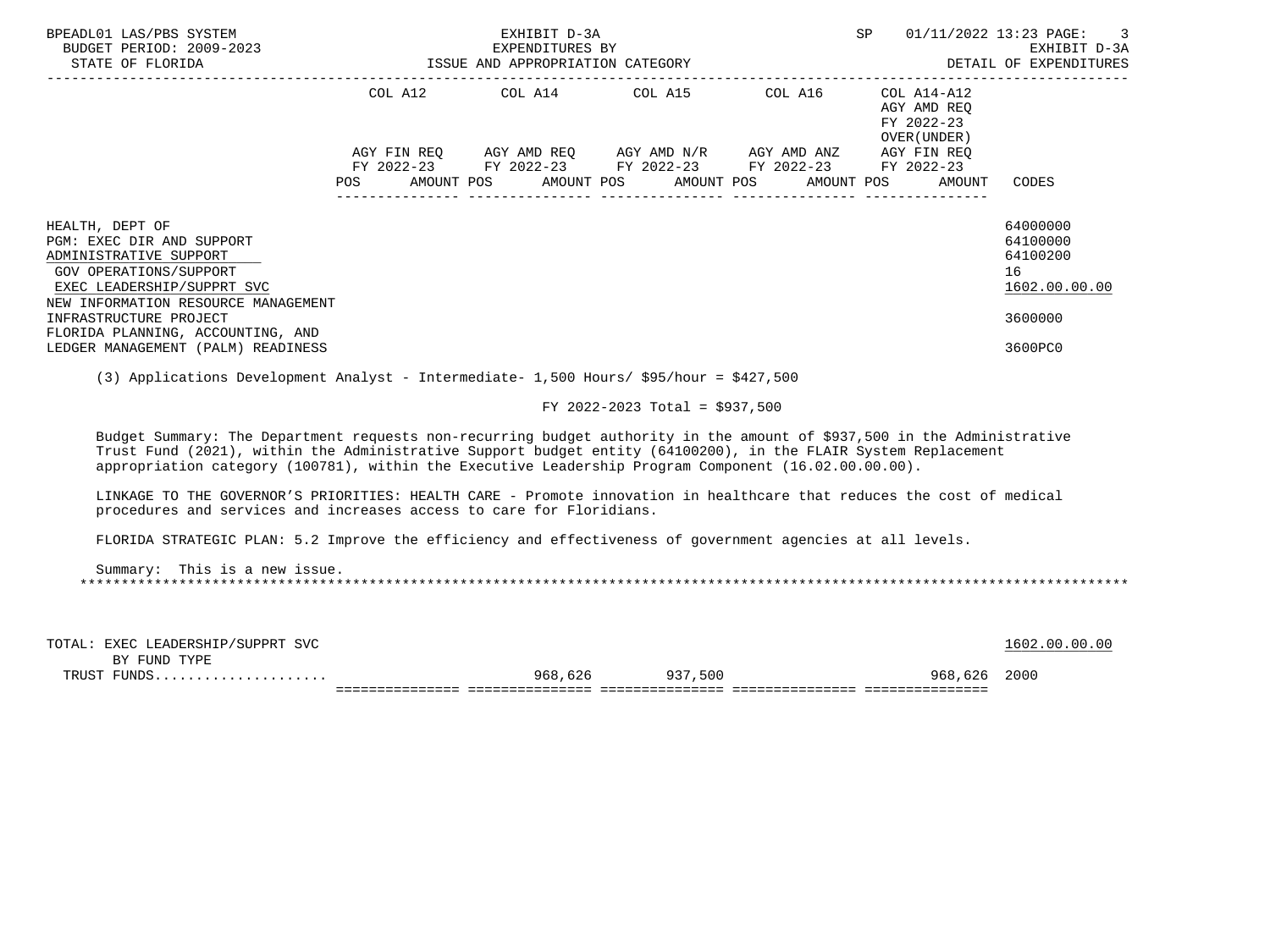| BPEADL01 LAS/PBS SYSTEM<br>-2023 EXPENDITURES BY<br>ISSUE AND APPROPRIATION CATEGORY<br>BUDGET PERIOD: 2009-2023<br>STATE OF FLORIDA                                                                                                                                                                                                                                  |     |  | EXHIBIT D-3A |                                                                                                                                                                       |            | SP |                                                                                                 | 01/11/2022 13:23 PAGE: 3<br>EXHIBIT D-3A<br>DETAIL OF EXPENDITURES            |
|-----------------------------------------------------------------------------------------------------------------------------------------------------------------------------------------------------------------------------------------------------------------------------------------------------------------------------------------------------------------------|-----|--|--------------|-----------------------------------------------------------------------------------------------------------------------------------------------------------------------|------------|----|-------------------------------------------------------------------------------------------------|-------------------------------------------------------------------------------|
|                                                                                                                                                                                                                                                                                                                                                                       | POS |  |              | COL A12 COL A14 COL A15 COL A16<br>AGY FIN REO AGY AMD REO AGY AMD N/R AGY AMD ANZ<br>FY 2022-23 FY 2022-23 FY 2022-23 FY 2022-23<br>AMOUNT POS AMOUNT POS AMOUNT POS | AMOUNT POS |    | COL A14-A12<br>AGY AMD REO<br>FY 2022-23<br>OVER (UNDER)<br>AGY FIN REO<br>FY 2022-23<br>AMOUNT | CODES                                                                         |
| HEALTH, DEPT OF<br>PGM: EXEC DIR AND SUPPORT<br>ADMINISTRATIVE SUPPORT<br>GOV OPERATIONS/SUPPORT<br>EXEC LEADERSHIP/SUPPRT SVC<br>NEW INFORMATION RESOURCE MANAGEMENT<br>INFRASTRUCTURE PROJECT<br>FLORIDA PLANNING, ACCOUNTING, AND<br>LEDGER MANAGEMENT (PALM) READINESS<br>(3) Applications Development Analyst - Intermediate- 1,500 Hours/ \$95/hour = \$427,500 |     |  |              |                                                                                                                                                                       |            |    |                                                                                                 | 64000000<br>64100000<br>64100200<br>16<br>1602.00.00.00<br>3600000<br>3600PC0 |
|                                                                                                                                                                                                                                                                                                                                                                       |     |  |              | FY 2022-2023 Total = \$937,500                                                                                                                                        |            |    |                                                                                                 |                                                                               |
| Budget Summary: The Department requests non-recurring budget authority in the amount of \$937,500 in the Administrative<br>Trust Fund (2021), within the Administrative Support budget entity (64100200), in the FLAIR System Replacement<br>appropriation category (100781), within the Executive Leadership Program Component (16.02.00.00.00).                     |     |  |              |                                                                                                                                                                       |            |    |                                                                                                 |                                                                               |
| LINKAGE TO THE GOVERNOR'S PRIORITIES: HEALTH CARE - Promote innovation in healthcare that reduces the cost of medical<br>procedures and services and increases access to care for Floridians.                                                                                                                                                                         |     |  |              |                                                                                                                                                                       |            |    |                                                                                                 |                                                                               |
| FLORIDA STRATEGIC PLAN: 5.2 Improve the efficiency and effectiveness of government agencies at all levels.                                                                                                                                                                                                                                                            |     |  |              |                                                                                                                                                                       |            |    |                                                                                                 |                                                                               |
| Summary: This is a new issue.                                                                                                                                                                                                                                                                                                                                         |     |  |              |                                                                                                                                                                       |            |    |                                                                                                 |                                                                               |

| TOTAl<br>EXEC LEADERSHIP/SUPPRT SVC |         |         |             | .00.00<br>. ೧೧ |
|-------------------------------------|---------|---------|-------------|----------------|
| FUND TYPE<br><b>RV</b>              |         |         |             |                |
| TPIICT                              | 968,626 | 937,500 | 968<br>.626 | 2000           |
|                                     |         |         |             |                |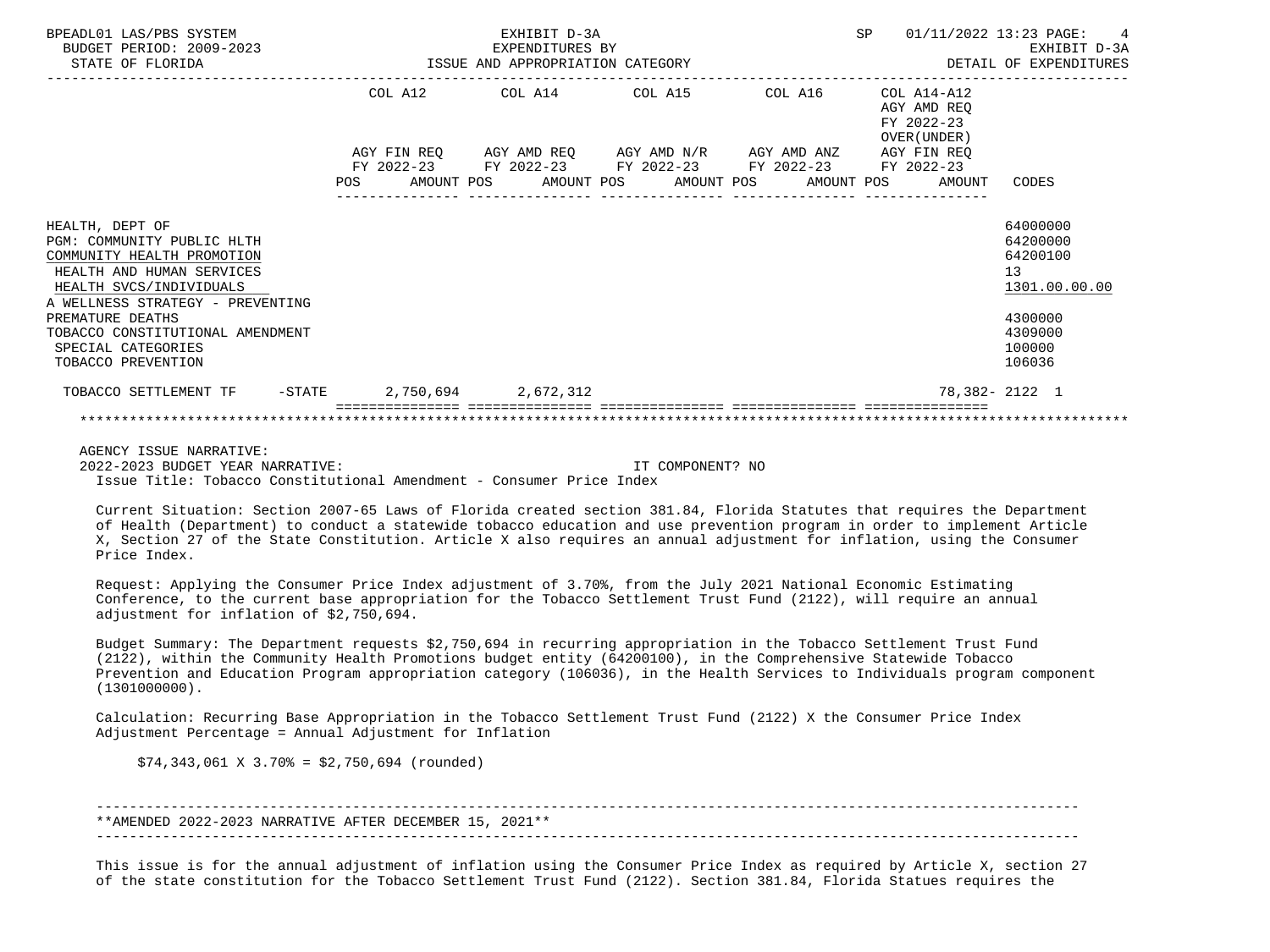| BPEADL01 LAS/PBS SYSTEM<br>BUDGET PERIOD: 2009-2023<br>9-2023<br>ISSUE AND APPROPRIATION CATEGORY ISSUE AND APPROPRIATION CATEGORY<br>STATE OF FLORIDA                  |  | EXHIBIT D-3A |                                                                                                                       |  |                                                              | SP 01/11/2022 13:23 PAGE: 4<br>EXHIBIT D-3A<br>DETAIL OF EXPENDITURES |
|-------------------------------------------------------------------------------------------------------------------------------------------------------------------------|--|--------------|-----------------------------------------------------------------------------------------------------------------------|--|--------------------------------------------------------------|-----------------------------------------------------------------------|
|                                                                                                                                                                         |  |              | COL A12 COL A14 COL A15 COL A16 COL A14-A12                                                                           |  | AGY AMD REO<br>FY 2022-23<br>OVER (UNDER)                    |                                                                       |
|                                                                                                                                                                         |  |              | AGY FIN REQ AGY AMD REQ AGY AMD N/R AGY AMD ANZ AGY FIN REQ<br>FY 2022-23 FY 2022-23 FY 2022-23 FY 2022-23 FY 2022-23 |  | POS AMOUNT POS AMOUNT POS AMOUNT POS AMOUNT POS AMOUNT CODES |                                                                       |
|                                                                                                                                                                         |  |              |                                                                                                                       |  |                                                              |                                                                       |
| HEALTH, DEPT OF<br>PGM: COMMUNITY PUBLIC HLTH<br>COMMUNITY HEALTH PROMOTION<br>HEALTH AND HUMAN SERVICES<br>HEALTH SVCS/INDIVIDUALS<br>A WELLNESS STRATEGY - PREVENTING |  |              |                                                                                                                       |  |                                                              | 64000000<br>64200000<br>64200100<br>13<br>1301.00.00.00               |
| PREMATURE DEATHS<br>TOBACCO CONSTITUTIONAL AMENDMENT<br>SPECIAL CATEGORIES<br>TOBACCO PREVENTION                                                                        |  |              |                                                                                                                       |  |                                                              | 4300000<br>4309000<br>100000<br>106036                                |
| TOBACCO SETTLEMENT TF -STATE 2,750,694 2,672,312                                                                                                                        |  |              |                                                                                                                       |  |                                                              | 78,382-2122 1                                                         |
|                                                                                                                                                                         |  |              |                                                                                                                       |  |                                                              |                                                                       |

 AGENCY ISSUE NARRATIVE: 2022-2023 BUDGET YEAR NARRATIVE: IT COMPONENT? NO Issue Title: Tobacco Constitutional Amendment - Consumer Price Index

 Current Situation: Section 2007-65 Laws of Florida created section 381.84, Florida Statutes that requires the Department of Health (Department) to conduct a statewide tobacco education and use prevention program in order to implement Article X, Section 27 of the State Constitution. Article X also requires an annual adjustment for inflation, using the Consumer Price Index.

 Request: Applying the Consumer Price Index adjustment of 3.70%, from the July 2021 National Economic Estimating Conference, to the current base appropriation for the Tobacco Settlement Trust Fund (2122), will require an annual adjustment for inflation of \$2,750,694.

 Budget Summary: The Department requests \$2,750,694 in recurring appropriation in the Tobacco Settlement Trust Fund (2122), within the Community Health Promotions budget entity (64200100), in the Comprehensive Statewide Tobacco Prevention and Education Program appropriation category (106036), in the Health Services to Individuals program component (1301000000).

 Calculation: Recurring Base Appropriation in the Tobacco Settlement Trust Fund (2122) X the Consumer Price Index Adjustment Percentage = Annual Adjustment for Inflation

 $$74,343,061 \t{X} \t{3.70\t{5} = $2,750,694 \t(rounded)}$ 

 ----------------------------------------------------------------------------------------------------------------------- \*\*AMENDED 2022-2023 NARRATIVE AFTER DECEMBER 15, 2021\*\*  $-$ 

 This issue is for the annual adjustment of inflation using the Consumer Price Index as required by Article X, section 27 of the state constitution for the Tobacco Settlement Trust Fund (2122). Section 381.84, Florida Statues requires the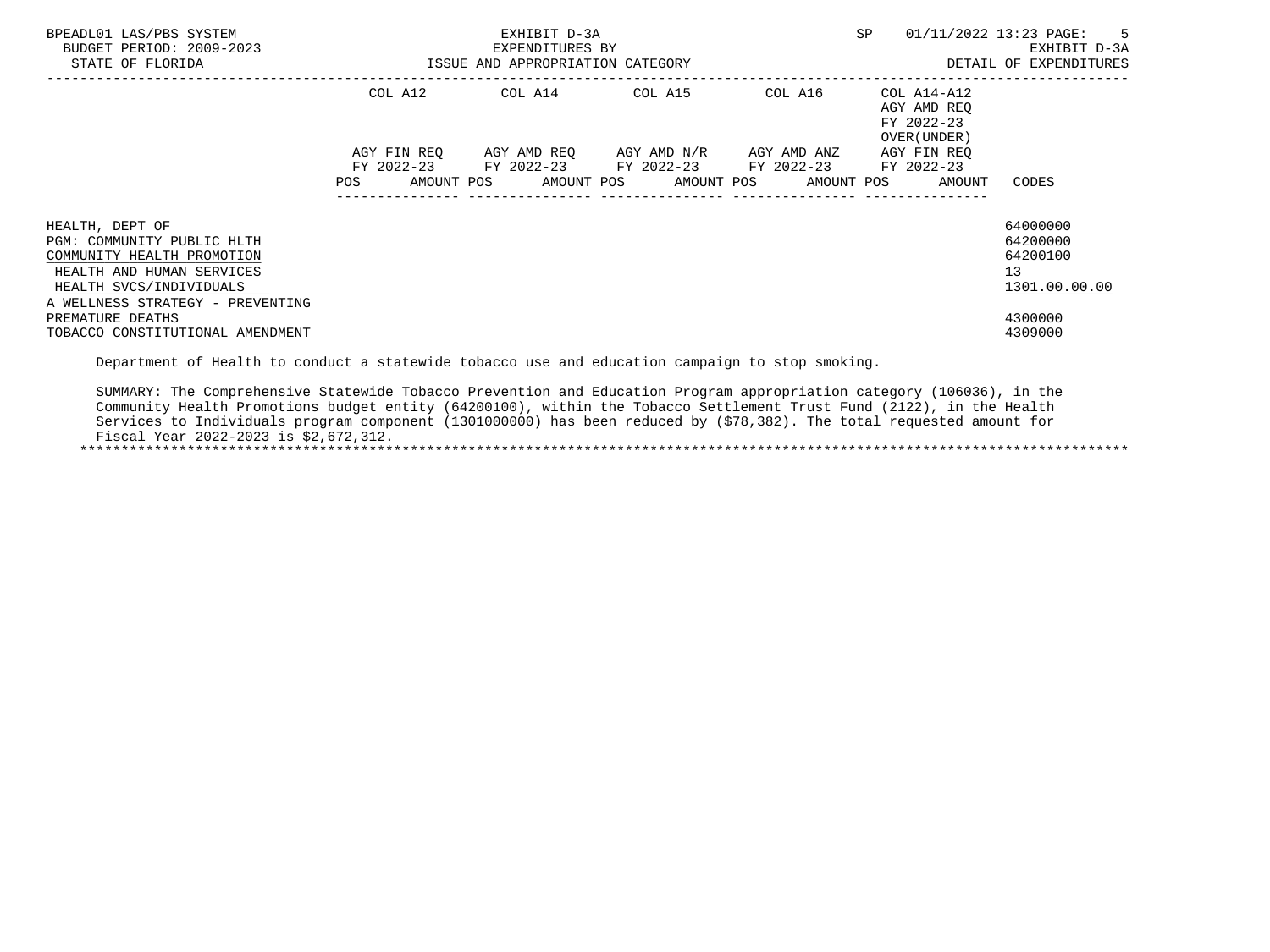| BPEADL01 LAS/PBS SYSTEM<br>BUDGET PERIOD: 2009-2023<br>STATE OF FLORIDA                                                                                                 | ISSUE AND APPROPRIATION CATEGORY | EXHIBIT D-3A<br>EXPENDITURES BY                                                                           | SP | 01/11/2022 13:23 PAGE: 5<br>EXHIBIT D-3A<br>DETAIL OF EXPENDITURES                     |                                                                      |
|-------------------------------------------------------------------------------------------------------------------------------------------------------------------------|----------------------------------|-----------------------------------------------------------------------------------------------------------|----|----------------------------------------------------------------------------------------|----------------------------------------------------------------------|
|                                                                                                                                                                         |                                  | COL A12 COL A14 COL A15                                                                                   |    | COL A16 COL A14-A12<br>AGY AMD REO<br>FY 2022-23<br>OVER (UNDER)                       |                                                                      |
|                                                                                                                                                                         | <b>POS</b>                       | AGY FIN REQ 6GY AMD REQ 6GY AMD N/R 6GY AMD ANZ<br>FY 2022-23 FY 2022-23 FY 2022-23 FY 2022-23 FY 2022-23 |    | AGY FIN REO<br>AMOUNT POS       AMOUNT POS      AMOUNT POS      AMOUNT POS      AMOUNT | CODES                                                                |
| HEALTH, DEPT OF<br>PGM: COMMUNITY PUBLIC HLTH<br>COMMUNITY HEALTH PROMOTION<br>HEALTH AND HUMAN SERVICES<br>HEALTH SVCS/INDIVIDUALS<br>A WELLNESS STRATEGY - PREVENTING |                                  |                                                                                                           |    |                                                                                        | 64000000<br>64200000<br>64200100<br>13 <sup>°</sup><br>1301.00.00.00 |
| PREMATURE DEATHS<br>TOBACCO CONSTITUTIONAL AMENDMENT                                                                                                                    |                                  |                                                                                                           |    |                                                                                        | 4300000<br>4309000                                                   |

Department of Health to conduct a statewide tobacco use and education campaign to stop smoking.

 SUMMARY: The Comprehensive Statewide Tobacco Prevention and Education Program appropriation category (106036), in the Community Health Promotions budget entity (64200100), within the Tobacco Settlement Trust Fund (2122), in the Health Services to Individuals program component (1301000000) has been reduced by (\$78,382). The total requested amount for Fiscal Year 2022-2023 is \$2,672,312. \*\*\*\*\*\*\*\*\*\*\*\*\*\*\*\*\*\*\*\*\*\*\*\*\*\*\*\*\*\*\*\*\*\*\*\*\*\*\*\*\*\*\*\*\*\*\*\*\*\*\*\*\*\*\*\*\*\*\*\*\*\*\*\*\*\*\*\*\*\*\*\*\*\*\*\*\*\*\*\*\*\*\*\*\*\*\*\*\*\*\*\*\*\*\*\*\*\*\*\*\*\*\*\*\*\*\*\*\*\*\*\*\*\*\*\*\*\*\*\*\*\*\*\*\*\*\*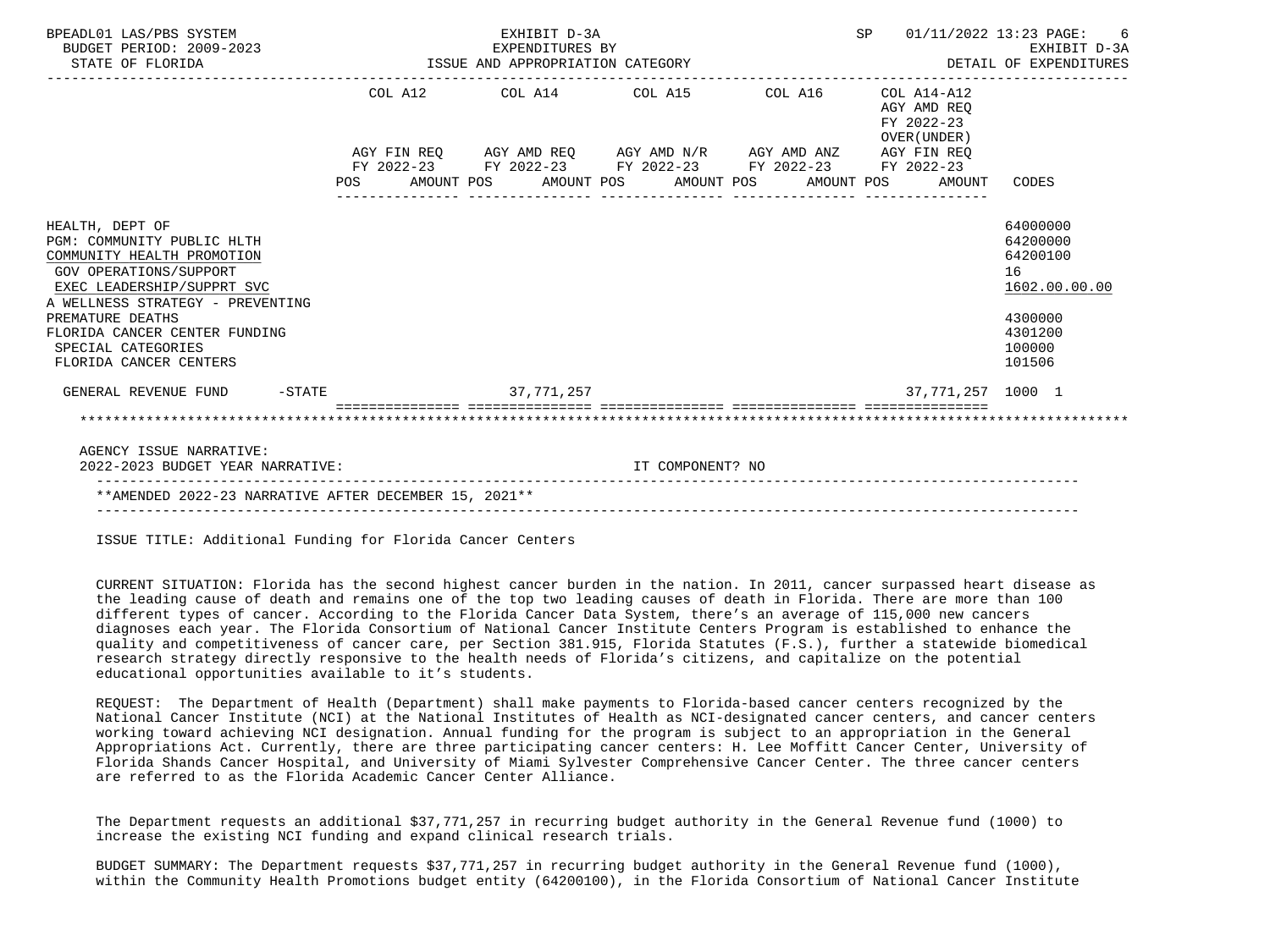| BPEADL01 LAS/PBS SYSTEM<br>BUDGET PERIOD: 2009-2023<br>STATE OF FLORIDA                                                                                                                                                                                                      | EXPENDITURES BY<br>ISSUE AND APPROPRIATION CATEGORY | SP 01/11/2022 13:23 PAGE:<br>DETAIL OF EXPENDITURES                                            | -6<br>EXHIBIT D-3A |  |                                           |                                                                                                   |
|------------------------------------------------------------------------------------------------------------------------------------------------------------------------------------------------------------------------------------------------------------------------------|-----------------------------------------------------|------------------------------------------------------------------------------------------------|--------------------|--|-------------------------------------------|---------------------------------------------------------------------------------------------------|
|                                                                                                                                                                                                                                                                              |                                                     | COL A12 COL A14 COL A15 COL A16 COL A14-A12                                                    |                    |  | AGY AMD REO<br>FY 2022-23<br>OVER (UNDER) |                                                                                                   |
|                                                                                                                                                                                                                                                                              |                                                     | AGY FIN REQ AGY AMD REQ AGY AMD N/R AGY AMD ANZ AGY FIN REQ                                    |                    |  |                                           |                                                                                                   |
|                                                                                                                                                                                                                                                                              |                                                     | FY 2022-23 FY 2022-23 FY 2022-23 FY 2022-23 FY 2022-23<br>POS AMOUNT POS AMOUNT POS AMOUNT POS |                    |  | AMOUNT POS<br>AMOUNT                      | CODES                                                                                             |
| HEALTH, DEPT OF<br>PGM: COMMUNITY PUBLIC HLTH<br>COMMUNITY HEALTH PROMOTION<br>GOV OPERATIONS/SUPPORT<br>EXEC LEADERSHIP/SUPPRT SVC<br>A WELLNESS STRATEGY - PREVENTING<br>PREMATURE DEATHS<br>FLORIDA CANCER CENTER FUNDING<br>SPECIAL CATEGORIES<br>FLORIDA CANCER CENTERS |                                                     |                                                                                                |                    |  |                                           | 64000000<br>64200000<br>64200100<br>16<br>1602.00.00.00<br>4300000<br>4301200<br>100000<br>101506 |
| GENERAL REVENUE FUND -STATE                                                                                                                                                                                                                                                  |                                                     | 37,771,257                                                                                     |                    |  | 37,771,257 1000 1                         |                                                                                                   |
|                                                                                                                                                                                                                                                                              |                                                     |                                                                                                |                    |  |                                           |                                                                                                   |
| AGENCY ISSUE NARRATIVE:                                                                                                                                                                                                                                                      |                                                     |                                                                                                |                    |  |                                           |                                                                                                   |
| 2022-2023 BUDGET YEAR NARRATIVE:                                                                                                                                                                                                                                             |                                                     |                                                                                                | IT COMPONENT? NO   |  |                                           |                                                                                                   |

ISSUE TITLE: Additional Funding for Florida Cancer Centers

 CURRENT SITUATION: Florida has the second highest cancer burden in the nation. In 2011, cancer surpassed heart disease as the leading cause of death and remains one of the top two leading causes of death in Florida. There are more than 100 different types of cancer. According to the Florida Cancer Data System, there's an average of 115,000 new cancers diagnoses each year. The Florida Consortium of National Cancer Institute Centers Program is established to enhance the quality and competitiveness of cancer care, per Section 381.915, Florida Statutes (F.S.), further a statewide biomedical research strategy directly responsive to the health needs of Florida's citizens, and capitalize on the potential educational opportunities available to it's students.

 REQUEST: The Department of Health (Department) shall make payments to Florida-based cancer centers recognized by the National Cancer Institute (NCI) at the National Institutes of Health as NCI-designated cancer centers, and cancer centers working toward achieving NCI designation. Annual funding for the program is subject to an appropriation in the General Appropriations Act. Currently, there are three participating cancer centers: H. Lee Moffitt Cancer Center, University of Florida Shands Cancer Hospital, and University of Miami Sylvester Comprehensive Cancer Center. The three cancer centers are referred to as the Florida Academic Cancer Center Alliance.

 The Department requests an additional \$37,771,257 in recurring budget authority in the General Revenue fund (1000) to increase the existing NCI funding and expand clinical research trials.

 BUDGET SUMMARY: The Department requests \$37,771,257 in recurring budget authority in the General Revenue fund (1000), within the Community Health Promotions budget entity (64200100), in the Florida Consortium of National Cancer Institute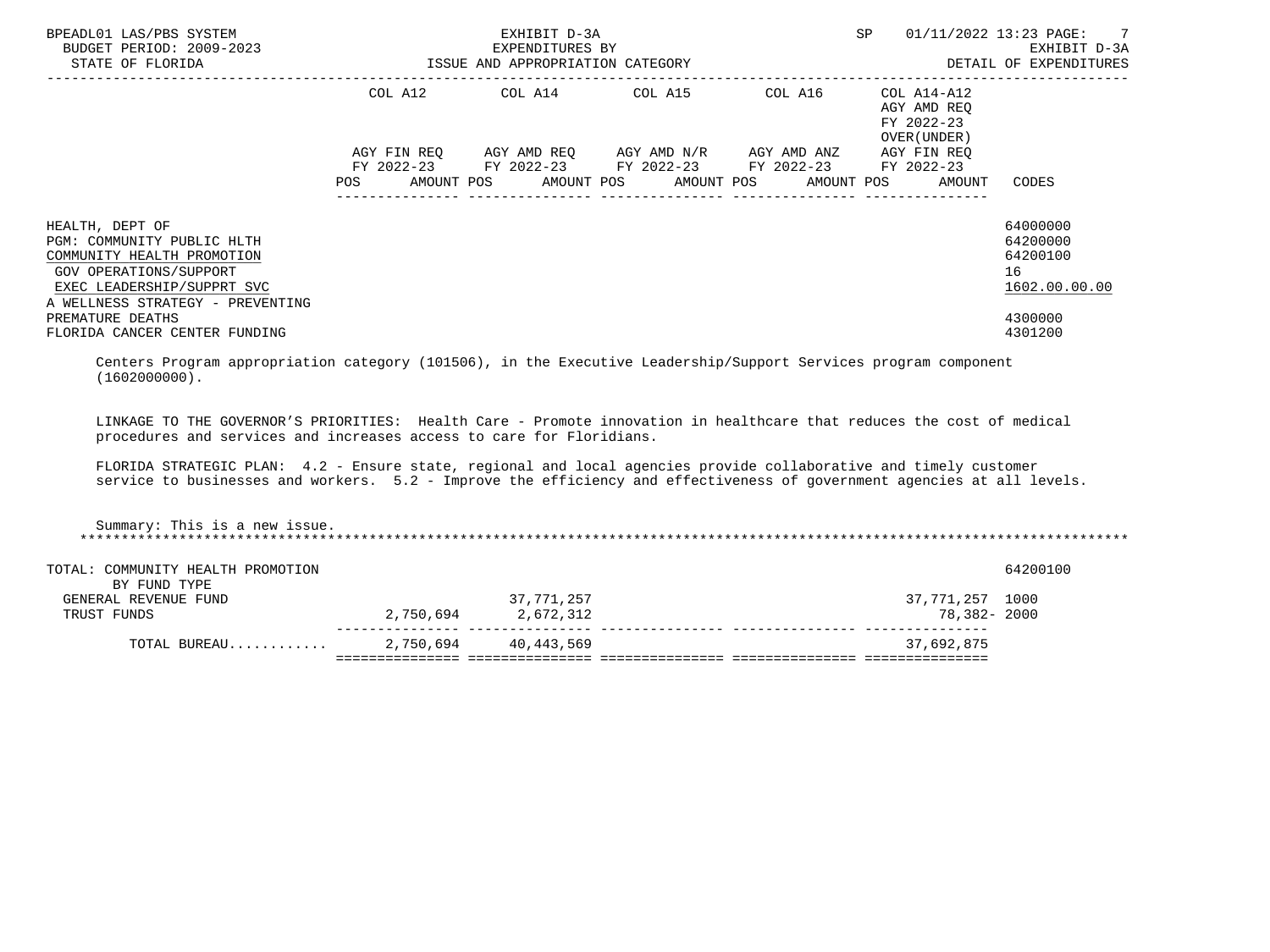| BPEADL01 LAS/PBS SYSTEM<br>BUDGET PERIOD: 2009-2023<br>STATE OF FLORIDA                                                                                                 | ISSUE AND APPROPRIATION CATEGORY                                                                               | EXHIBIT D-3A<br>EXPENDITURES BY                                                                | SP and the set of the set of the set of the set of the set of the set of the set of the set of the set of the set of the set of the set of the set of the set of the set of the set of the set of the set of the set of the se | 01/11/2022 13:23 PAGE: 7<br>EXHIBIT D-3A<br>DETAIL OF EXPENDITURES |                                                         |
|-------------------------------------------------------------------------------------------------------------------------------------------------------------------------|----------------------------------------------------------------------------------------------------------------|------------------------------------------------------------------------------------------------|--------------------------------------------------------------------------------------------------------------------------------------------------------------------------------------------------------------------------------|--------------------------------------------------------------------|---------------------------------------------------------|
|                                                                                                                                                                         |                                                                                                                | COL A12 COL A14 COL A15                                                                        | COL A16                                                                                                                                                                                                                        | COL A14-A12<br>AGY AMD REO<br>FY 2022-23<br>OVER (UNDER )          |                                                         |
|                                                                                                                                                                         |                                                                                                                | AGY FIN REO AGY AMD REO AGY AMD N/R AGY AMD ANZ<br>FY 2022-23 FY 2022-23 FY 2022-23 FY 2022-23 |                                                                                                                                                                                                                                | AGY FIN REO<br>FY 2022-23                                          |                                                         |
|                                                                                                                                                                         | POS FOR THE POST OF THE POST OF THE POST OF THE POST OF THE POST OF THE POST OF THE POST OF THE POST OF THE PO | AMOUNT POS      AMOUNT POS     AMOUNT POS     AMOUNT POS                                       |                                                                                                                                                                                                                                | AMOUNT                                                             | CODES                                                   |
| HEALTH, DEPT OF<br>PGM: COMMUNITY PUBLIC HLTH<br>COMMUNITY HEALTH PROMOTION<br>GOV OPERATIONS/SUPPORT<br>EXEC LEADERSHIP/SUPPRT SVC<br>A WELLNESS STRATEGY - PREVENTING |                                                                                                                |                                                                                                |                                                                                                                                                                                                                                |                                                                    | 64000000<br>64200000<br>64200100<br>16<br>1602.00.00.00 |
| PREMATURE DEATHS<br>FLORIDA CANCER CENTER FUNDING                                                                                                                       |                                                                                                                |                                                                                                |                                                                                                                                                                                                                                |                                                                    | 4300000<br>4301200                                      |

 Centers Program appropriation category (101506), in the Executive Leadership/Support Services program component  $(1602000000)$ .

 LINKAGE TO THE GOVERNOR'S PRIORITIES: Health Care - Promote innovation in healthcare that reduces the cost of medical procedures and services and increases access to care for Floridians.

 FLORIDA STRATEGIC PLAN: 4.2 - Ensure state, regional and local agencies provide collaborative and timely customer service to businesses and workers. 5.2 - Improve the efficiency and effectiveness of government agencies at all levels.

 Summary: This is a new issue. \*\*\*\*\*\*\*\*\*\*\*\*\*\*\*\*\*\*\*\*\*\*\*\*\*\*\*\*\*\*\*\*\*\*\*\*\*\*\*\*\*\*\*\*\*\*\*\*\*\*\*\*\*\*\*\*\*\*\*\*\*\*\*\*\*\*\*\*\*\*\*\*\*\*\*\*\*\*\*\*\*\*\*\*\*\*\*\*\*\*\*\*\*\*\*\*\*\*\*\*\*\*\*\*\*\*\*\*\*\*\*\*\*\*\*\*\*\*\*\*\*\*\*\*\*\*\*

| TOTAL: COMMUNITY HEALTH PROMOTION |           |            |                 | 64200100 |
|-----------------------------------|-----------|------------|-----------------|----------|
| BY FUND TYPE                      |           |            |                 |          |
| GENERAL REVENUE FUND              |           | 37,771,257 | 37,771,257 1000 |          |
| TRUST FUNDS                       | 2,750,694 | 2,672,312  | 78,382-2000     |          |
| TOTAL BUREAU                      | 2,750,694 | 40,443,569 | 37,692,875      |          |
|                                   |           |            |                 |          |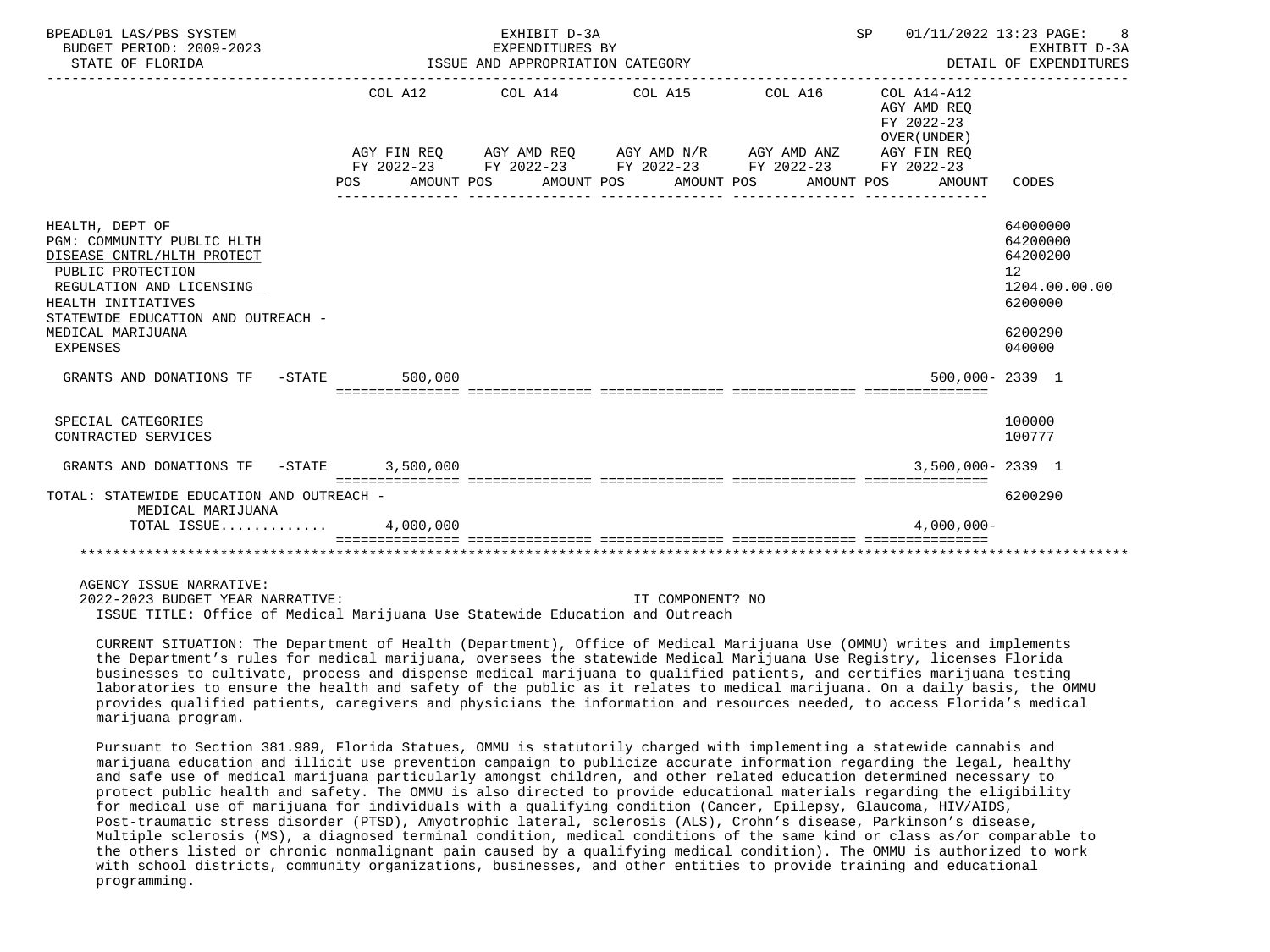| BPEADL01 LAS/PBS SYSTEM<br>BUDGET PERIOD: 2009-2023<br>STATE OF FLORIDA                                                                                                                  |         | EXHIBIT D-3A<br>EXPENDITURES BY<br>ISSUE AND APPROPRIATION CATEGORY |                                                                                                                                                                                                          | SP 01/11/2022 13:23 PAGE: 8 | EXHIBIT D-3A<br>DETAIL OF EXPENDITURES              |                                                                    |
|------------------------------------------------------------------------------------------------------------------------------------------------------------------------------------------|---------|---------------------------------------------------------------------|----------------------------------------------------------------------------------------------------------------------------------------------------------------------------------------------------------|-----------------------------|-----------------------------------------------------|--------------------------------------------------------------------|
|                                                                                                                                                                                          | POS     |                                                                     | COL A12 COL A14 COL A15 COL A16 COL A14-A12<br>AGY FIN REQ AGY AMD REQ AGY AMD N/R AGY AMD ANZ AGY FIN REQ<br>FY 2022-23 FY 2022-23 FY 2022-23 FY 2022-23 FY 2022-23<br>AMOUNT POS AMOUNT POS AMOUNT POS | AMOUNT POS                  | AGY AMD REO<br>FY 2022-23<br>OVER (UNDER)<br>AMOUNT | CODES                                                              |
|                                                                                                                                                                                          |         |                                                                     |                                                                                                                                                                                                          |                             |                                                     |                                                                    |
| HEALTH, DEPT OF<br>PGM: COMMUNITY PUBLIC HLTH<br>DISEASE CNTRL/HLTH PROTECT<br>PUBLIC PROTECTION<br>REGULATION AND LICENSING<br>HEALTH INITIATIVES<br>STATEWIDE EDUCATION AND OUTREACH - |         |                                                                     |                                                                                                                                                                                                          |                             |                                                     | 64000000<br>64200000<br>64200200<br>12<br>1204.00.00.00<br>6200000 |
| MEDICAL MARIJUANA<br><b>EXPENSES</b>                                                                                                                                                     |         |                                                                     |                                                                                                                                                                                                          |                             |                                                     | 6200290<br>040000                                                  |
| GRANTS AND DONATIONS TF -STATE                                                                                                                                                           | 500,000 |                                                                     |                                                                                                                                                                                                          |                             | 500,000-2339 1                                      |                                                                    |
| SPECIAL CATEGORIES<br>CONTRACTED SERVICES                                                                                                                                                |         |                                                                     |                                                                                                                                                                                                          |                             |                                                     | 100000<br>100777                                                   |
| GRANTS AND DONATIONS TF -STATE 3,500,000                                                                                                                                                 |         |                                                                     |                                                                                                                                                                                                          |                             | $3.500.000 - 2339$ 1                                |                                                                    |
| TOTAL: STATEWIDE EDUCATION AND OUTREACH -<br>MEDICAL MARIJUANA                                                                                                                           |         |                                                                     |                                                                                                                                                                                                          |                             |                                                     | 6200290                                                            |
| TOTAL ISSUE $4,000,000$                                                                                                                                                                  |         |                                                                     |                                                                                                                                                                                                          |                             | $4.000.000 -$                                       |                                                                    |
|                                                                                                                                                                                          |         |                                                                     |                                                                                                                                                                                                          |                             |                                                     |                                                                    |
| AGENCY ISSUE NARRATIVE:<br>2022-2023 BUDGET YEAR NARRATIVE:                                                                                                                              |         |                                                                     | IT COMPONENT? NO                                                                                                                                                                                         |                             |                                                     |                                                                    |

ISSUE TITLE: Office of Medical Marijuana Use Statewide Education and Outreach

 CURRENT SITUATION: The Department of Health (Department), Office of Medical Marijuana Use (OMMU) writes and implements the Department's rules for medical marijuana, oversees the statewide Medical Marijuana Use Registry, licenses Florida businesses to cultivate, process and dispense medical marijuana to qualified patients, and certifies marijuana testing laboratories to ensure the health and safety of the public as it relates to medical marijuana. On a daily basis, the OMMU provides qualified patients, caregivers and physicians the information and resources needed, to access Florida's medical marijuana program.

 Pursuant to Section 381.989, Florida Statues, OMMU is statutorily charged with implementing a statewide cannabis and marijuana education and illicit use prevention campaign to publicize accurate information regarding the legal, healthy and safe use of medical marijuana particularly amongst children, and other related education determined necessary to protect public health and safety. The OMMU is also directed to provide educational materials regarding the eligibility for medical use of marijuana for individuals with a qualifying condition (Cancer, Epilepsy, Glaucoma, HIV/AIDS, Post-traumatic stress disorder (PTSD), Amyotrophic lateral, sclerosis (ALS), Crohn's disease, Parkinson's disease, Multiple sclerosis (MS), a diagnosed terminal condition, medical conditions of the same kind or class as/or comparable to the others listed or chronic nonmalignant pain caused by a qualifying medical condition). The OMMU is authorized to work with school districts, community organizations, businesses, and other entities to provide training and educational programming.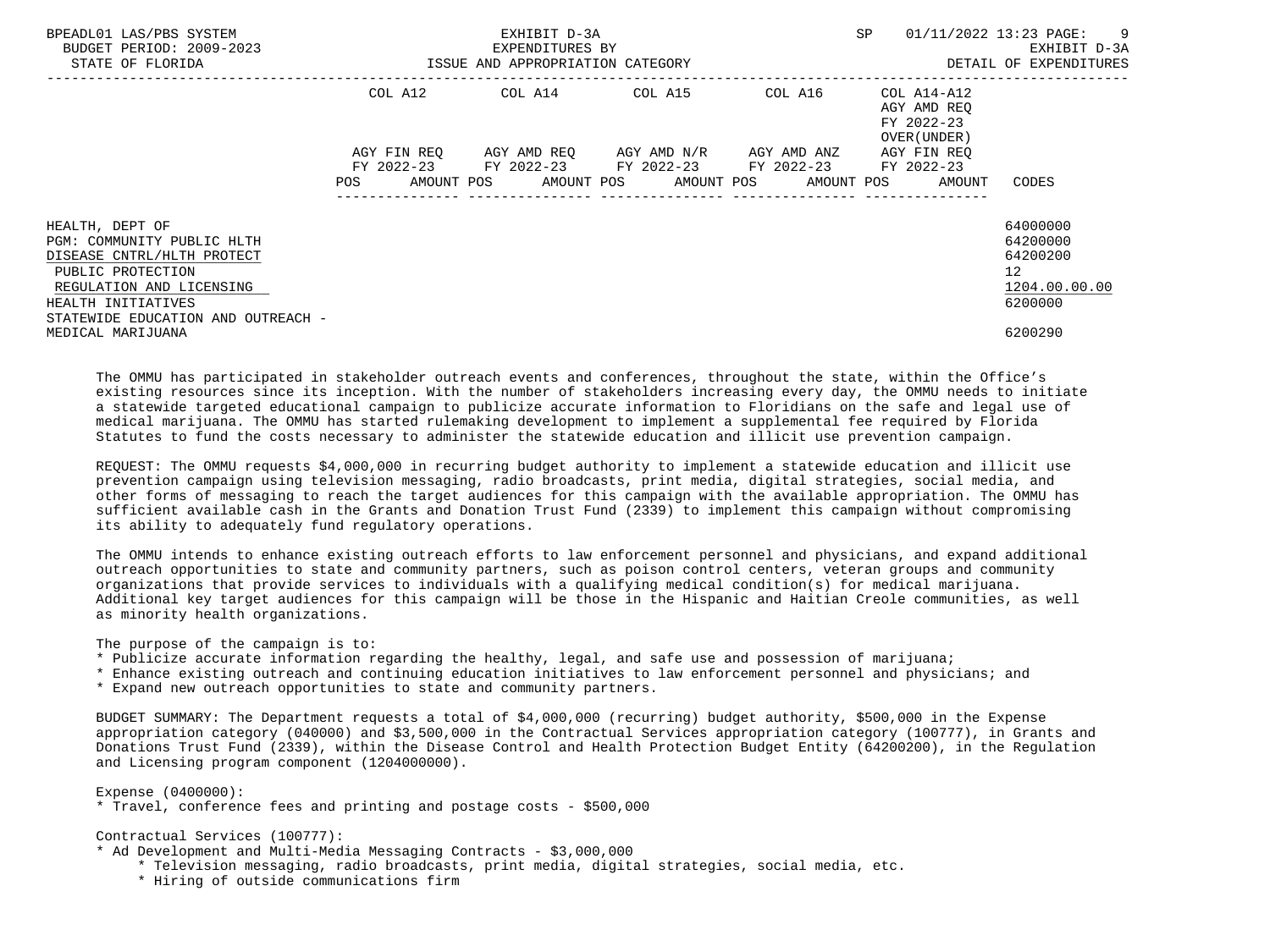| BPEADL01 LAS/PBS SYSTEM<br>BUDGET PERIOD: 2009-2023<br>STATE OF FLORIDA                                                                                                                  | ISSUE AND APPROPRIATION CATEGORY | EXHIBIT D-3A<br>EXPENDITURES BY | SP                                                                                                                                       | 01/11/2022 13:23 PAGE: 9<br>EXHIBIT D-3A<br>DETAIL OF EXPENDITURES |                                                          |                                                                    |
|------------------------------------------------------------------------------------------------------------------------------------------------------------------------------------------|----------------------------------|---------------------------------|------------------------------------------------------------------------------------------------------------------------------------------|--------------------------------------------------------------------|----------------------------------------------------------|--------------------------------------------------------------------|
|                                                                                                                                                                                          | COL A12                          |                                 | COL A14 COL A15                                                                                                                          | COL A16                                                            | COL A14-A12<br>AGY AMD REO<br>FY 2022-23<br>OVER (UNDER) |                                                                    |
|                                                                                                                                                                                          | AGY FIN REO<br>POS               |                                 | AGY AMD REO AGY AMD N/R AGY AMD ANZ<br>FY 2022-23 FY 2022-23 FY 2022-23 FY 2022-23<br>AMOUNT POS AMOUNT POS AMOUNT POS AMOUNT POS AMOUNT |                                                                    | AGY FIN REO<br>FY 2022-23                                | CODES                                                              |
| HEALTH, DEPT OF<br>PGM: COMMUNITY PUBLIC HLTH<br>DISEASE CNTRL/HLTH PROTECT<br>PUBLIC PROTECTION<br>REGULATION AND LICENSING<br>HEALTH INITIATIVES<br>STATEWIDE EDUCATION AND OUTREACH - |                                  |                                 |                                                                                                                                          |                                                                    |                                                          | 64000000<br>64200000<br>64200200<br>12<br>1204.00.00.00<br>6200000 |
| MEDICAL MARIJUANA                                                                                                                                                                        |                                  |                                 |                                                                                                                                          |                                                                    |                                                          | 6200290                                                            |

 The OMMU has participated in stakeholder outreach events and conferences, throughout the state, within the Office's existing resources since its inception. With the number of stakeholders increasing every day, the OMMU needs to initiate a statewide targeted educational campaign to publicize accurate information to Floridians on the safe and legal use of medical marijuana. The OMMU has started rulemaking development to implement a supplemental fee required by Florida Statutes to fund the costs necessary to administer the statewide education and illicit use prevention campaign.

 REQUEST: The OMMU requests \$4,000,000 in recurring budget authority to implement a statewide education and illicit use prevention campaign using television messaging, radio broadcasts, print media, digital strategies, social media, and other forms of messaging to reach the target audiences for this campaign with the available appropriation. The OMMU has sufficient available cash in the Grants and Donation Trust Fund (2339) to implement this campaign without compromising its ability to adequately fund regulatory operations.

 The OMMU intends to enhance existing outreach efforts to law enforcement personnel and physicians, and expand additional outreach opportunities to state and community partners, such as poison control centers, veteran groups and community organizations that provide services to individuals with a qualifying medical condition(s) for medical marijuana. Additional key target audiences for this campaign will be those in the Hispanic and Haitian Creole communities, as well as minority health organizations.

The purpose of the campaign is to:

- \* Publicize accurate information regarding the healthy, legal, and safe use and possession of marijuana;
- \* Enhance existing outreach and continuing education initiatives to law enforcement personnel and physicians; and
- \* Expand new outreach opportunities to state and community partners.

 BUDGET SUMMARY: The Department requests a total of \$4,000,000 (recurring) budget authority, \$500,000 in the Expense appropriation category (040000) and \$3,500,000 in the Contractual Services appropriation category (100777), in Grants and Donations Trust Fund (2339), within the Disease Control and Health Protection Budget Entity (64200200), in the Regulation and Licensing program component (1204000000).

Expense (0400000):

\* Travel, conference fees and printing and postage costs - \$500,000

Contractual Services (100777):

- \* Ad Development and Multi-Media Messaging Contracts \$3,000,000
	- \* Television messaging, radio broadcasts, print media, digital strategies, social media, etc.
	- \* Hiring of outside communications firm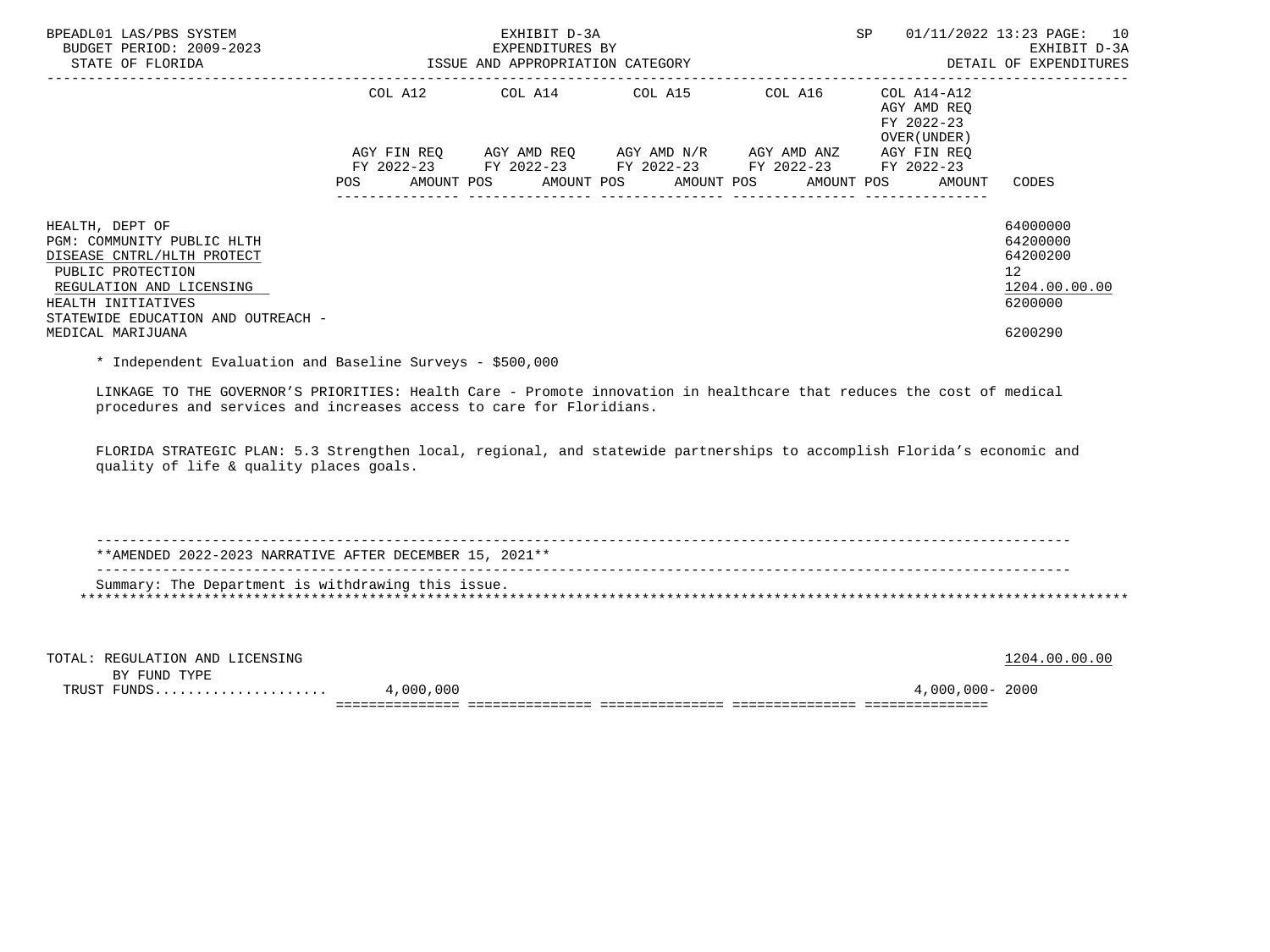| BPEADL01 LAS/PBS SYSTEM<br>BUDGET PERIOD: 2009-2023<br>STATE OF FLORIDA                                                                                                                  |                                                                                                                | EXHIBIT D-3A<br>EXPENDITURES BY<br>ISSUE AND APPROPRIATION CATEGORY                                                                           | SP                                     | 01/11/2022 13:23 PAGE: 10<br>EXHIBIT D-3A<br>DETAIL OF EXPENDITURES |                                                                                 |
|------------------------------------------------------------------------------------------------------------------------------------------------------------------------------------------|----------------------------------------------------------------------------------------------------------------|-----------------------------------------------------------------------------------------------------------------------------------------------|----------------------------------------|---------------------------------------------------------------------|---------------------------------------------------------------------------------|
|                                                                                                                                                                                          |                                                                                                                | COL A12 COL A14 COL A15 COL A16                                                                                                               |                                        | COL A14-A12<br>AGY AMD REO<br>FY 2022-23<br>OVER (UNDER)            |                                                                                 |
|                                                                                                                                                                                          | POS FOR THE POST OF THE POST OF THE POST OF THE POST OF THE POST OF THE POST OF THE POST OF THE POST OF THE PO | AGY FIN REO AGY AMD REO AGY AMD N/R AGY AMD ANZ<br>FY 2022-23 FY 2022-23 FY 2022-23 FY 2022-23<br>AMOUNT POS AMOUNT POS AMOUNT POS AMOUNT POS | ______________________________________ | AGY FIN REO<br>FY 2022-23<br>AMOUNT                                 | CODES                                                                           |
| HEALTH, DEPT OF<br>PGM: COMMUNITY PUBLIC HLTH<br>DISEASE CNTRL/HLTH PROTECT<br>PUBLIC PROTECTION<br>REGULATION AND LICENSING<br>HEALTH INITIATIVES<br>STATEWIDE EDUCATION AND OUTREACH - |                                                                                                                |                                                                                                                                               |                                        |                                                                     | 64000000<br>64200000<br>64200200<br>12 <sup>7</sup><br>1204.00.00.00<br>6200000 |
| MEDICAL MARIJUANA                                                                                                                                                                        |                                                                                                                |                                                                                                                                               |                                        |                                                                     | 6200290                                                                         |

\* Independent Evaluation and Baseline Surveys - \$500,000

 LINKAGE TO THE GOVERNOR'S PRIORITIES: Health Care - Promote innovation in healthcare that reduces the cost of medical procedures and services and increases access to care for Floridians.

 FLORIDA STRATEGIC PLAN: 5.3 Strengthen local, regional, and statewide partnerships to accomplish Florida's economic and quality of life & quality places goals.

 ---------------------------------------------------------------------------------------------------------------------- \*\*AMENDED 2022-2023 NARRATIVE AFTER DECEMBER 15, 2021\*\* ---------------------------------------------------------------------------------------------------------------------- Summary: The Department is withdrawing this issue. \*\*\*\*\*\*\*\*\*\*\*\*\*\*\*\*\*\*\*\*\*\*\*\*\*\*\*\*\*\*\*\*\*\*\*\*\*\*\*\*\*\*\*\*\*\*\*\*\*\*\*\*\*\*\*\*\*\*\*\*\*\*\*\*\*\*\*\*\*\*\*\*\*\*\*\*\*\*\*\*\*\*\*\*\*\*\*\*\*\*\*\*\*\*\*\*\*\*\*\*\*\*\*\*\*\*\*\*\*\*\*\*\*\*\*\*\*\*\*\*\*\*\*\*\*\*\*

| TOTAL: REGULATION AND LICENSING |           |                 | 1204.00.00.00 |
|---------------------------------|-----------|-----------------|---------------|
| BY FUND TYPE                    |           |                 |               |
| TRUST FUNDS                     | 4,000,000 | 4,000,000- 2000 |               |
|                                 |           |                 |               |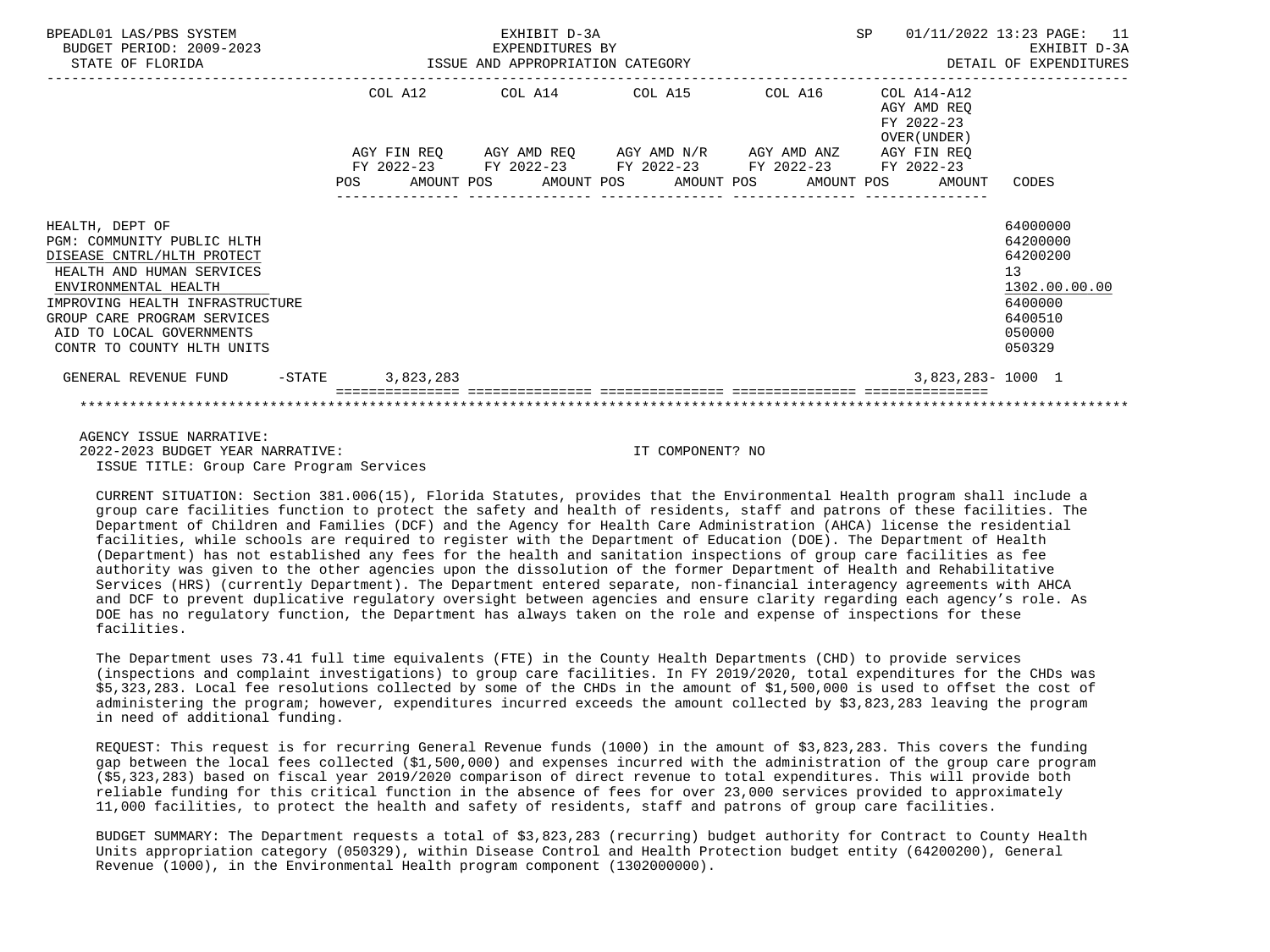| BPEADL01 LAS/PBS SYSTEM<br>BUDGET PERIOD: 2009-2023<br>ISSUE AND APPROPRIATION CATEGORY<br>STATE OF FLORIDA                                                                                                                                                  |                                                                     | EXHIBIT D-3A<br>EXPENDITURES BY |                                        |  | <b>SP</b> |                                                              | 01/11/2022 13:23 PAGE: 11<br>EXHIBIT D-3A<br>DETAIL OF EXPENDITURES                               |
|--------------------------------------------------------------------------------------------------------------------------------------------------------------------------------------------------------------------------------------------------------------|---------------------------------------------------------------------|---------------------------------|----------------------------------------|--|-----------|--------------------------------------------------------------|---------------------------------------------------------------------------------------------------|
|                                                                                                                                                                                                                                                              | COL A12 COL A14 COL A15 COL A16                                     |                                 |                                        |  |           | $COL A14 - A12$<br>AGY AMD REO<br>FY 2022-23<br>OVER (UNDER) |                                                                                                   |
|                                                                                                                                                                                                                                                              | AGY FIN REQ 6 AGY AMD REQ 6 AGY AMD N/R 6 AGY AMD ANZ 6 AGY FIN REQ |                                 |                                        |  |           |                                                              |                                                                                                   |
|                                                                                                                                                                                                                                                              | FY 2022-23 FY 2022-23 FY 2022-23 FY 2022-23 FY 2022-23              | ---------------                 | ______________________________________ |  |           | POS AMOUNT POS AMOUNT POS AMOUNT POS AMOUNT POS AMOUNT CODES |                                                                                                   |
| HEALTH, DEPT OF<br>PGM: COMMUNITY PUBLIC HLTH<br>DISEASE CNTRL/HLTH PROTECT<br>HEALTH AND HUMAN SERVICES<br>ENVIRONMENTAL HEALTH<br>IMPROVING HEALTH INFRASTRUCTURE<br>GROUP CARE PROGRAM SERVICES<br>AID TO LOCAL GOVERNMENTS<br>CONTR TO COUNTY HLTH UNITS |                                                                     |                                 |                                        |  |           |                                                              | 64000000<br>64200000<br>64200200<br>13<br>1302.00.00.00<br>6400000<br>6400510<br>050000<br>050329 |
| GENERAL REVENUE FUND -STATE 3,823,283                                                                                                                                                                                                                        |                                                                     |                                 |                                        |  |           | $3,823,283 - 1000$ 1                                         |                                                                                                   |
|                                                                                                                                                                                                                                                              |                                                                     |                                 |                                        |  |           |                                                              |                                                                                                   |

 AGENCY ISSUE NARRATIVE: 2022-2023 BUDGET YEAR NARRATIVE: IT COMPONENT? NO ISSUE TITLE: Group Care Program Services

 CURRENT SITUATION: Section 381.006(15), Florida Statutes, provides that the Environmental Health program shall include a group care facilities function to protect the safety and health of residents, staff and patrons of these facilities. The Department of Children and Families (DCF) and the Agency for Health Care Administration (AHCA) license the residential facilities, while schools are required to register with the Department of Education (DOE). The Department of Health (Department) has not established any fees for the health and sanitation inspections of group care facilities as fee authority was given to the other agencies upon the dissolution of the former Department of Health and Rehabilitative Services (HRS) (currently Department). The Department entered separate, non-financial interagency agreements with AHCA and DCF to prevent duplicative regulatory oversight between agencies and ensure clarity regarding each agency's role. As DOE has no regulatory function, the Department has always taken on the role and expense of inspections for these facilities.

 The Department uses 73.41 full time equivalents (FTE) in the County Health Departments (CHD) to provide services (inspections and complaint investigations) to group care facilities. In FY 2019/2020, total expenditures for the CHDs was \$5,323,283. Local fee resolutions collected by some of the CHDs in the amount of \$1,500,000 is used to offset the cost of administering the program; however, expenditures incurred exceeds the amount collected by \$3,823,283 leaving the program in need of additional funding.

 REQUEST: This request is for recurring General Revenue funds (1000) in the amount of \$3,823,283. This covers the funding gap between the local fees collected (\$1,500,000) and expenses incurred with the administration of the group care program (\$5,323,283) based on fiscal year 2019/2020 comparison of direct revenue to total expenditures. This will provide both reliable funding for this critical function in the absence of fees for over 23,000 services provided to approximately 11,000 facilities, to protect the health and safety of residents, staff and patrons of group care facilities.

 BUDGET SUMMARY: The Department requests a total of \$3,823,283 (recurring) budget authority for Contract to County Health Units appropriation category (050329), within Disease Control and Health Protection budget entity (64200200), General Revenue (1000), in the Environmental Health program component (1302000000).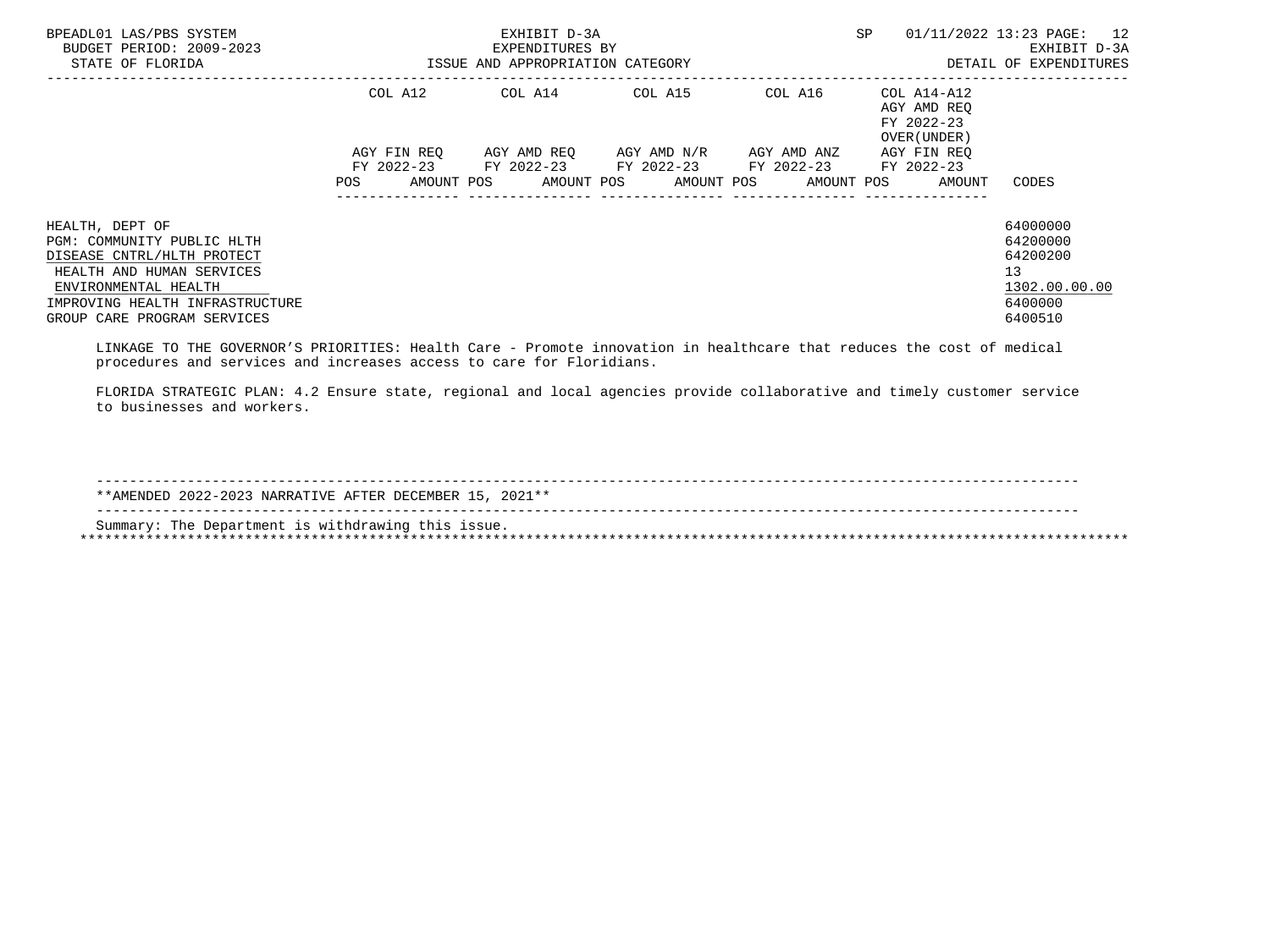| BPEADL01 LAS/PBS SYSTEM<br>BUDGET PERIOD: 2009-2023<br>STATE OF FLORIDA | EXHIBIT D-3A<br>EXPENDITURES BY<br>ISSUE AND APPROPRIATION CATEGORY |             |  |  |  |                                                        |  | SP      |  | 01/11/2022 13:23 PAGE: 12<br>EXHIBIT D-3A<br>DETAIL OF EXPENDITURES |                    |  |
|-------------------------------------------------------------------------|---------------------------------------------------------------------|-------------|--|--|--|--------------------------------------------------------|--|---------|--|---------------------------------------------------------------------|--------------------|--|
|                                                                         |                                                                     | COL A12     |  |  |  | COL A14 COL A15                                        |  | COL A16 |  | COL A14-A12<br>AGY AMD REQ<br>FY 2022-23<br>OVER (UNDER)            |                    |  |
|                                                                         |                                                                     | AGY FIN REO |  |  |  | AGY AMD REO      AGY AMD N/R      AGY AMD ANZ          |  |         |  | AGY FIN REO                                                         |                    |  |
|                                                                         | POS                                                                 |             |  |  |  | FY 2022-23 FY 2022-23 FY 2022-23 FY 2022-23 FY 2022-23 |  |         |  | AMOUNT POS AMOUNT POS AMOUNT POS AMOUNT POS AMOUNT                  | CODES              |  |
| HEALTH, DEPT OF                                                         |                                                                     |             |  |  |  |                                                        |  |         |  |                                                                     | 64000000           |  |
| PGM: COMMUNITY PUBLIC HLTH                                              |                                                                     |             |  |  |  |                                                        |  |         |  |                                                                     | 64200000           |  |
| DISEASE CNTRL/HLTH PROTECT                                              |                                                                     |             |  |  |  |                                                        |  |         |  |                                                                     | 64200200           |  |
| HEALTH AND HUMAN SERVICES                                               |                                                                     |             |  |  |  |                                                        |  |         |  |                                                                     | 13 <sup>°</sup>    |  |
| ENVIRONMENTAL HEALTH                                                    |                                                                     |             |  |  |  |                                                        |  |         |  |                                                                     | 1302.00.00.00      |  |
| IMPROVING HEALTH INFRASTRUCTURE<br>GROUP CARE PROGRAM SERVICES          |                                                                     |             |  |  |  |                                                        |  |         |  |                                                                     | 6400000<br>6400510 |  |
|                                                                         |                                                                     |             |  |  |  |                                                        |  |         |  |                                                                     |                    |  |

 LINKAGE TO THE GOVERNOR'S PRIORITIES: Health Care - Promote innovation in healthcare that reduces the cost of medical procedures and services and increases access to care for Floridians.

 FLORIDA STRATEGIC PLAN: 4.2 Ensure state, regional and local agencies provide collaborative and timely customer service to businesses and workers.

| **AMENDED 2022-2023 NARRATIVE AFTER DECEMBER 15, 2021** |
|---------------------------------------------------------|
| Summary: The Department is withdrawing this issue.      |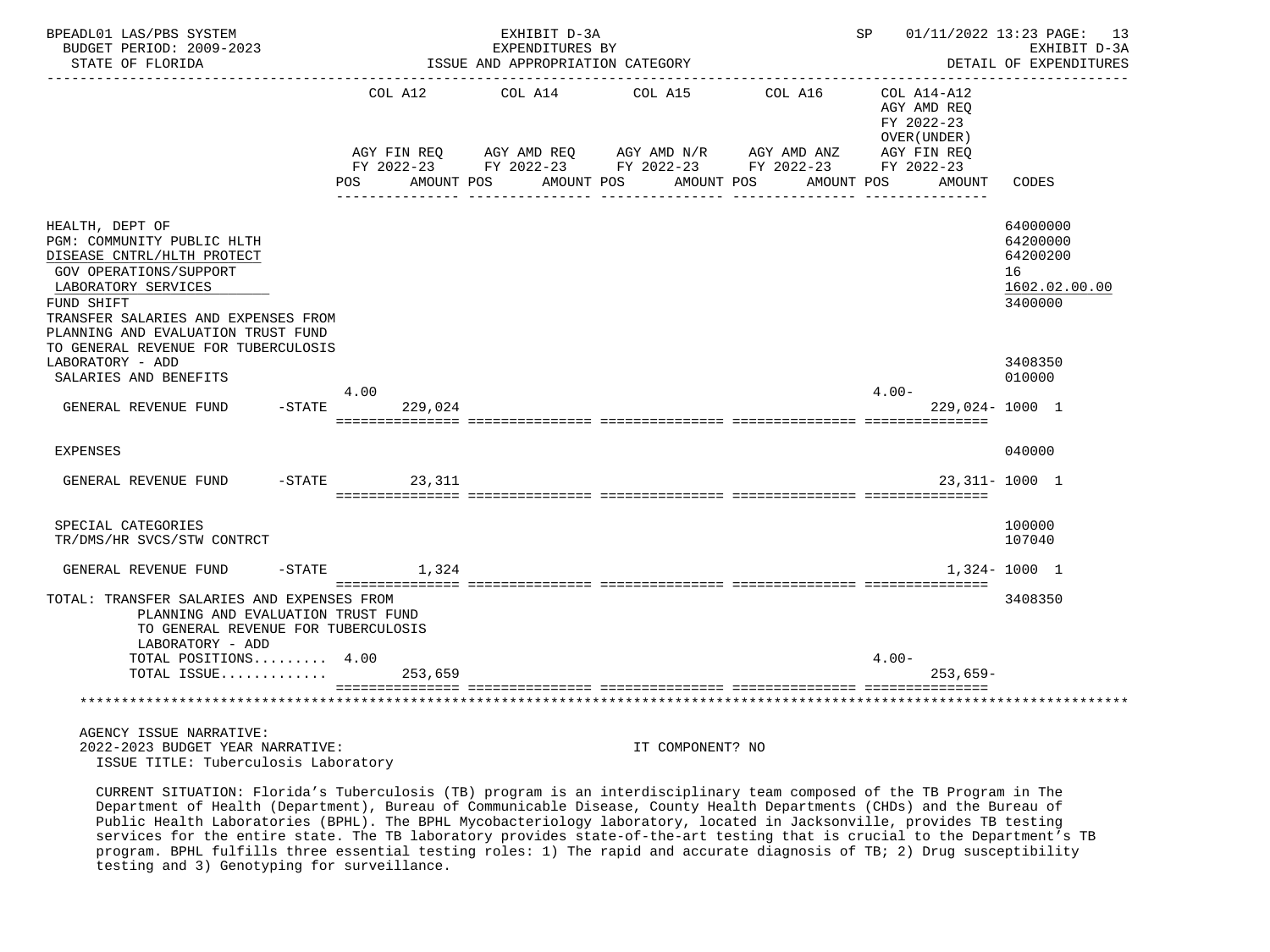| BPEADL01 LAS/PBS SYSTEM<br>BUDGET PERIOD: 2009-2023<br>STATE OF FLORIDA                                                                                                                                                 |           |                       | EXHIBIT D-3A<br>EXPENDITURES BY<br>ISSUE AND APPROPRIATION CATEGORY                                                                            |                  |            |                       |          |                                                          | SP 01/11/2022 13:23 PAGE: 13<br>EXHIBIT D-3A<br>DETAIL OF EXPENDITURES |  |
|-------------------------------------------------------------------------------------------------------------------------------------------------------------------------------------------------------------------------|-----------|-----------------------|------------------------------------------------------------------------------------------------------------------------------------------------|------------------|------------|-----------------------|----------|----------------------------------------------------------|------------------------------------------------------------------------|--|
|                                                                                                                                                                                                                         | POS       | COL A12<br>AMOUNT POS | COL A14<br>AGY FIN REQ AGY AMD REQ AGY AMD N/R AGY AMD ANZ AGY FIN REQ<br>FY 2022-23 FY 2022-23 FY 2022-23 FY 2022-23 FY 2022-23<br>AMOUNT POS | COL A15          | AMOUNT POS | COL A16<br>AMOUNT POS |          | COL A14-A12<br>AGY AMD REO<br>FY 2022-23<br>OVER (UNDER) |                                                                        |  |
|                                                                                                                                                                                                                         |           |                       |                                                                                                                                                |                  |            |                       |          | AMOUNT                                                   | CODES                                                                  |  |
| HEALTH, DEPT OF<br>PGM: COMMUNITY PUBLIC HLTH<br>DISEASE CNTRL/HLTH PROTECT<br>GOV OPERATIONS/SUPPORT<br>LABORATORY SERVICES<br>FUND SHIFT<br>TRANSFER SALARIES AND EXPENSES FROM<br>PLANNING AND EVALUATION TRUST FUND |           |                       |                                                                                                                                                |                  |            |                       |          |                                                          | 64000000<br>64200000<br>64200200<br>16<br>1602.02.00.00<br>3400000     |  |
| TO GENERAL REVENUE FOR TUBERCULOSIS<br>LABORATORY - ADD                                                                                                                                                                 |           |                       |                                                                                                                                                |                  |            |                       |          |                                                          | 3408350                                                                |  |
| SALARIES AND BENEFITS                                                                                                                                                                                                   | 4.00      |                       |                                                                                                                                                |                  |            |                       | $4.00 -$ |                                                          | 010000                                                                 |  |
| GENERAL REVENUE FUND                                                                                                                                                                                                    | $-$ STATE | 229,024               |                                                                                                                                                |                  |            |                       |          | $229,024 - 1000$ 1                                       |                                                                        |  |
| <b>EXPENSES</b>                                                                                                                                                                                                         |           |                       |                                                                                                                                                |                  |            |                       |          |                                                          | 040000                                                                 |  |
| GENERAL REVENUE FUND                                                                                                                                                                                                    | $-$ STATE | 23,311                |                                                                                                                                                |                  |            |                       |          |                                                          | 23, 311 - 1000 1                                                       |  |
| SPECIAL CATEGORIES<br>TR/DMS/HR SVCS/STW CONTRCT                                                                                                                                                                        |           |                       |                                                                                                                                                |                  |            |                       |          |                                                          | 100000<br>107040                                                       |  |
| GENERAL REVENUE FUND                                                                                                                                                                                                    |           | $-STATE$ 1,324        |                                                                                                                                                |                  |            |                       |          |                                                          | $1,324 - 1000$ 1                                                       |  |
| TOTAL: TRANSFER SALARIES AND EXPENSES FROM<br>PLANNING AND EVALUATION TRUST FUND<br>TO GENERAL REVENUE FOR TUBERCULOSIS<br>LABORATORY - ADD                                                                             |           |                       |                                                                                                                                                |                  |            |                       |          |                                                          | 3408350                                                                |  |
| TOTAL POSITIONS 4.00<br>TOTAL ISSUE                                                                                                                                                                                     |           | 253,659               |                                                                                                                                                |                  |            |                       | $4.00 -$ | $253.659-$                                               |                                                                        |  |
|                                                                                                                                                                                                                         |           |                       |                                                                                                                                                |                  |            |                       |          |                                                          |                                                                        |  |
| AGENCY ISSUE NARRATIVE:<br>2022-2023 BUDGET YEAR NARRATIVE:<br>ISSUE TITLE: Tuberculosis Laboratory                                                                                                                     |           |                       |                                                                                                                                                | IT COMPONENT? NO |            |                       |          |                                                          |                                                                        |  |

 CURRENT SITUATION: Florida's Tuberculosis (TB) program is an interdisciplinary team composed of the TB Program in The Department of Health (Department), Bureau of Communicable Disease, County Health Departments (CHDs) and the Bureau of Public Health Laboratories (BPHL). The BPHL Mycobacteriology laboratory, located in Jacksonville, provides TB testing services for the entire state. The TB laboratory provides state-of-the-art testing that is crucial to the Department's TB program. BPHL fulfills three essential testing roles: 1) The rapid and accurate diagnosis of TB; 2) Drug susceptibility testing and 3) Genotyping for surveillance.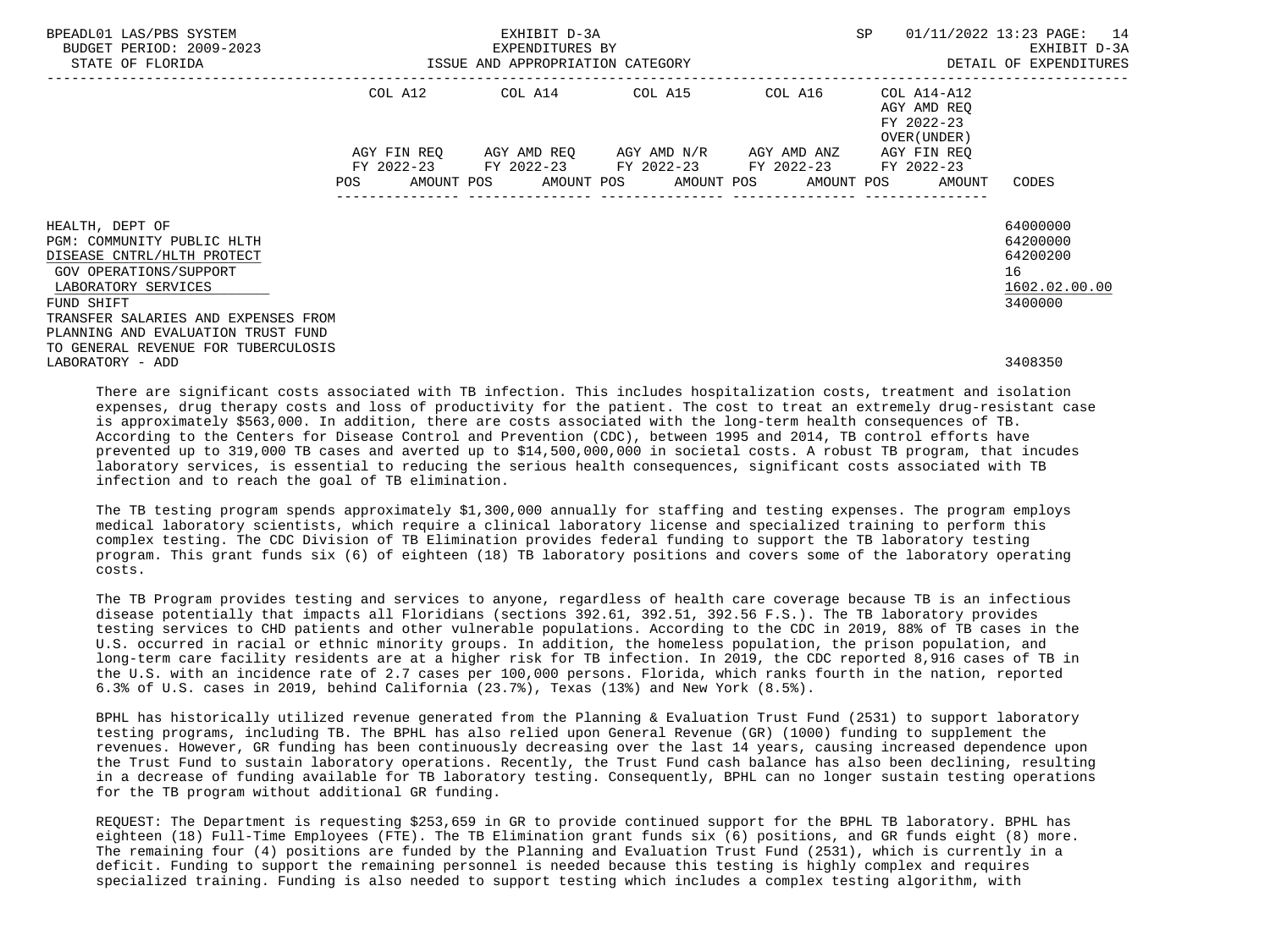| BPEADL01 LAS/PBS SYSTEM<br>BUDGET PERIOD: 2009-2023<br>STATE OF FLORIDA                                                                                                                                                                                        | SP<br>EXHIBIT D-3A<br>EXPENDITURES BY<br>ISSUE AND APPROPRIATION CATEGORY |             |  |  |  |                                                                                                                                  |  |            | $01/11/2022$ 13:23 PAGE: 14<br>EXHIBIT D-3A<br>DETAIL OF EXPENDITURES |                                                          |                                                                    |
|----------------------------------------------------------------------------------------------------------------------------------------------------------------------------------------------------------------------------------------------------------------|---------------------------------------------------------------------------|-------------|--|--|--|----------------------------------------------------------------------------------------------------------------------------------|--|------------|-----------------------------------------------------------------------|----------------------------------------------------------|--------------------------------------------------------------------|
|                                                                                                                                                                                                                                                                |                                                                           |             |  |  |  | COL A12 COL A14 COL A15 COL A16                                                                                                  |  |            |                                                                       | COL A14-A12<br>AGY AMD REO<br>FY 2022-23<br>OVER (UNDER) |                                                                    |
|                                                                                                                                                                                                                                                                | POS                                                                       | AGY FIN REQ |  |  |  | AGY AMD REO      AGY AMD N/R      AGY AMD ANZ<br>FY 2022-23 FY 2022-23 FY 2022-23 FY 2022-23<br>AMOUNT POS AMOUNT POS AMOUNT POS |  | AMOUNT POS |                                                                       | AGY FIN REO<br>FY 2022-23<br>AMOUNT                      | CODES                                                              |
| HEALTH, DEPT OF<br>PGM: COMMUNITY PUBLIC HLTH<br>DISEASE CNTRL/HLTH PROTECT<br>GOV OPERATIONS/SUPPORT<br>LABORATORY SERVICES<br>FUND SHIFT<br>TRANSFER SALARIES AND EXPENSES FROM<br>PLANNING AND EVALUATION TRUST FUND<br>TO GENERAL REVENUE FOR TUBERCULOSIS |                                                                           |             |  |  |  |                                                                                                                                  |  |            |                                                                       |                                                          | 64000000<br>64200000<br>64200200<br>16<br>1602.02.00.00<br>3400000 |
| LABORATORY - ADD                                                                                                                                                                                                                                               |                                                                           |             |  |  |  |                                                                                                                                  |  |            |                                                                       |                                                          | 3408350                                                            |

 There are significant costs associated with TB infection. This includes hospitalization costs, treatment and isolation expenses, drug therapy costs and loss of productivity for the patient. The cost to treat an extremely drug-resistant case is approximately \$563,000. In addition, there are costs associated with the long-term health consequences of TB. According to the Centers for Disease Control and Prevention (CDC), between 1995 and 2014, TB control efforts have prevented up to 319,000 TB cases and averted up to \$14,500,000,000 in societal costs. A robust TB program, that incudes laboratory services, is essential to reducing the serious health consequences, significant costs associated with TB infection and to reach the goal of TB elimination.

 The TB testing program spends approximately \$1,300,000 annually for staffing and testing expenses. The program employs medical laboratory scientists, which require a clinical laboratory license and specialized training to perform this complex testing. The CDC Division of TB Elimination provides federal funding to support the TB laboratory testing program. This grant funds six (6) of eighteen (18) TB laboratory positions and covers some of the laboratory operating costs.

 The TB Program provides testing and services to anyone, regardless of health care coverage because TB is an infectious disease potentially that impacts all Floridians (sections 392.61, 392.51, 392.56 F.S.). The TB laboratory provides testing services to CHD patients and other vulnerable populations. According to the CDC in 2019, 88% of TB cases in the U.S. occurred in racial or ethnic minority groups. In addition, the homeless population, the prison population, and long-term care facility residents are at a higher risk for TB infection. In 2019, the CDC reported 8,916 cases of TB in the U.S. with an incidence rate of 2.7 cases per 100,000 persons. Florida, which ranks fourth in the nation, reported 6.3% of U.S. cases in 2019, behind California (23.7%), Texas (13%) and New York (8.5%).

 BPHL has historically utilized revenue generated from the Planning & Evaluation Trust Fund (2531) to support laboratory testing programs, including TB. The BPHL has also relied upon General Revenue (GR) (1000) funding to supplement the revenues. However, GR funding has been continuously decreasing over the last 14 years, causing increased dependence upon the Trust Fund to sustain laboratory operations. Recently, the Trust Fund cash balance has also been declining, resulting in a decrease of funding available for TB laboratory testing. Consequently, BPHL can no longer sustain testing operations for the TB program without additional GR funding.

 REQUEST: The Department is requesting \$253,659 in GR to provide continued support for the BPHL TB laboratory. BPHL has eighteen (18) Full-Time Employees (FTE). The TB Elimination grant funds six (6) positions, and GR funds eight (8) more. The remaining four (4) positions are funded by the Planning and Evaluation Trust Fund (2531), which is currently in a deficit. Funding to support the remaining personnel is needed because this testing is highly complex and requires specialized training. Funding is also needed to support testing which includes a complex testing algorithm, with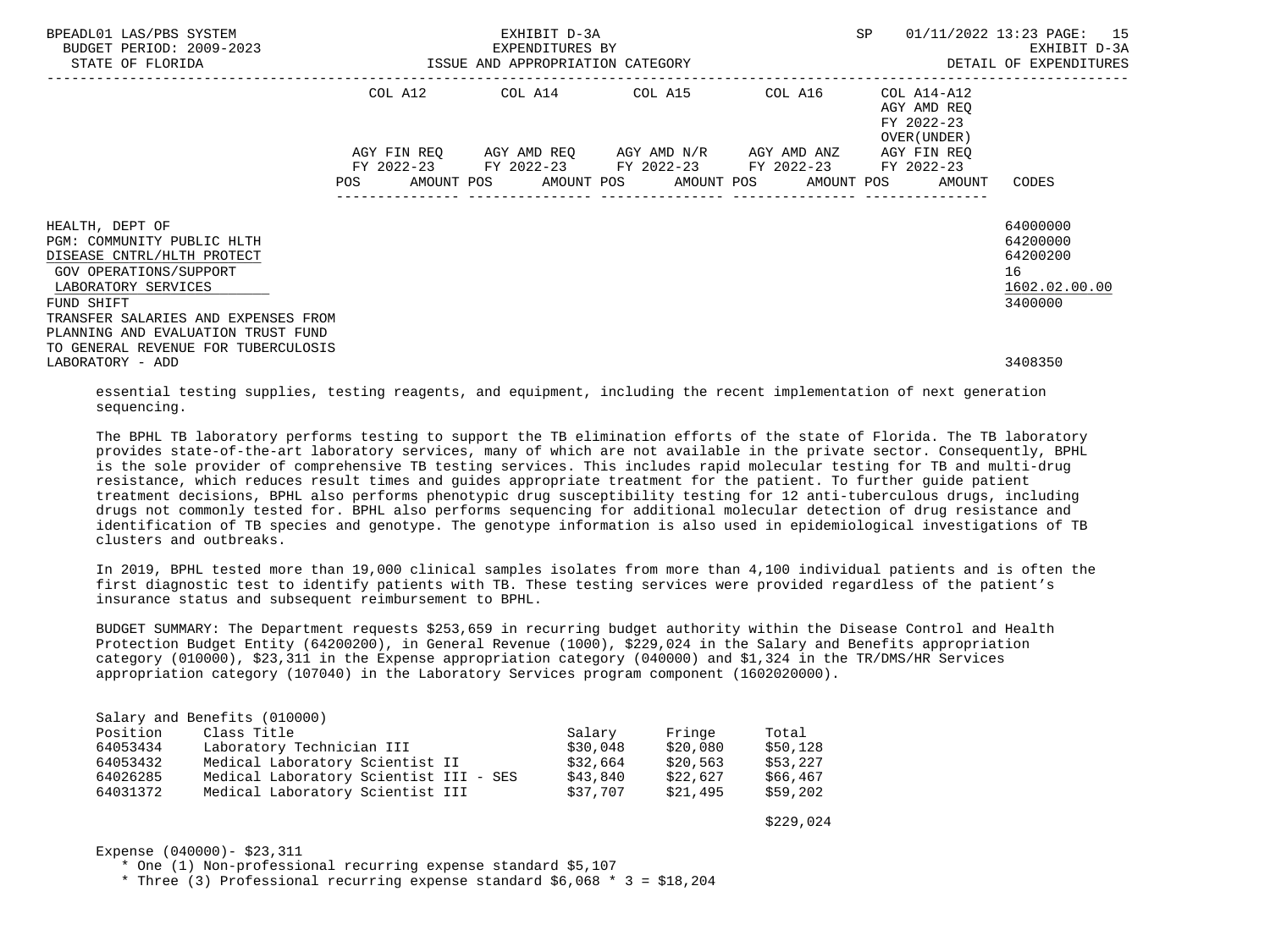| BPEADL01 LAS/PBS SYSTEM<br>BUDGET PERIOD: 2009-2023<br>STATE OF FLORIDA     | ISSUE AND APPROPRIATION CATEGORY | EXHIBIT D-3A<br>EXPENDITURES BY |                                                                                                                                                          | SP                                                       | 01/11/2022 13:23 PAGE: 15<br>EXHIBIT D-3A<br>DETAIL OF EXPENDITURES |
|-----------------------------------------------------------------------------|----------------------------------|---------------------------------|----------------------------------------------------------------------------------------------------------------------------------------------------------|----------------------------------------------------------|---------------------------------------------------------------------|
|                                                                             |                                  | . _ _ _ _ _ _ _ _ _ _ _ _ _ _ _ |                                                                                                                                                          |                                                          |                                                                     |
|                                                                             |                                  |                                 | COL A12 COL A14 COL A15 COL A16                                                                                                                          | COL A14-A12<br>AGY AMD REO<br>FY 2022-23<br>OVER (UNDER) |                                                                     |
|                                                                             | AGY FIN REO<br><b>POS</b>        |                                 | AGY AMD REQ       AGY AMD N/R       AGY AMD ANZ<br>FY 2022-23 FY 2022-23 FY 2022-23 FY 2022-23 FY 2022-23<br>AMOUNT POS AMOUNT POS AMOUNT POS AMOUNT POS | AGY FIN REO<br>AMOUNT                                    | CODES                                                               |
|                                                                             |                                  |                                 |                                                                                                                                                          |                                                          |                                                                     |
| HEALTH, DEPT OF<br>PGM: COMMUNITY PUBLIC HLTH<br>DISEASE CNTRL/HLTH PROTECT |                                  |                                 |                                                                                                                                                          |                                                          | 64000000<br>64200000<br>64200200                                    |
| GOV OPERATIONS/SUPPORT<br>LABORATORY SERVICES                               |                                  |                                 |                                                                                                                                                          |                                                          | 16<br>1602.02.00.00                                                 |
| FUND SHIFT                                                                  |                                  |                                 |                                                                                                                                                          |                                                          | 3400000                                                             |
| TRANSFER SALARIES AND EXPENSES FROM                                         |                                  |                                 |                                                                                                                                                          |                                                          |                                                                     |
| PLANNING AND EVALUATION TRUST FUND                                          |                                  |                                 |                                                                                                                                                          |                                                          |                                                                     |
| TO GENERAL REVENUE FOR TUBERCULOSIS<br>LABORATORY - ADD                     |                                  |                                 |                                                                                                                                                          |                                                          | 3408350                                                             |

 essential testing supplies, testing reagents, and equipment, including the recent implementation of next generation sequencing.

 The BPHL TB laboratory performs testing to support the TB elimination efforts of the state of Florida. The TB laboratory provides state-of-the-art laboratory services, many of which are not available in the private sector. Consequently, BPHL is the sole provider of comprehensive TB testing services. This includes rapid molecular testing for TB and multi-drug resistance, which reduces result times and guides appropriate treatment for the patient. To further guide patient treatment decisions, BPHL also performs phenotypic drug susceptibility testing for 12 anti-tuberculous drugs, including drugs not commonly tested for. BPHL also performs sequencing for additional molecular detection of drug resistance and identification of TB species and genotype. The genotype information is also used in epidemiological investigations of TB clusters and outbreaks.

 In 2019, BPHL tested more than 19,000 clinical samples isolates from more than 4,100 individual patients and is often the first diagnostic test to identify patients with TB. These testing services were provided regardless of the patient's insurance status and subsequent reimbursement to BPHL.

 BUDGET SUMMARY: The Department requests \$253,659 in recurring budget authority within the Disease Control and Health Protection Budget Entity (64200200), in General Revenue (1000), \$229,024 in the Salary and Benefits appropriation category (010000), \$23,311 in the Expense appropriation category (040000) and \$1,324 in the TR/DMS/HR Services appropriation category (107040) in the Laboratory Services program component (1602020000).

|          | Salary and Benefits (010000)           |          |          |          |
|----------|----------------------------------------|----------|----------|----------|
| Position | Class Title                            | Salary   | Fringe   | Total    |
| 64053434 | Laboratory Technician III              | \$30,048 | \$20,080 | \$50,128 |
| 64053432 | Medical Laboratory Scientist II        | \$32,664 | \$20,563 | \$53,227 |
| 64026285 | Medical Laboratory Scientist III - SES | \$43,840 | \$22,627 | \$66,467 |
| 64031372 | Medical Laboratory Scientist III       | \$37.707 | \$21,495 | \$59,202 |

 $$229,024$ 

Expense (040000)- \$23,311

\* One (1) Non-professional recurring expense standard \$5,107

\* Three (3) Professional recurring expense standard \$6,068 \* 3 = \$18,204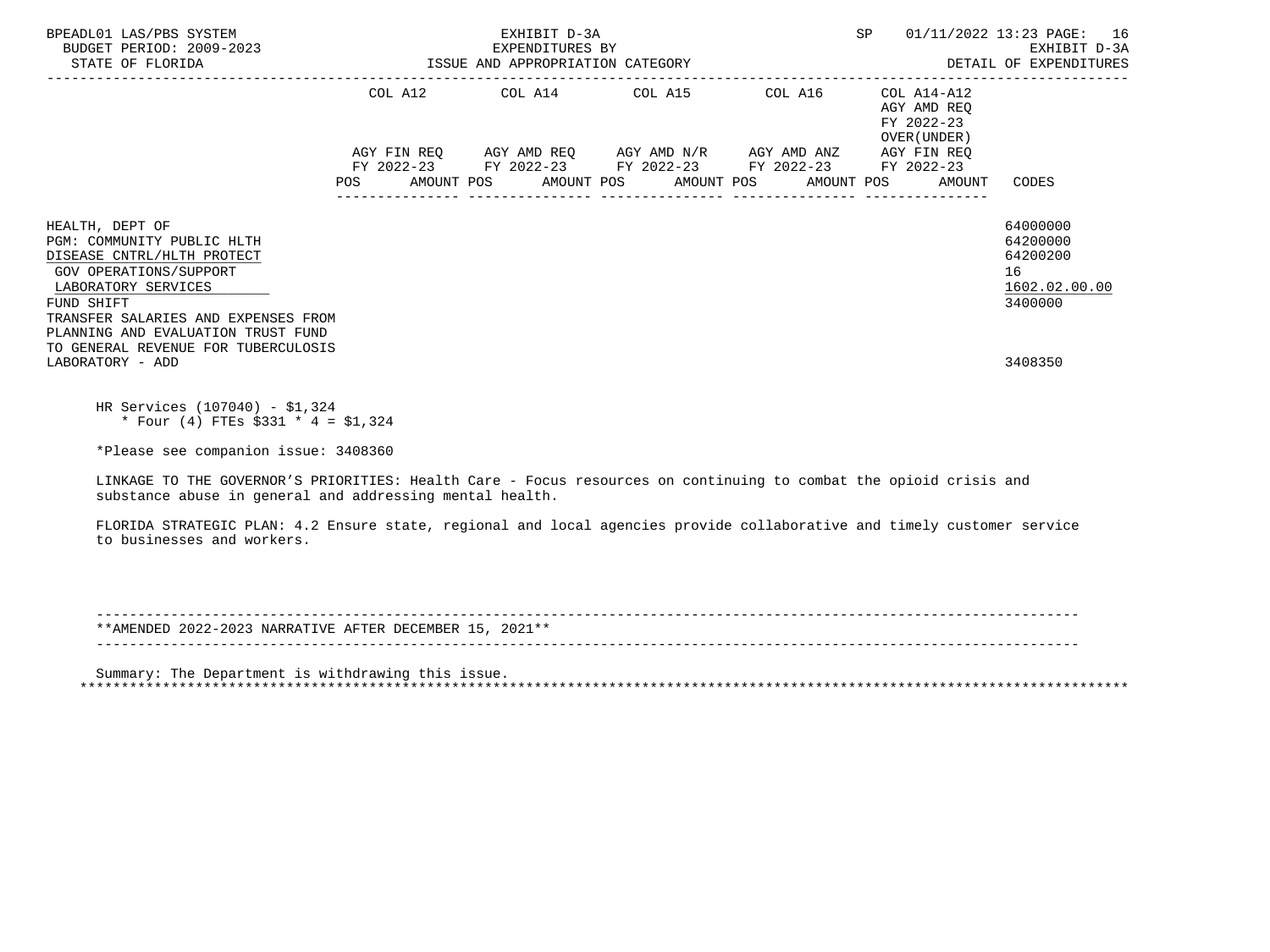| BPEADL01 LAS/PBS SYSTEM<br>BUDGET PERIOD: 2009-2023<br>STATE OF FLORIDA                                                                                                                                                 |     | EXHIBIT D-3A<br>EXPENDITURES BY<br>ISSUE AND APPROPRIATION CATEGORY |                                                                                                                                                                                              | SP 01/11/2022 13:23 PAGE: 16<br>EXHIBIT D-3A<br>DETAIL OF EXPENDITURES           |                                                                    |  |
|-------------------------------------------------------------------------------------------------------------------------------------------------------------------------------------------------------------------------|-----|---------------------------------------------------------------------|----------------------------------------------------------------------------------------------------------------------------------------------------------------------------------------------|----------------------------------------------------------------------------------|--------------------------------------------------------------------|--|
|                                                                                                                                                                                                                         | POS |                                                                     | COL A12 COL A14 COL A15 COL A16<br>AGY FIN REQ AGY AMD REQ AGY AMD N/R AGY AMD ANZ AGY FIN REQ<br>FY 2022-23 FY 2022-23 FY 2022-23 FY 2022-23 FY 2022-23<br>AMOUNT POS AMOUNT POS AMOUNT POS | COL A14-A12<br>AGY AMD REO<br>FY 2022-23<br>OVER (UNDER)<br>AMOUNT POS<br>AMOUNT | CODES                                                              |  |
| HEALTH, DEPT OF<br>PGM: COMMUNITY PUBLIC HLTH<br>DISEASE CNTRL/HLTH PROTECT<br>GOV OPERATIONS/SUPPORT<br>LABORATORY SERVICES<br>FUND SHIFT<br>TRANSFER SALARIES AND EXPENSES FROM<br>PLANNING AND EVALUATION TRUST FUND |     |                                                                     |                                                                                                                                                                                              |                                                                                  | 64000000<br>64200000<br>64200200<br>16<br>1602.02.00.00<br>3400000 |  |
| TO GENERAL REVENUE FOR TUBERCULOSIS<br>LABORATORY - ADD                                                                                                                                                                 |     |                                                                     |                                                                                                                                                                                              |                                                                                  | 3408350                                                            |  |
| HR Services (107040) - \$1,324<br>* Four (4) FTES \$331 * 4 = \$1,324                                                                                                                                                   |     |                                                                     |                                                                                                                                                                                              |                                                                                  |                                                                    |  |
| *Please see companion issue: 3408360                                                                                                                                                                                    |     |                                                                     |                                                                                                                                                                                              |                                                                                  |                                                                    |  |
| LINKAGE TO THE GOVERNOR'S PRIORITIES: Health Care - Focus resources on continuing to combat the opioid crisis and<br>substance abuse in general and addressing mental health.                                           |     |                                                                     |                                                                                                                                                                                              |                                                                                  |                                                                    |  |
| FLORIDA STRATEGIC PLAN: 4.2 Ensure state, regional and local agencies provide collaborative and timely customer service<br>to businesses and workers.                                                                   |     |                                                                     |                                                                                                                                                                                              |                                                                                  |                                                                    |  |
|                                                                                                                                                                                                                         |     |                                                                     |                                                                                                                                                                                              |                                                                                  |                                                                    |  |
| **AMENDED 2022-2023 NARRATIVE AFTER DECEMBER 15, 2021**                                                                                                                                                                 |     |                                                                     |                                                                                                                                                                                              |                                                                                  |                                                                    |  |
| Summary: The Department is withdrawing this issue.                                                                                                                                                                      |     |                                                                     |                                                                                                                                                                                              |                                                                                  |                                                                    |  |
|                                                                                                                                                                                                                         |     |                                                                     |                                                                                                                                                                                              |                                                                                  |                                                                    |  |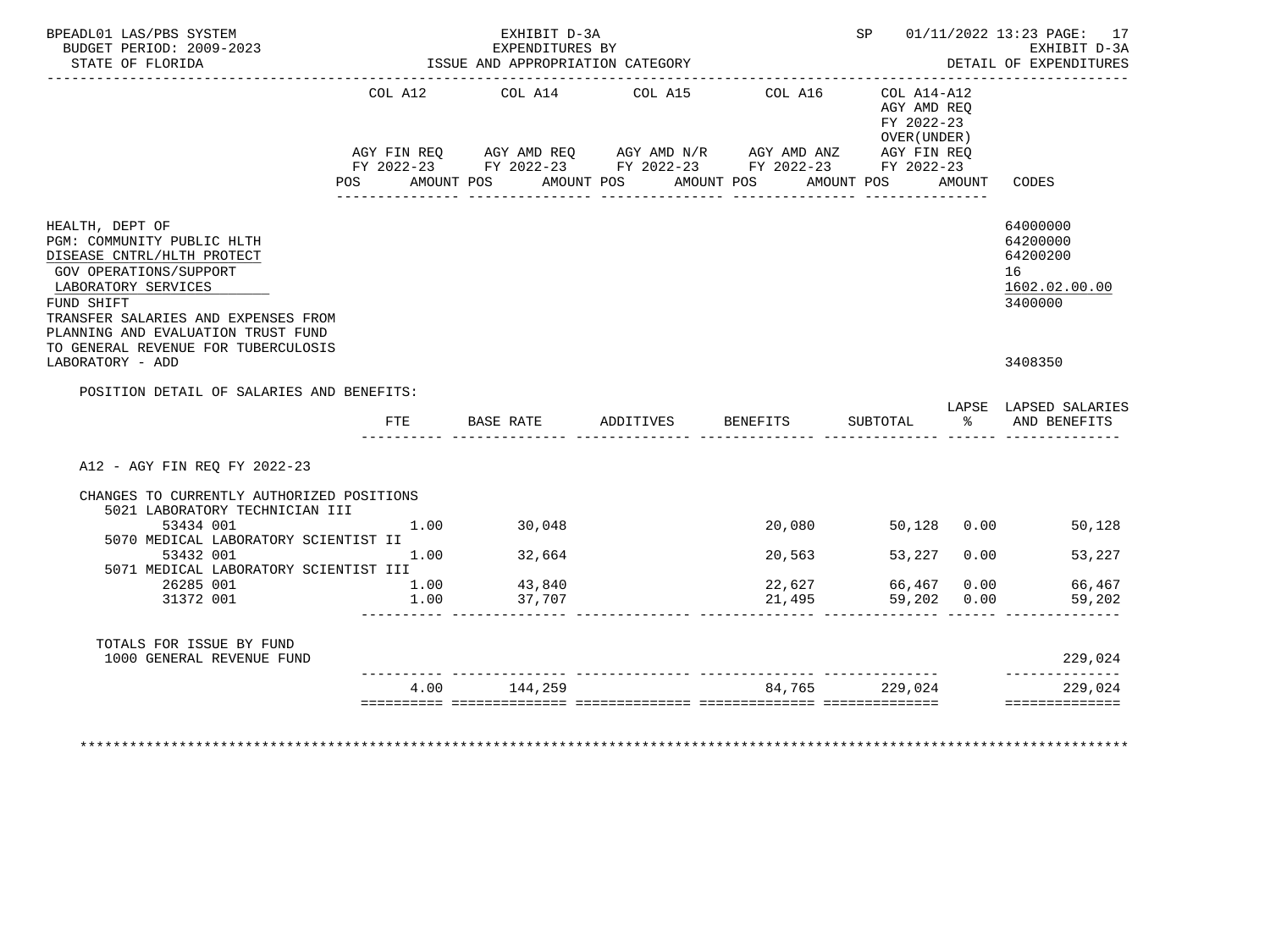| BPEADL01 LAS/PBS SYSTEM<br>BUDGET PERIOD: 2009-2023<br>STATE OF FLORIDA                                                                                                                                                 |      | EXHIBIT D-3A<br>EXPENDITURES BY<br>ISSUE AND APPROPRIATION CATEGORY<br>------------------------------------- |                                                                                                                                     |                       |                                                                        | SP 01/11/2022 13:23 PAGE: 17<br>EXHIBIT D-3A<br>DETAIL OF EXPENDITURES |
|-------------------------------------------------------------------------------------------------------------------------------------------------------------------------------------------------------------------------|------|--------------------------------------------------------------------------------------------------------------|-------------------------------------------------------------------------------------------------------------------------------------|-----------------------|------------------------------------------------------------------------|------------------------------------------------------------------------|
|                                                                                                                                                                                                                         | POS  | COL A12 COL A14 COL A15<br>AMOUNT POS                                                                        | AGY FIN REQ AGY AMD REQ AGY AMD N/R AGY AMD ANZ AGY FIN REQ<br>FY 2022-23 FY 2022-23 FY 2022-23 FY 2022-23 FY 2022-23<br>AMOUNT POS | COL A16<br>AMOUNT POS | COL A14-A12<br>AGY AMD REO<br>FY 2022-23<br>OVER (UNDER)<br>AMOUNT POS | AMOUNT CODES                                                           |
| HEALTH, DEPT OF<br>PGM: COMMUNITY PUBLIC HLTH<br>DISEASE CNTRL/HLTH PROTECT<br>GOV OPERATIONS/SUPPORT<br>LABORATORY SERVICES<br>FUND SHIFT<br>TRANSFER SALARIES AND EXPENSES FROM<br>PLANNING AND EVALUATION TRUST FUND |      |                                                                                                              |                                                                                                                                     |                       |                                                                        | 64000000<br>64200000<br>64200200<br>16<br>1602.02.00.00<br>3400000     |
| TO GENERAL REVENUE FOR TUBERCULOSIS<br>LABORATORY - ADD                                                                                                                                                                 |      |                                                                                                              |                                                                                                                                     |                       |                                                                        | 3408350                                                                |
| POSITION DETAIL OF SALARIES AND BENEFITS:                                                                                                                                                                               | FTE  |                                                                                                              | BASE RATE ADDITIVES BENEFITS                                                                                                        |                       |                                                                        | LAPSE LAPSED SALARIES<br>SUBTOTAL $\frac{1}{6}$ AND BENEFITS           |
| A12 - AGY FIN REQ FY 2022-23                                                                                                                                                                                            |      |                                                                                                              |                                                                                                                                     |                       |                                                                        |                                                                        |
| CHANGES TO CURRENTLY AUTHORIZED POSITIONS<br>5021 LABORATORY TECHNICIAN III                                                                                                                                             |      |                                                                                                              |                                                                                                                                     |                       |                                                                        |                                                                        |
| 53434 001<br>5070 MEDICAL LABORATORY SCIENTIST II                                                                                                                                                                       |      | 1.00 30,048                                                                                                  |                                                                                                                                     | 20,080                | 50,128 0.00                                                            | 50,128                                                                 |
| 53432 001<br>5071 MEDICAL LABORATORY SCIENTIST III                                                                                                                                                                      | 1.00 | 32,664                                                                                                       |                                                                                                                                     | 20,563                | 53,227 0.00                                                            | 53,227                                                                 |
| 26285 001                                                                                                                                                                                                               |      | 43,840                                                                                                       |                                                                                                                                     |                       |                                                                        | 66,467 0.00 66,467                                                     |
| 31372 001                                                                                                                                                                                                               | 1.00 | 37,707                                                                                                       |                                                                                                                                     | 21,495                |                                                                        | 59,202                                                                 |
| TOTALS FOR ISSUE BY FUND<br>1000 GENERAL REVENUE FUND                                                                                                                                                                   |      |                                                                                                              |                                                                                                                                     |                       |                                                                        | 229,024                                                                |
|                                                                                                                                                                                                                         |      | 4.00 144,259                                                                                                 |                                                                                                                                     |                       | 84,765 229,024                                                         | --------------<br>229,024                                              |
|                                                                                                                                                                                                                         | 1.00 |                                                                                                              |                                                                                                                                     | 22,627                |                                                                        | 59,202 0.00                                                            |

\*\*\*\*\*\*\*\*\*\*\*\*\*\*\*\*\*\*\*\*\*\*\*\*\*\*\*\*\*\*\*\*\*\*\*\*\*\*\*\*\*\*\*\*\*\*\*\*\*\*\*\*\*\*\*\*\*\*\*\*\*\*\*\*\*\*\*\*\*\*\*\*\*\*\*\*\*\*\*\*\*\*\*\*\*\*\*\*\*\*\*\*\*\*\*\*\*\*\*\*\*\*\*\*\*\*\*\*\*\*\*\*\*\*\*\*\*\*\*\*\*\*\*\*\*\*\*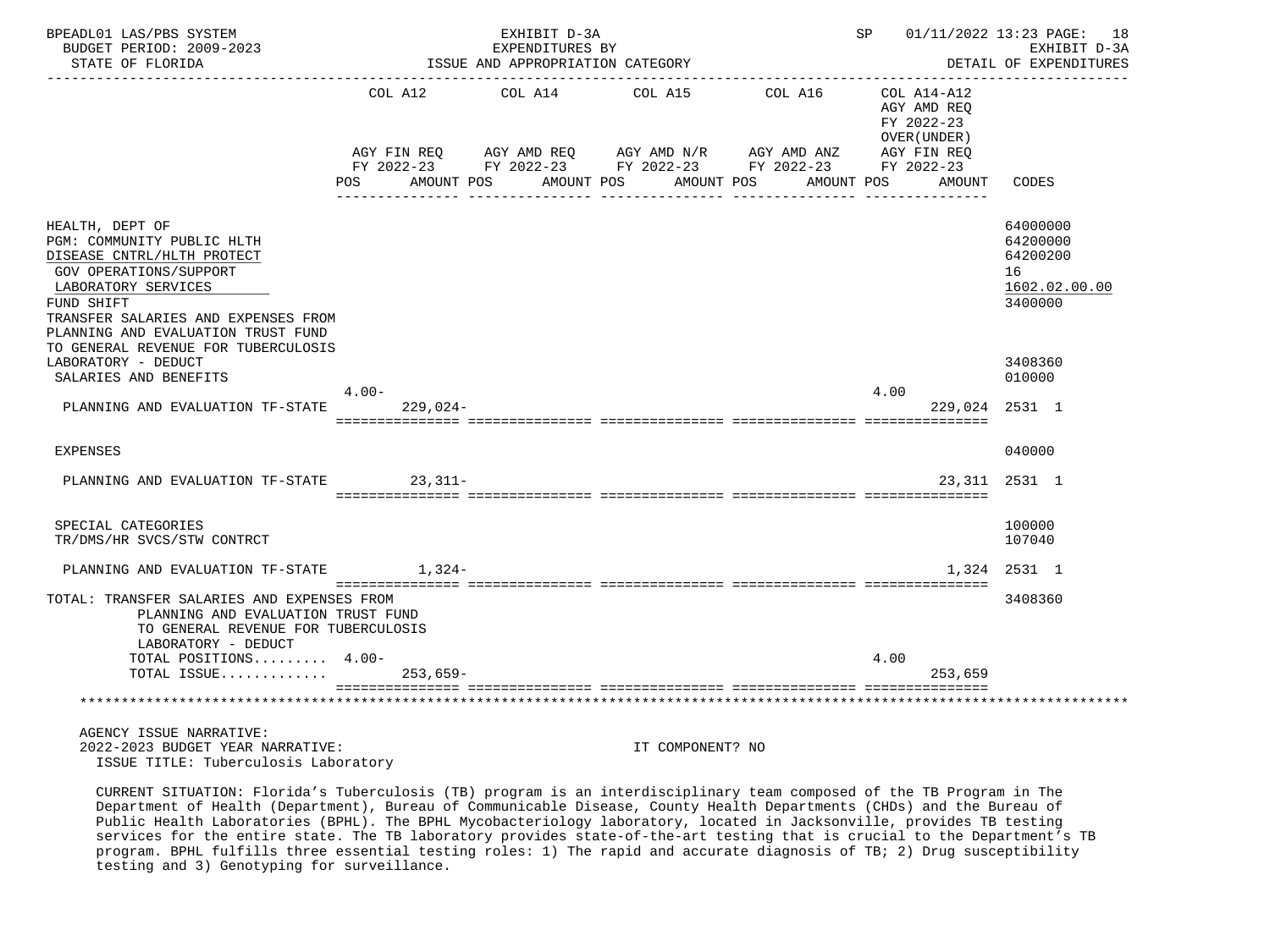| BPEADL01 LAS/PBS SYSTEM<br>BUDGET PERIOD: 2009-2023<br>STATE OF FLORIDA                                                                        |                       | EXHIBIT D-3A<br>EXPENDITURES BY<br>ISSUE AND APPROPRIATION CATEGORY |                          |                                                             | SP 01/11/2022 13:23 PAGE: 18                             | EXHIBIT D-3A<br>DETAIL OF EXPENDITURES |
|------------------------------------------------------------------------------------------------------------------------------------------------|-----------------------|---------------------------------------------------------------------|--------------------------|-------------------------------------------------------------|----------------------------------------------------------|----------------------------------------|
|                                                                                                                                                | COL A12               | COL A14                                                             | COL A15                  | COL A16                                                     | COL A14-A12<br>AGY AMD REO<br>FY 2022-23<br>OVER (UNDER) |                                        |
|                                                                                                                                                |                       |                                                                     |                          | AGY FIN REQ AGY AMD REQ AGY AMD N/R AGY AMD ANZ AGY FIN REQ |                                                          |                                        |
|                                                                                                                                                | AMOUNT POS<br>POS FOR |                                                                     | AMOUNT POS<br>AMOUNT POS | FY 2022-23 FY 2022-23 FY 2022-23 FY 2022-23 FY 2022-23      | AMOUNT POS<br>AMOUNT                                     | CODES                                  |
| HEALTH, DEPT OF<br>PGM: COMMUNITY PUBLIC HLTH<br>DISEASE CNTRL/HLTH PROTECT                                                                    |                       |                                                                     |                          |                                                             |                                                          | 64000000<br>64200000<br>64200200       |
| GOV OPERATIONS/SUPPORT<br>LABORATORY SERVICES<br>FUND SHIFT                                                                                    |                       |                                                                     |                          |                                                             |                                                          | 16<br>1602.02.00.00<br>3400000         |
| TRANSFER SALARIES AND EXPENSES FROM<br>PLANNING AND EVALUATION TRUST FUND<br>TO GENERAL REVENUE FOR TUBERCULOSIS<br>LABORATORY - DEDUCT        |                       |                                                                     |                          |                                                             |                                                          | 3408360                                |
| SALARIES AND BENEFITS                                                                                                                          |                       |                                                                     |                          |                                                             |                                                          | 010000                                 |
| PLANNING AND EVALUATION TF-STATE 229,024-                                                                                                      | $4 \cdot 00 -$        |                                                                     |                          |                                                             | 4.00<br>229,024 2531 1                                   |                                        |
| <b>EXPENSES</b>                                                                                                                                |                       |                                                                     |                          |                                                             |                                                          | 040000                                 |
| PLANNING AND EVALUATION TF-STATE                                                                                                               | $23,311-$             |                                                                     |                          |                                                             |                                                          | 23, 311 2531 1                         |
| SPECIAL CATEGORIES<br>TR/DMS/HR SVCS/STW CONTRCT                                                                                               |                       |                                                                     |                          |                                                             |                                                          | 100000<br>107040                       |
| PLANNING AND EVALUATION TF-STATE                                                                                                               | $1,324-$              |                                                                     |                          |                                                             |                                                          | 1,324 2531 1                           |
| TOTAL: TRANSFER SALARIES AND EXPENSES FROM<br>PLANNING AND EVALUATION TRUST FUND<br>TO GENERAL REVENUE FOR TUBERCULOSIS<br>LABORATORY - DEDUCT |                       |                                                                     |                          |                                                             |                                                          | 3408360                                |
| TOTAL POSITIONS $4.00-$<br>TOTAL ISSUE                                                                                                         | $253.659 -$           |                                                                     |                          |                                                             | 4.00<br>253,659                                          |                                        |
|                                                                                                                                                |                       |                                                                     |                          |                                                             |                                                          |                                        |
| AGENCY ISSUE NARRATIVE:<br>2022-2023 BUDGET YEAR NARRATIVE:<br>ISSUE TITLE: Tuberculosis Laboratory                                            |                       |                                                                     | IT COMPONENT? NO         |                                                             |                                                          |                                        |

 CURRENT SITUATION: Florida's Tuberculosis (TB) program is an interdisciplinary team composed of the TB Program in The Department of Health (Department), Bureau of Communicable Disease, County Health Departments (CHDs) and the Bureau of Public Health Laboratories (BPHL). The BPHL Mycobacteriology laboratory, located in Jacksonville, provides TB testing services for the entire state. The TB laboratory provides state-of-the-art testing that is crucial to the Department's TB program. BPHL fulfills three essential testing roles: 1) The rapid and accurate diagnosis of TB; 2) Drug susceptibility testing and 3) Genotyping for surveillance.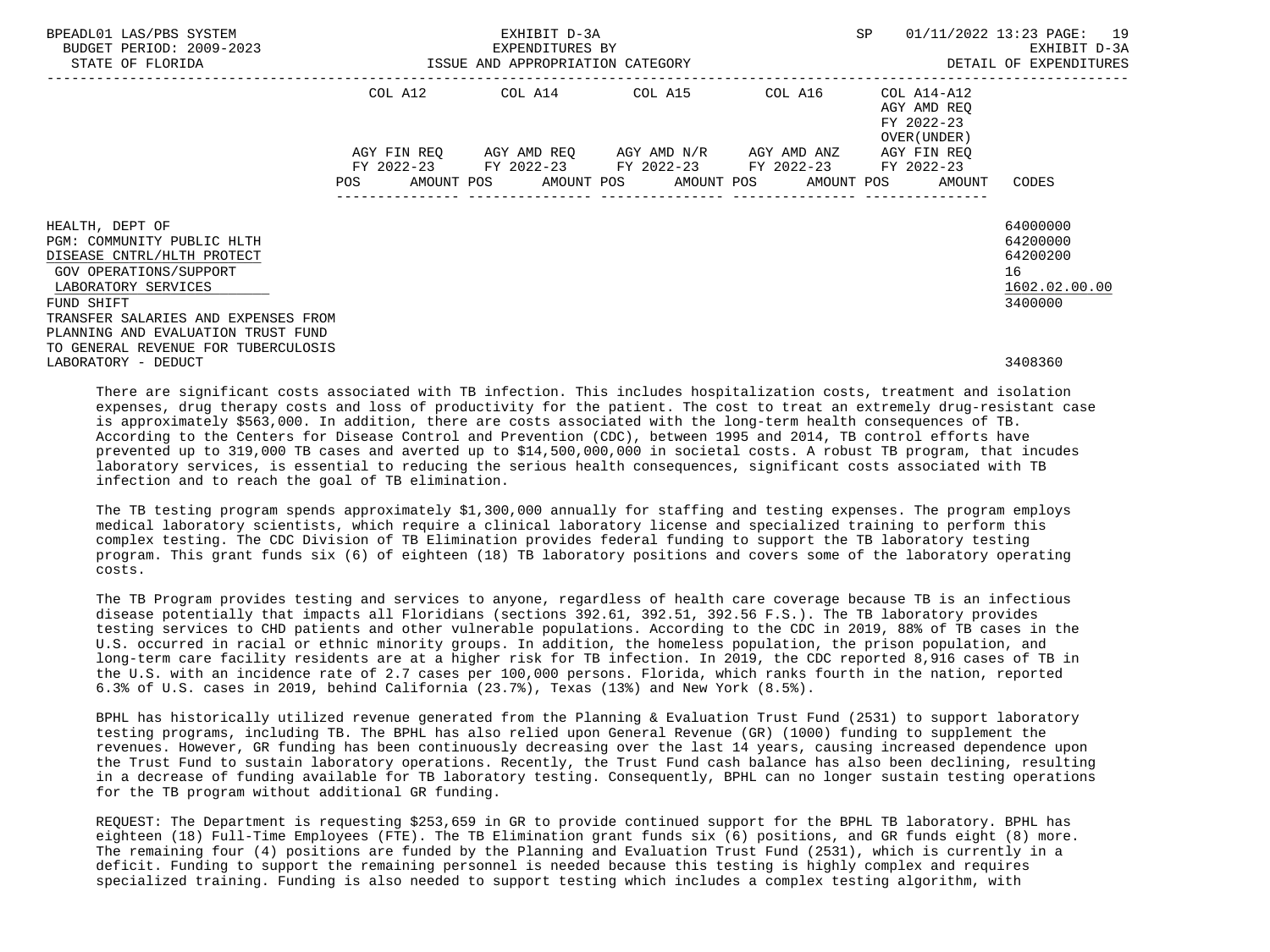| BPEADL01 LAS/PBS SYSTEM<br>BUDGET PERIOD: 2009-2023<br>STATE OF FLORIDA                                                                                                                                                                                        |     | EXHIBIT D-3A<br>EXPENDITURES BY<br>ISSUE AND APPROPRIATION CATEGORY                                                                           |  | <b>SP</b>                   | 01/11/2022 13:23 PAGE: 19<br>EXHIBIT D-3A<br>DETAIL OF EXPENDITURES |                                                                    |
|----------------------------------------------------------------------------------------------------------------------------------------------------------------------------------------------------------------------------------------------------------------|-----|-----------------------------------------------------------------------------------------------------------------------------------------------|--|-----------------------------|---------------------------------------------------------------------|--------------------------------------------------------------------|
|                                                                                                                                                                                                                                                                |     | COL A12 COL A14 COL A15 COL A16                                                                                                               |  | --------------------------- | COL A14-A12<br>AGY AMD REO<br>FY 2022-23<br>OVER (UNDER)            |                                                                    |
|                                                                                                                                                                                                                                                                | POS | AGY FIN REO AGY AMD REO AGY AMD N/R AGY AMD ANZ<br>FY 2022-23 FY 2022-23 FY 2022-23 FY 2022-23<br>AMOUNT POS AMOUNT POS AMOUNT POS AMOUNT POS |  |                             | AGY FIN REO<br>FY 2022-23<br>AMOUNT                                 | CODES                                                              |
| HEALTH, DEPT OF<br>PGM: COMMUNITY PUBLIC HLTH<br>DISEASE CNTRL/HLTH PROTECT<br>GOV OPERATIONS/SUPPORT<br>LABORATORY SERVICES<br>FUND SHIFT<br>TRANSFER SALARIES AND EXPENSES FROM<br>PLANNING AND EVALUATION TRUST FUND<br>TO GENERAL REVENUE FOR TUBERCULOSIS |     |                                                                                                                                               |  |                             |                                                                     | 64000000<br>64200000<br>64200200<br>16<br>1602.02.00.00<br>3400000 |
| LABORATORY - DEDUCT                                                                                                                                                                                                                                            |     |                                                                                                                                               |  |                             |                                                                     | 3408360                                                            |

 There are significant costs associated with TB infection. This includes hospitalization costs, treatment and isolation expenses, drug therapy costs and loss of productivity for the patient. The cost to treat an extremely drug-resistant case is approximately \$563,000. In addition, there are costs associated with the long-term health consequences of TB. According to the Centers for Disease Control and Prevention (CDC), between 1995 and 2014, TB control efforts have prevented up to 319,000 TB cases and averted up to \$14,500,000,000 in societal costs. A robust TB program, that incudes laboratory services, is essential to reducing the serious health consequences, significant costs associated with TB infection and to reach the goal of TB elimination.

 The TB testing program spends approximately \$1,300,000 annually for staffing and testing expenses. The program employs medical laboratory scientists, which require a clinical laboratory license and specialized training to perform this complex testing. The CDC Division of TB Elimination provides federal funding to support the TB laboratory testing program. This grant funds six (6) of eighteen (18) TB laboratory positions and covers some of the laboratory operating costs.

 The TB Program provides testing and services to anyone, regardless of health care coverage because TB is an infectious disease potentially that impacts all Floridians (sections 392.61, 392.51, 392.56 F.S.). The TB laboratory provides testing services to CHD patients and other vulnerable populations. According to the CDC in 2019, 88% of TB cases in the U.S. occurred in racial or ethnic minority groups. In addition, the homeless population, the prison population, and long-term care facility residents are at a higher risk for TB infection. In 2019, the CDC reported 8,916 cases of TB in the U.S. with an incidence rate of 2.7 cases per 100,000 persons. Florida, which ranks fourth in the nation, reported 6.3% of U.S. cases in 2019, behind California (23.7%), Texas (13%) and New York (8.5%).

 BPHL has historically utilized revenue generated from the Planning & Evaluation Trust Fund (2531) to support laboratory testing programs, including TB. The BPHL has also relied upon General Revenue (GR) (1000) funding to supplement the revenues. However, GR funding has been continuously decreasing over the last 14 years, causing increased dependence upon the Trust Fund to sustain laboratory operations. Recently, the Trust Fund cash balance has also been declining, resulting in a decrease of funding available for TB laboratory testing. Consequently, BPHL can no longer sustain testing operations for the TB program without additional GR funding.

 REQUEST: The Department is requesting \$253,659 in GR to provide continued support for the BPHL TB laboratory. BPHL has eighteen (18) Full-Time Employees (FTE). The TB Elimination grant funds six (6) positions, and GR funds eight (8) more. The remaining four (4) positions are funded by the Planning and Evaluation Trust Fund (2531), which is currently in a deficit. Funding to support the remaining personnel is needed because this testing is highly complex and requires specialized training. Funding is also needed to support testing which includes a complex testing algorithm, with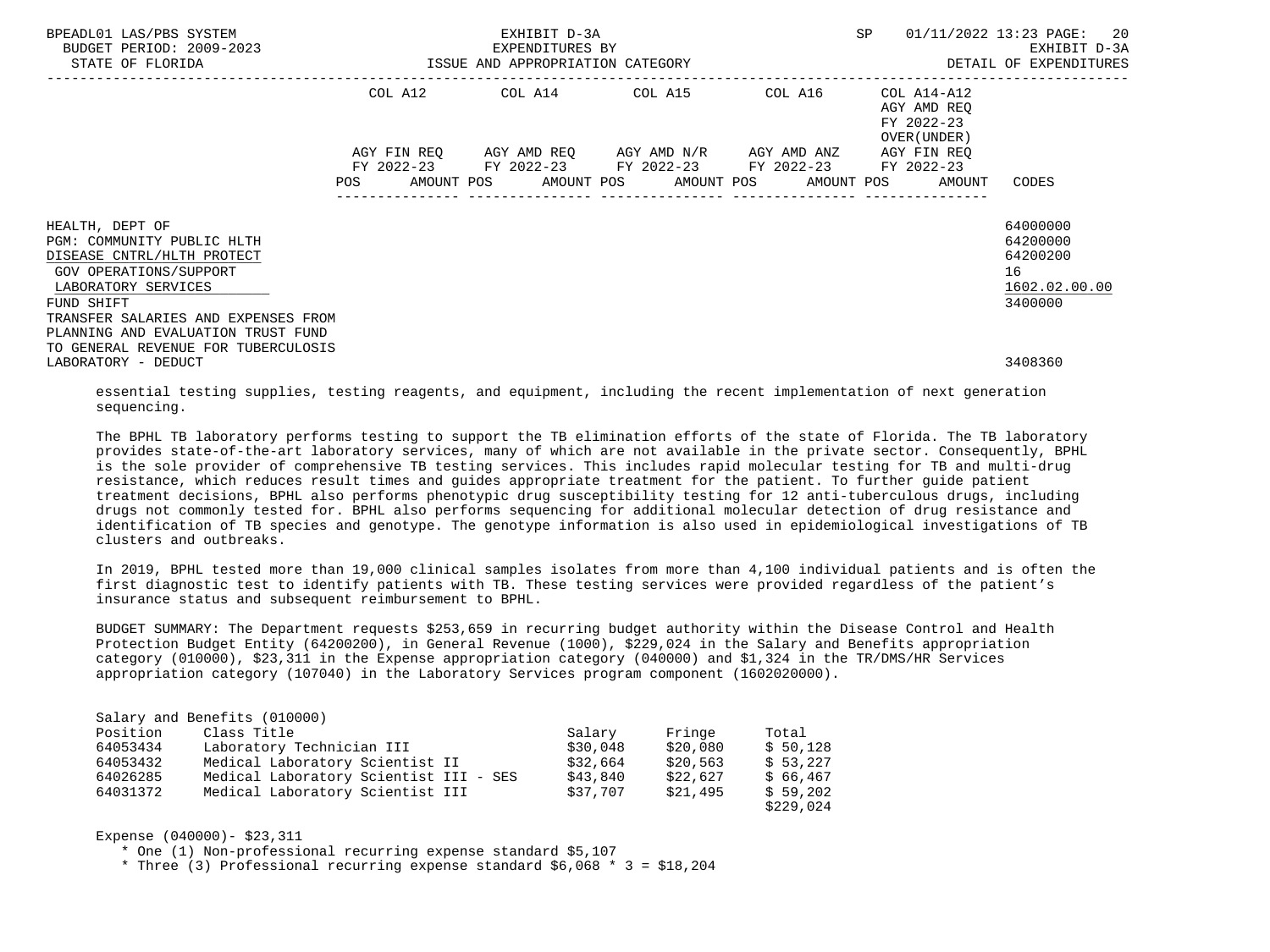| BPEADL01 LAS/PBS SYSTEM<br>BUDGET PERIOD: 2009-2023<br>STATE OF FLORIDA |             |  |  | EXHIBIT D-3A<br>EXPENDITURES BY<br>ISSUE AND APPROPRIATION CATEGORY | SP |                                                        | 01/11/2022 13:23 PAGE: 20<br>EXHIBIT D-3A<br>DETAIL OF EXPENDITURES |  |                            |                      |  |
|-------------------------------------------------------------------------|-------------|--|--|---------------------------------------------------------------------|----|--------------------------------------------------------|---------------------------------------------------------------------|--|----------------------------|----------------------|--|
|                                                                         |             |  |  | -------------------------------                                     |    | COL A12 COL A14 COL A15 COL A16                        |                                                                     |  | COL A14-A12                |                      |  |
|                                                                         |             |  |  |                                                                     |    |                                                        |                                                                     |  | AGY AMD REO                |                      |  |
|                                                                         |             |  |  |                                                                     |    |                                                        |                                                                     |  | FY 2022-23<br>OVER (UNDER) |                      |  |
|                                                                         | AGY FIN REO |  |  |                                                                     |    | AGY AMD REO AGY AMD N/R AGY AMD ANZ                    |                                                                     |  | AGY FIN REO                |                      |  |
|                                                                         |             |  |  |                                                                     |    | FY 2022-23 FY 2022-23 FY 2022-23 FY 2022-23 FY 2022-23 |                                                                     |  |                            |                      |  |
|                                                                         | <b>POS</b>  |  |  |                                                                     |    | AMOUNT POS AMOUNT POS AMOUNT POS AMOUNT POS            |                                                                     |  | AMOUNT                     | CODES                |  |
|                                                                         |             |  |  |                                                                     |    |                                                        |                                                                     |  |                            |                      |  |
| HEALTH, DEPT OF<br>PGM: COMMUNITY PUBLIC HLTH                           |             |  |  |                                                                     |    |                                                        |                                                                     |  |                            | 64000000<br>64200000 |  |
| DISEASE CNTRL/HLTH PROTECT                                              |             |  |  |                                                                     |    |                                                        |                                                                     |  |                            | 64200200             |  |
| GOV OPERATIONS/SUPPORT                                                  |             |  |  |                                                                     |    |                                                        |                                                                     |  |                            | 16                   |  |
| LABORATORY SERVICES                                                     |             |  |  |                                                                     |    |                                                        |                                                                     |  |                            | 1602.02.00.00        |  |
| FUND SHIFT                                                              |             |  |  |                                                                     |    |                                                        |                                                                     |  |                            | 3400000              |  |
| TRANSFER SALARIES AND EXPENSES FROM                                     |             |  |  |                                                                     |    |                                                        |                                                                     |  |                            |                      |  |
| PLANNING AND EVALUATION TRUST FUND                                      |             |  |  |                                                                     |    |                                                        |                                                                     |  |                            |                      |  |
| TO GENERAL REVENUE FOR TUBERCULOSIS                                     |             |  |  |                                                                     |    |                                                        |                                                                     |  |                            | 3408360              |  |
| LABORATORY - DEDUCT                                                     |             |  |  |                                                                     |    |                                                        |                                                                     |  |                            |                      |  |

 essential testing supplies, testing reagents, and equipment, including the recent implementation of next generation sequencing.

 The BPHL TB laboratory performs testing to support the TB elimination efforts of the state of Florida. The TB laboratory provides state-of-the-art laboratory services, many of which are not available in the private sector. Consequently, BPHL is the sole provider of comprehensive TB testing services. This includes rapid molecular testing for TB and multi-drug resistance, which reduces result times and guides appropriate treatment for the patient. To further guide patient treatment decisions, BPHL also performs phenotypic drug susceptibility testing for 12 anti-tuberculous drugs, including drugs not commonly tested for. BPHL also performs sequencing for additional molecular detection of drug resistance and identification of TB species and genotype. The genotype information is also used in epidemiological investigations of TB clusters and outbreaks.

 In 2019, BPHL tested more than 19,000 clinical samples isolates from more than 4,100 individual patients and is often the first diagnostic test to identify patients with TB. These testing services were provided regardless of the patient's insurance status and subsequent reimbursement to BPHL.

 BUDGET SUMMARY: The Department requests \$253,659 in recurring budget authority within the Disease Control and Health Protection Budget Entity (64200200), in General Revenue (1000), \$229,024 in the Salary and Benefits appropriation category (010000), \$23,311 in the Expense appropriation category (040000) and \$1,324 in the TR/DMS/HR Services appropriation category (107040) in the Laboratory Services program component (1602020000).

|          | Salary and Benefits (010000)           |          |          |           |
|----------|----------------------------------------|----------|----------|-----------|
| Position | Class Title                            | Salary   | Fringe   | Total     |
| 64053434 | Laboratory Technician III              | \$30.048 | \$20,080 | \$50,128  |
| 64053432 | Medical Laboratory Scientist II        | \$32,664 | \$20,563 | \$53.227  |
| 64026285 | Medical Laboratory Scientist III - SES | \$43,840 | \$22,627 | \$66.467  |
| 64031372 | Medical Laboratory Scientist III       | \$37,707 | \$21,495 | \$59,202  |
|          |                                        |          |          | \$229,024 |

Expense (040000)- \$23,311

\* One (1) Non-professional recurring expense standard \$5,107

\* Three (3) Professional recurring expense standard \$6,068 \* 3 = \$18,204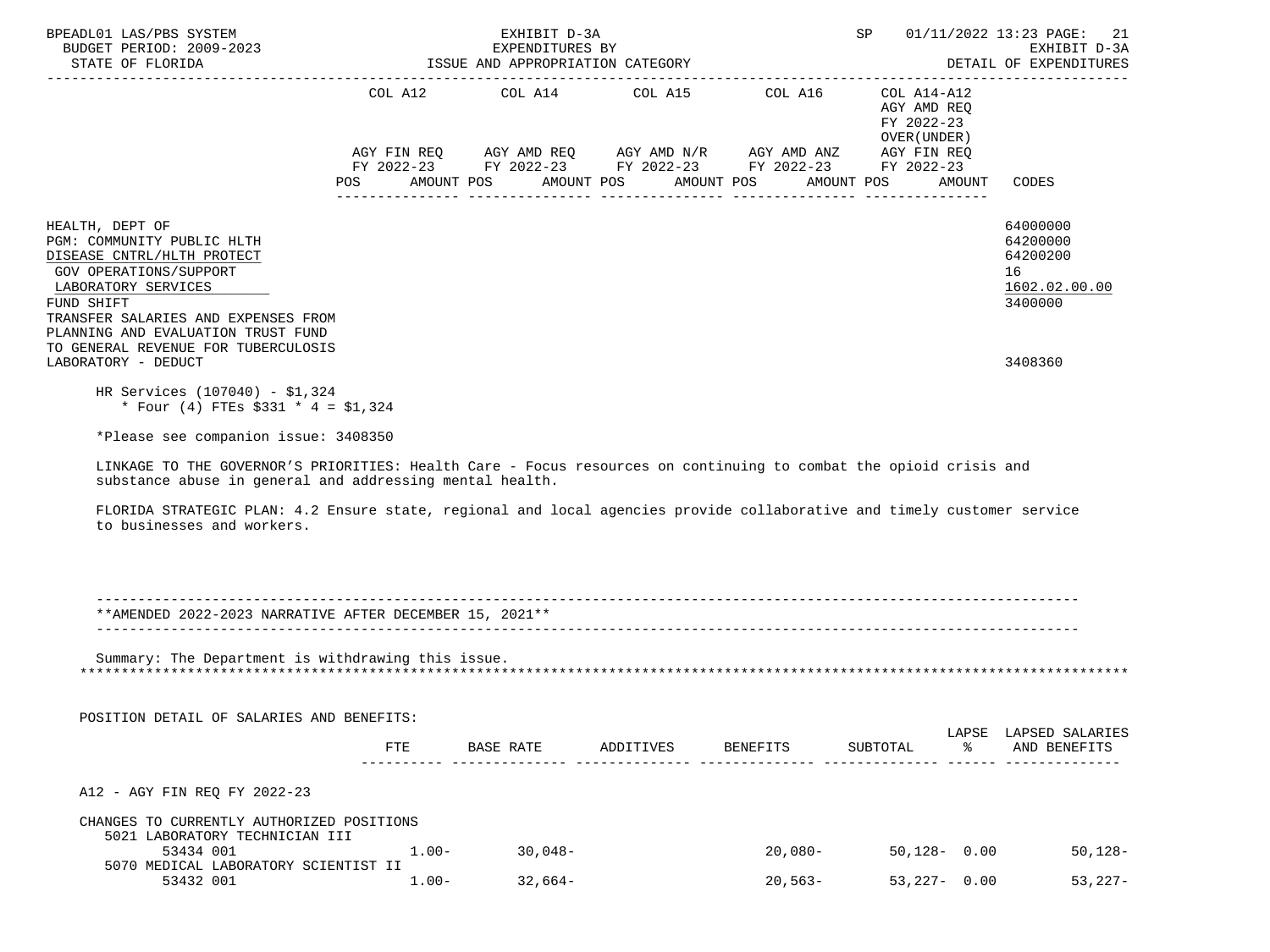| BPEADL01 LAS/PBS SYSTEM<br>BUDGET PERIOD: 2009-2023<br>STATE OF FLORIDA                                                                                                                                                                                                                                                                                                                                               |                   | EXHIBIT D-3A<br>EXPENDITURES BY<br>ISSUE AND APPROPRIATION CATEGORY |                                                                                                                                                                      |                 |                                            | SP 01/11/2022 13:23 PAGE: 21<br>EXHIBIT D-3A<br>DETAIL OF EXPENDITURES |
|-----------------------------------------------------------------------------------------------------------------------------------------------------------------------------------------------------------------------------------------------------------------------------------------------------------------------------------------------------------------------------------------------------------------------|-------------------|---------------------------------------------------------------------|----------------------------------------------------------------------------------------------------------------------------------------------------------------------|-----------------|--------------------------------------------|------------------------------------------------------------------------|
|                                                                                                                                                                                                                                                                                                                                                                                                                       |                   |                                                                     | COL A12 COL A14 COL A15 COL A16 COL A14-A12<br>AGY FIN REQ AGY AMD REQ AGY AMD N/R AGY AMD ANZ AGY FIN REQ<br>FY 2022-23 FY 2022-23 FY 2022-23 FY 2022-23 FY 2022-23 |                 | AGY AMD REO<br>FY 2022-23<br>OVER (UNDER ) |                                                                        |
|                                                                                                                                                                                                                                                                                                                                                                                                                       | AMOUNT POS<br>POS |                                                                     | AMOUNT POS                                                                                                                                                           | AMOUNT POS      | AMOUNT POS                                 | AMOUNT<br>CODES                                                        |
| HEALTH, DEPT OF<br>PGM: COMMUNITY PUBLIC HLTH<br>DISEASE CNTRL/HLTH PROTECT<br>GOV OPERATIONS/SUPPORT<br>LABORATORY SERVICES<br>FUND SHIFT<br>TRANSFER SALARIES AND EXPENSES FROM                                                                                                                                                                                                                                     |                   |                                                                     |                                                                                                                                                                      |                 |                                            | 64000000<br>64200000<br>64200200<br>16<br>1602.02.00.00<br>3400000     |
| PLANNING AND EVALUATION TRUST FUND<br>TO GENERAL REVENUE FOR TUBERCULOSIS<br>LABORATORY - DEDUCT                                                                                                                                                                                                                                                                                                                      |                   |                                                                     |                                                                                                                                                                      |                 |                                            | 3408360                                                                |
| * Four (4) FTEs $$331 * 4 = $1,324$<br>*Please see companion issue: 3408350<br>LINKAGE TO THE GOVERNOR'S PRIORITIES: Health Care - Focus resources on continuing to combat the opioid crisis and<br>substance abuse in general and addressing mental health.<br>FLORIDA STRATEGIC PLAN: 4.2 Ensure state, regional and local agencies provide collaborative and timely customer service<br>to businesses and workers. |                   |                                                                     |                                                                                                                                                                      |                 |                                            |                                                                        |
| **AMENDED 2022-2023 NARRATIVE AFTER DECEMBER 15, 2021**                                                                                                                                                                                                                                                                                                                                                               |                   |                                                                     |                                                                                                                                                                      |                 |                                            |                                                                        |
| Summary: The Department is withdrawing this issue.<br>POSITION DETAIL OF SALARIES AND BENEFITS:                                                                                                                                                                                                                                                                                                                       | FTE.              |                                                                     | BASE RATE ADDITIVES                                                                                                                                                  | <b>BENEFITS</b> | SUBTOTAL                                   | LAPSE LAPSED SALARIES<br>ిన<br>AND BENEFITS                            |
| A12 - AGY FIN REO FY 2022-23                                                                                                                                                                                                                                                                                                                                                                                          |                   |                                                                     |                                                                                                                                                                      |                 |                                            |                                                                        |
| CHANGES TO CURRENTLY AUTHORIZED POSITIONS                                                                                                                                                                                                                                                                                                                                                                             |                   |                                                                     |                                                                                                                                                                      |                 |                                            |                                                                        |
| 5021 LABORATORY TECHNICIAN III<br>53434 001<br>5070 MEDICAL LABORATORY SCIENTIST II                                                                                                                                                                                                                                                                                                                                   | $1.00-$           | 30,048-                                                             |                                                                                                                                                                      | $20,080-$       | $50,128 - 0.00$                            | $50,128-$                                                              |
| 53432 001                                                                                                                                                                                                                                                                                                                                                                                                             | $1.00-$           | $32,664-$                                                           |                                                                                                                                                                      | $20,563-$       | $53,227 - 0.00$                            | $53,227-$                                                              |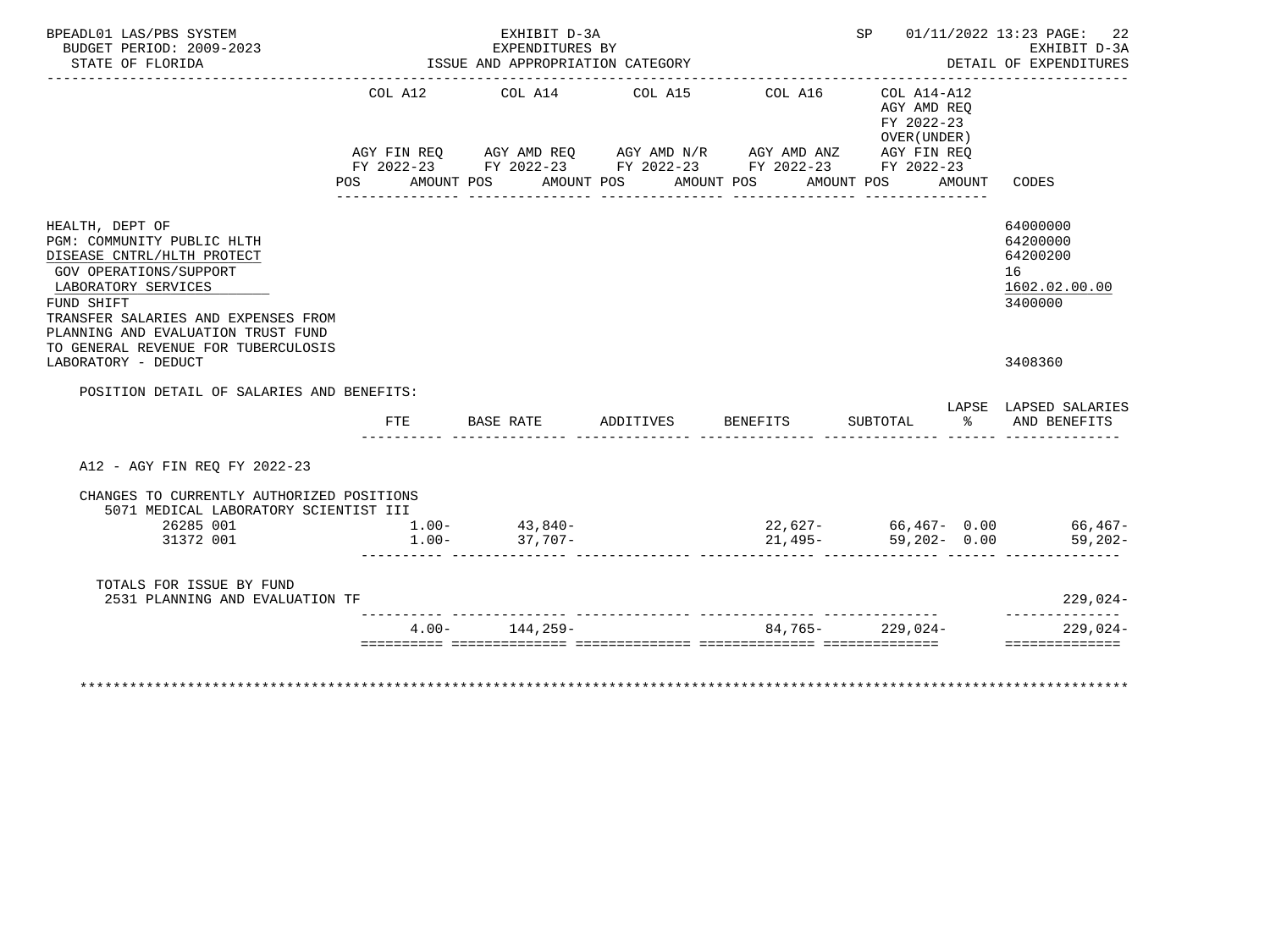| BPEADL01 LAS/PBS SYSTEM<br>BUDGET PERIOD: 2009-2023<br>STATE OF FLORIDA                                                                                                                                                                                        | _____________________ | EXHIBIT D-3A<br>EXPENDITURES BY<br>ISSUE AND APPROPRIATION CATEGORY                                                                                                                                    |                       |         |                                                                                  | SP 01/11/2022 13:23 PAGE: 22<br>EXHIBIT D-3A<br>DETAIL OF EXPENDITURES |  |  |
|----------------------------------------------------------------------------------------------------------------------------------------------------------------------------------------------------------------------------------------------------------------|-----------------------|--------------------------------------------------------------------------------------------------------------------------------------------------------------------------------------------------------|-----------------------|---------|----------------------------------------------------------------------------------|------------------------------------------------------------------------|--|--|
|                                                                                                                                                                                                                                                                | <b>POS</b>            | COL A12 COL A14 COL A15<br>AGY FIN REQ AGY AMD REQ AGY AMD N/R AGY AMD ANZ AGY FIN REQ<br>FY 2022-23 FY 2022-23 FY 2022-23 FY 2022-23 FY 2022-23<br>AMOUNT POS<br>____________________________________ | AMOUNT POS AMOUNT POS | COL A16 | $COL A14- A12$<br>AGY AMD REO<br>FY 2022-23<br>OVER (UNDER)<br>AMOUNT POS AMOUNT | CODES                                                                  |  |  |
| HEALTH, DEPT OF<br>PGM: COMMUNITY PUBLIC HLTH<br>DISEASE CNTRL/HLTH PROTECT<br>GOV OPERATIONS/SUPPORT<br>LABORATORY SERVICES<br>FUND SHIFT<br>TRANSFER SALARIES AND EXPENSES FROM<br>PLANNING AND EVALUATION TRUST FUND<br>TO GENERAL REVENUE FOR TUBERCULOSIS |                       |                                                                                                                                                                                                        |                       |         |                                                                                  | 64000000<br>64200000<br>64200200<br>16<br>1602.02.00.00<br>3400000     |  |  |
| LABORATORY - DEDUCT                                                                                                                                                                                                                                            |                       |                                                                                                                                                                                                        |                       |         |                                                                                  | 3408360                                                                |  |  |
| POSITION DETAIL OF SALARIES AND BENEFITS:                                                                                                                                                                                                                      |                       |                                                                                                                                                                                                        |                       |         |                                                                                  | LAPSE LAPSED SALARIES                                                  |  |  |
|                                                                                                                                                                                                                                                                | FTE                   | BASE RATE                                                                                                                                                                                              | ADDITIVES BENEFITS    |         |                                                                                  | SUBTOTAL % AND BENEFITS                                                |  |  |
| A12 - AGY FIN REO FY 2022-23                                                                                                                                                                                                                                   |                       |                                                                                                                                                                                                        |                       |         |                                                                                  |                                                                        |  |  |
| CHANGES TO CURRENTLY AUTHORIZED POSITIONS<br>5071 MEDICAL LABORATORY SCIENTIST III<br>26285 001<br>31372 001                                                                                                                                                   | $1.00 -$              | $1.00 - 43,840 -$<br>37,707-                                                                                                                                                                           |                       |         |                                                                                  |                                                                        |  |  |
| TOTALS FOR ISSUE BY FUND<br>2531 PLANNING AND EVALUATION TF                                                                                                                                                                                                    |                       |                                                                                                                                                                                                        |                       |         |                                                                                  | $229,024-$<br>--------------                                           |  |  |
|                                                                                                                                                                                                                                                                |                       |                                                                                                                                                                                                        |                       |         | $84,765 - 229,024 -$                                                             | $229,024-$                                                             |  |  |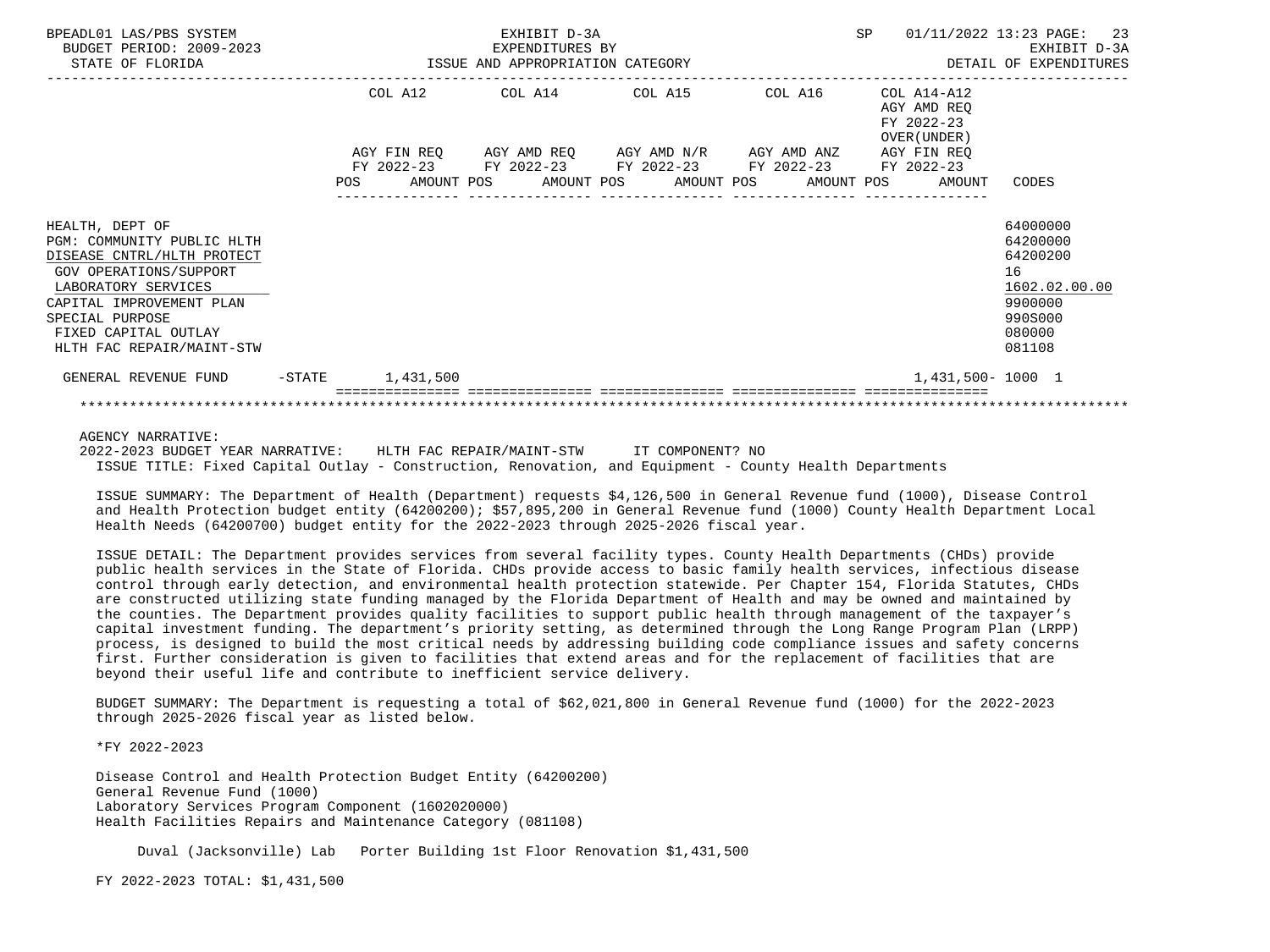| BPEADL01 LAS/PBS SYSTEM<br>BUDGET PERIOD: 2009-2023<br>STATE OF FLORIDA                                                                                                                                                          | EXHIBIT D-3A<br>EXPENDITURES BY<br>ISSUE AND APPROPRIATION CATEGORY |  |  |  |  |                                                                                                                                                          |  |  | SP |                                                           | 01/11/2022 13:23 PAGE: 23<br>EXHIBIT D-3A<br>DETAIL OF EXPENDITURES                               |  |
|----------------------------------------------------------------------------------------------------------------------------------------------------------------------------------------------------------------------------------|---------------------------------------------------------------------|--|--|--|--|----------------------------------------------------------------------------------------------------------------------------------------------------------|--|--|----|-----------------------------------------------------------|---------------------------------------------------------------------------------------------------|--|
|                                                                                                                                                                                                                                  |                                                                     |  |  |  |  | COL A12 COL A14 COL A15 COL A16<br>AGY FIN REO AGY AMD REO AGY AMD N/R AGY AMD ANZ AGY FIN REO<br>FY 2022-23 FY 2022-23 FY 2022-23 FY 2022-23 FY 2022-23 |  |  |    | COL A14-A12<br>AGY AMD REO<br>FY 2022-23<br>OVER (UNDER ) |                                                                                                   |  |
|                                                                                                                                                                                                                                  |                                                                     |  |  |  |  |                                                                                                                                                          |  |  |    | POS AMOUNT POS AMOUNT POS AMOUNT POS AMOUNT POS AMOUNT    | CODES                                                                                             |  |
| HEALTH, DEPT OF<br>PGM: COMMUNITY PUBLIC HLTH<br>DISEASE CNTRL/HLTH PROTECT<br>GOV OPERATIONS/SUPPORT<br>LABORATORY SERVICES<br>CAPITAL IMPROVEMENT PLAN<br>SPECIAL PURPOSE<br>FIXED CAPITAL OUTLAY<br>HLTH FAC REPAIR/MAINT-STW |                                                                     |  |  |  |  |                                                                                                                                                          |  |  |    |                                                           | 64000000<br>64200000<br>64200200<br>16<br>1602.02.00.00<br>9900000<br>990S000<br>080000<br>081108 |  |
| GENERAL REVENUE FUND -STATE 1,431,500                                                                                                                                                                                            |                                                                     |  |  |  |  |                                                                                                                                                          |  |  |    | 1,431,500-1000 1                                          |                                                                                                   |  |
|                                                                                                                                                                                                                                  |                                                                     |  |  |  |  |                                                                                                                                                          |  |  |    |                                                           |                                                                                                   |  |

AGENCY NARRATIVE:

 2022-2023 BUDGET YEAR NARRATIVE: HLTH FAC REPAIR/MAINT-STW IT COMPONENT? NO ISSUE TITLE: Fixed Capital Outlay - Construction, Renovation, and Equipment - County Health Departments

 ISSUE SUMMARY: The Department of Health (Department) requests \$4,126,500 in General Revenue fund (1000), Disease Control and Health Protection budget entity (64200200); \$57,895,200 in General Revenue fund (1000) County Health Department Local Health Needs (64200700) budget entity for the 2022-2023 through 2025-2026 fiscal year.

 ISSUE DETAIL: The Department provides services from several facility types. County Health Departments (CHDs) provide public health services in the State of Florida. CHDs provide access to basic family health services, infectious disease control through early detection, and environmental health protection statewide. Per Chapter 154, Florida Statutes, CHDs are constructed utilizing state funding managed by the Florida Department of Health and may be owned and maintained by the counties. The Department provides quality facilities to support public health through management of the taxpayer's capital investment funding. The department's priority setting, as determined through the Long Range Program Plan (LRPP) process, is designed to build the most critical needs by addressing building code compliance issues and safety concerns first. Further consideration is given to facilities that extend areas and for the replacement of facilities that are beyond their useful life and contribute to inefficient service delivery.

 BUDGET SUMMARY: The Department is requesting a total of \$62,021,800 in General Revenue fund (1000) for the 2022-2023 through 2025-2026 fiscal year as listed below.

\*FY 2022-2023

 Disease Control and Health Protection Budget Entity (64200200) General Revenue Fund (1000) Laboratory Services Program Component (1602020000) Health Facilities Repairs and Maintenance Category (081108)

Duval (Jacksonville) Lab Porter Building 1st Floor Renovation \$1,431,500

FY 2022-2023 TOTAL: \$1,431,500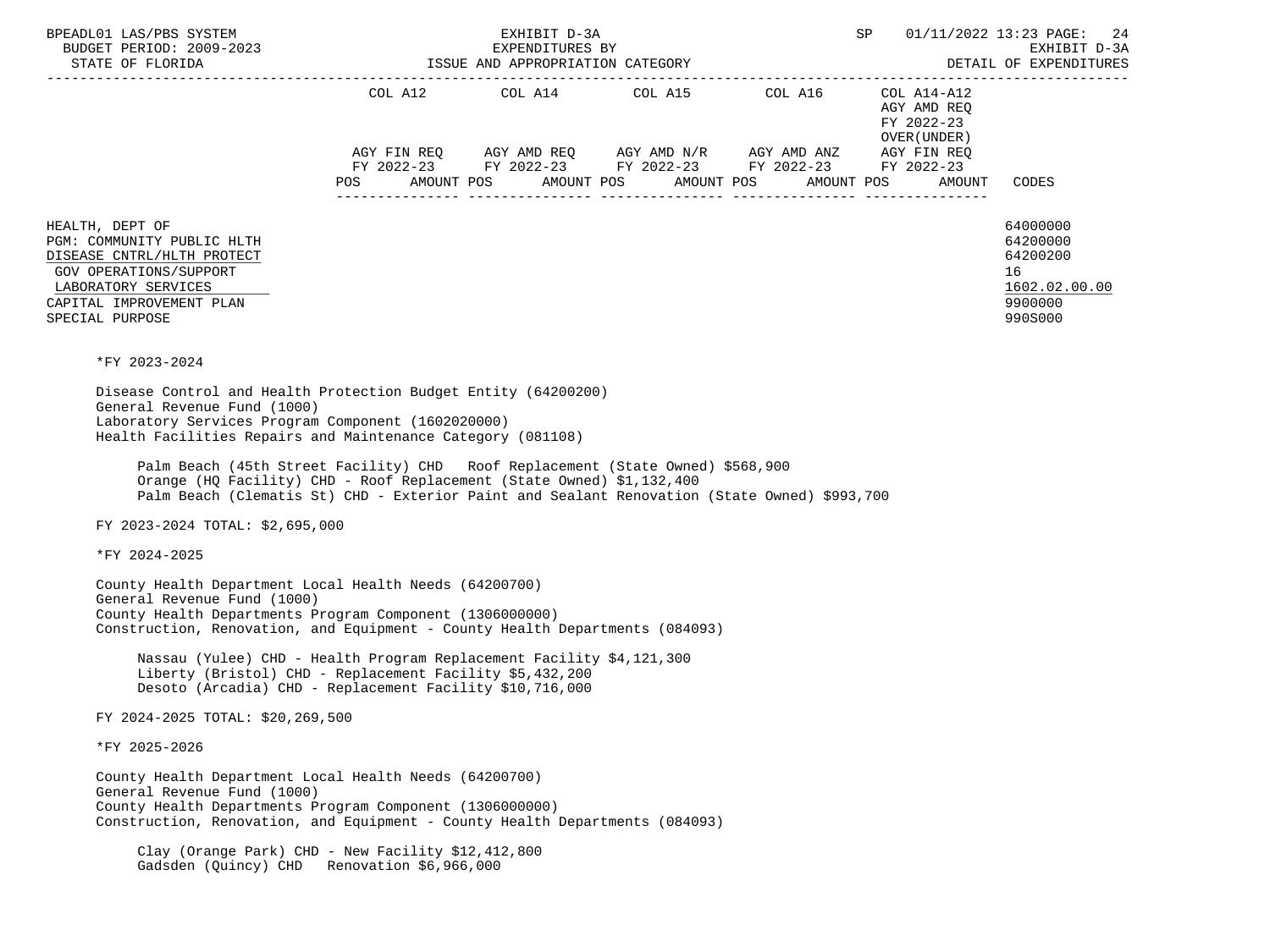| BPEADL01 LAS/PBS SYSTEM<br>EXPENDITURES BY<br>BUDGET PERIOD: 2009-2023<br>STATE OF FLORIDA STATE OF STATED                                                                                                                                                                                                                                                                                                                                                                                     | EXHIBIT D-3A |                                                                                                                                                                                                                                                                                                                                                                                              | SP<br>DETAIL OF EXPENDITURES                                                                         | 01/11/2022 13:23 PAGE:<br>-24<br>EXHIBIT D-3A                                 |
|------------------------------------------------------------------------------------------------------------------------------------------------------------------------------------------------------------------------------------------------------------------------------------------------------------------------------------------------------------------------------------------------------------------------------------------------------------------------------------------------|--------------|----------------------------------------------------------------------------------------------------------------------------------------------------------------------------------------------------------------------------------------------------------------------------------------------------------------------------------------------------------------------------------------------|------------------------------------------------------------------------------------------------------|-------------------------------------------------------------------------------|
|                                                                                                                                                                                                                                                                                                                                                                                                                                                                                                |              | COL A12 $COL$ A14 $COL$ A15 $COL$ A16 $COL$ A14-A12<br>$\begin{array}{lllllll} {\text{AGY}} & {\text{FIN}} & {\text{REG}} & {\text{AGY}} & {\text{AMP}} & {\text{AGY}} & {\text{AMP}} & {\text{MY}} & {\text{MID}} & {\text{ANY}} & {\text{AGY}} & {\text{FIN}} & {\text{REG}} \\ {\text{FY}} & 2022-23 & {\text{FY}} & 2022-23 & {\text{FY}} & 2022-23 & {\text{FY}} & 2022-23 \end{array}$ | AGY AMD REQ<br>FY 2022-23<br>OVER (UNDER )<br>POS AMOUNT POS AMOUNT POS AMOUNT POS AMOUNT POS AMOUNT | CODES                                                                         |
| HEALTH, DEPT OF<br>PGM: COMMUNITY PUBLIC HLTH<br>DISEASE CNTRL/HLTH PROTECT<br>GOV OPERATIONS/SUPPORT<br>LABORATORY SERVICES<br>CAPITAL IMPROVEMENT PLAN<br>SPECIAL PURPOSE                                                                                                                                                                                                                                                                                                                    |              |                                                                                                                                                                                                                                                                                                                                                                                              |                                                                                                      | 64000000<br>64200000<br>64200200<br>16<br>1602.02.00.00<br>9900000<br>990S000 |
| *FY 2023-2024<br>Disease Control and Health Protection Budget Entity (64200200)<br>General Revenue Fund (1000)<br>Laboratory Services Program Component (1602020000)<br>Health Facilities Repairs and Maintenance Category (081108)<br>Palm Beach (45th Street Facility) CHD Roof Replacement (State Owned) \$568,900<br>Orange (HQ Facility) CHD - Roof Replacement (State Owned) \$1,132,400<br>Palm Beach (Clematis St) CHD - Exterior Paint and Sealant Renovation (State Owned) \$993,700 |              |                                                                                                                                                                                                                                                                                                                                                                                              |                                                                                                      |                                                                               |
| FY 2023-2024 TOTAL: \$2,695,000                                                                                                                                                                                                                                                                                                                                                                                                                                                                |              |                                                                                                                                                                                                                                                                                                                                                                                              |                                                                                                      |                                                                               |
| *FY 2024-2025                                                                                                                                                                                                                                                                                                                                                                                                                                                                                  |              |                                                                                                                                                                                                                                                                                                                                                                                              |                                                                                                      |                                                                               |
| County Health Department Local Health Needs (64200700)<br>General Revenue Fund (1000)<br>County Health Departments Program Component (1306000000)<br>Construction, Renovation, and Equipment - County Health Departments (084093)<br>Nassau (Yulee) CHD - Health Program Replacement Facility \$4,121,300<br>Liberty (Bristol) CHD - Replacement Facility \$5,432,200<br>Desoto (Arcadia) CHD - Replacement Facility \$10,716,000                                                              |              |                                                                                                                                                                                                                                                                                                                                                                                              |                                                                                                      |                                                                               |
| FY 2024-2025 TOTAL: \$20,269,500                                                                                                                                                                                                                                                                                                                                                                                                                                                               |              |                                                                                                                                                                                                                                                                                                                                                                                              |                                                                                                      |                                                                               |
| *FY 2025-2026                                                                                                                                                                                                                                                                                                                                                                                                                                                                                  |              |                                                                                                                                                                                                                                                                                                                                                                                              |                                                                                                      |                                                                               |
| County Health Department Local Health Needs (64200700)<br>General Revenue Fund (1000)<br>County Health Departments Program Component (1306000000)<br>Construction, Renovation, and Equipment - County Health Departments (084093)                                                                                                                                                                                                                                                              |              |                                                                                                                                                                                                                                                                                                                                                                                              |                                                                                                      |                                                                               |
| Clay (Orange Park) CHD - New Facility \$12,412,800<br>Gadsden (Quincy) CHD Renovation \$6,966,000                                                                                                                                                                                                                                                                                                                                                                                              |              |                                                                                                                                                                                                                                                                                                                                                                                              |                                                                                                      |                                                                               |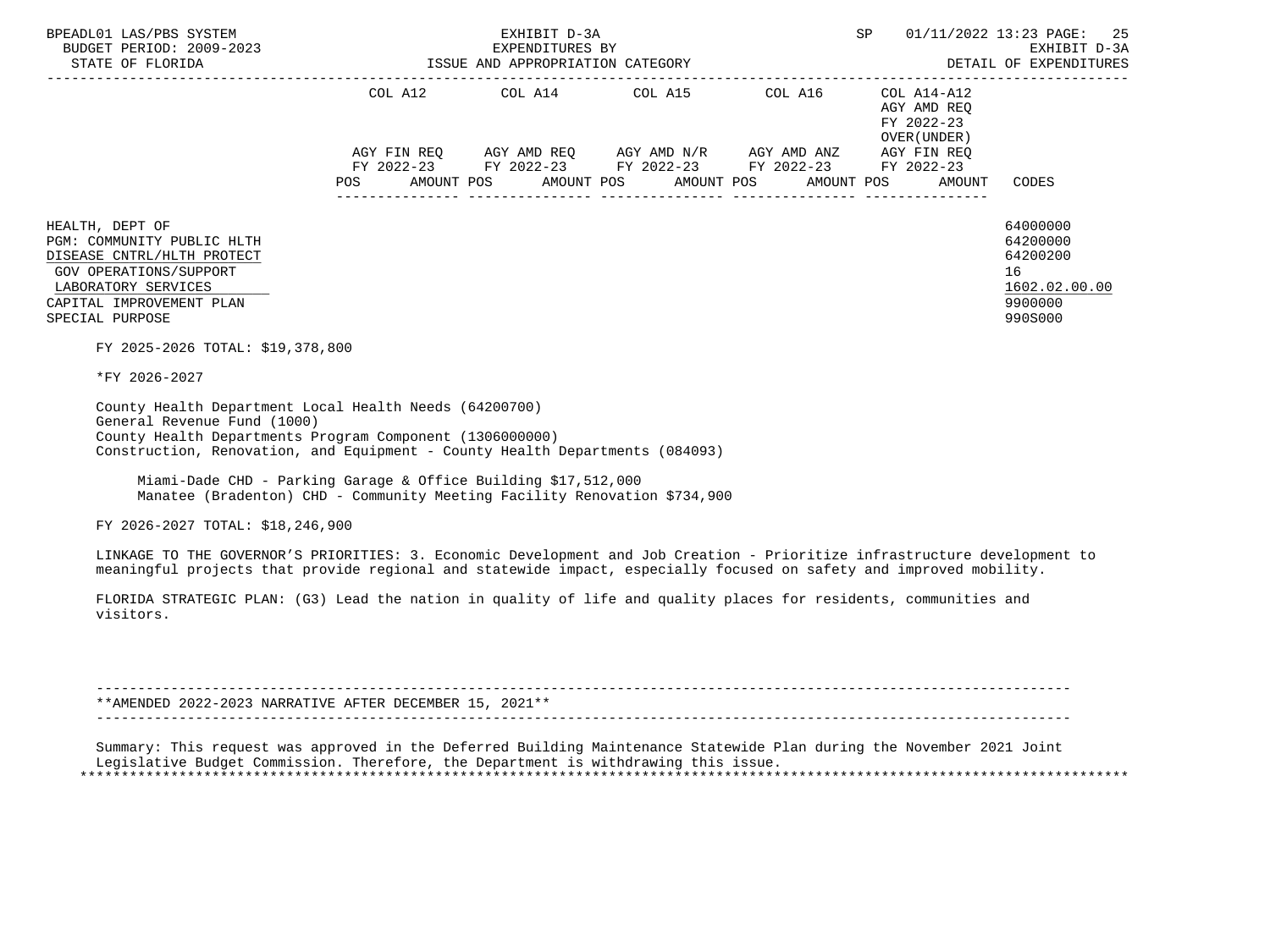| STATE OF FLORIDA                                                                                                                                                                                                                                                                                                                                                                 |        | EXPENDITURES BY<br>ISSUE AND APPROPRIATION CATEGORY                                                                                                                                                      |  | 01/11/2022 13:23 PAGE:<br>EXHIBIT D-3A<br>DETAIL OF EXPENDITURES  |                                                                               |
|----------------------------------------------------------------------------------------------------------------------------------------------------------------------------------------------------------------------------------------------------------------------------------------------------------------------------------------------------------------------------------|--------|----------------------------------------------------------------------------------------------------------------------------------------------------------------------------------------------------------|--|-------------------------------------------------------------------|-------------------------------------------------------------------------------|
|                                                                                                                                                                                                                                                                                                                                                                                  | POS DO | COL A12 COL A14 COL A15 COL A16 COL A14-A12<br>AGY FIN REQ AGY AMD REQ AGY AMD N/R AGY AMD ANZ AGY FIN REQ<br>FY 2022-23 FY 2022-23 FY 2022-23 FY 2022-23 FY 2022-23<br>AMOUNT POS AMOUNT POS AMOUNT POS |  | AGY AMD REO<br>FY 2022-23<br>OVER (UNDER)<br>AMOUNT POS<br>AMOUNT | CODES                                                                         |
| HEALTH, DEPT OF<br>PGM: COMMUNITY PUBLIC HLTH<br>DISEASE CNTRL/HLTH PROTECT<br><b>GOV OPERATIONS/SUPPORT</b><br>LABORATORY SERVICES<br>CAPITAL IMPROVEMENT PLAN<br>SPECIAL PURPOSE                                                                                                                                                                                               |        |                                                                                                                                                                                                          |  |                                                                   | 64000000<br>64200000<br>64200200<br>16<br>1602.02.00.00<br>9900000<br>990S000 |
| FY 2025-2026 TOTAL: \$19,378,800<br>*FY 2026-2027                                                                                                                                                                                                                                                                                                                                |        |                                                                                                                                                                                                          |  |                                                                   |                                                                               |
| County Health Department Local Health Needs (64200700)<br>General Revenue Fund (1000)<br>County Health Departments Program Component (1306000000)<br>Construction, Renovation, and Equipment - County Health Departments (084093)<br>Miami-Dade CHD - Parking Garage & Office Building \$17,512,000<br>Manatee (Bradenton) CHD - Community Meeting Facility Renovation \$734,900 |        |                                                                                                                                                                                                          |  |                                                                   |                                                                               |
| FY 2026-2027 TOTAL: \$18,246,900                                                                                                                                                                                                                                                                                                                                                 |        |                                                                                                                                                                                                          |  |                                                                   |                                                                               |
| LINKAGE TO THE GOVERNOR'S PRIORITIES: 3. Economic Development and Job Creation - Prioritize infrastructure development to<br>meaningful projects that provide regional and statewide impact, especially focused on safety and improved mobility.                                                                                                                                 |        |                                                                                                                                                                                                          |  |                                                                   |                                                                               |
| FLORIDA STRATEGIC PLAN: (G3) Lead the nation in quality of life and quality places for residents, communities and<br>visitors.                                                                                                                                                                                                                                                   |        |                                                                                                                                                                                                          |  |                                                                   |                                                                               |
| ** AMENDED 2022-2023 NARRATIVE AFTER DECEMBER 15, 2021**                                                                                                                                                                                                                                                                                                                         |        |                                                                                                                                                                                                          |  |                                                                   |                                                                               |

----------------------------------------------------------------------------------------------------------------------

 Summary: This request was approved in the Deferred Building Maintenance Statewide Plan during the November 2021 Joint Legislative Budget Commission. Therefore, the Department is withdrawing this issue. \*\*\*\*\*\*\*\*\*\*\*\*\*\*\*\*\*\*\*\*\*\*\*\*\*\*\*\*\*\*\*\*\*\*\*\*\*\*\*\*\*\*\*\*\*\*\*\*\*\*\*\*\*\*\*\*\*\*\*\*\*\*\*\*\*\*\*\*\*\*\*\*\*\*\*\*\*\*\*\*\*\*\*\*\*\*\*\*\*\*\*\*\*\*\*\*\*\*\*\*\*\*\*\*\*\*\*\*\*\*\*\*\*\*\*\*\*\*\*\*\*\*\*\*\*\*\*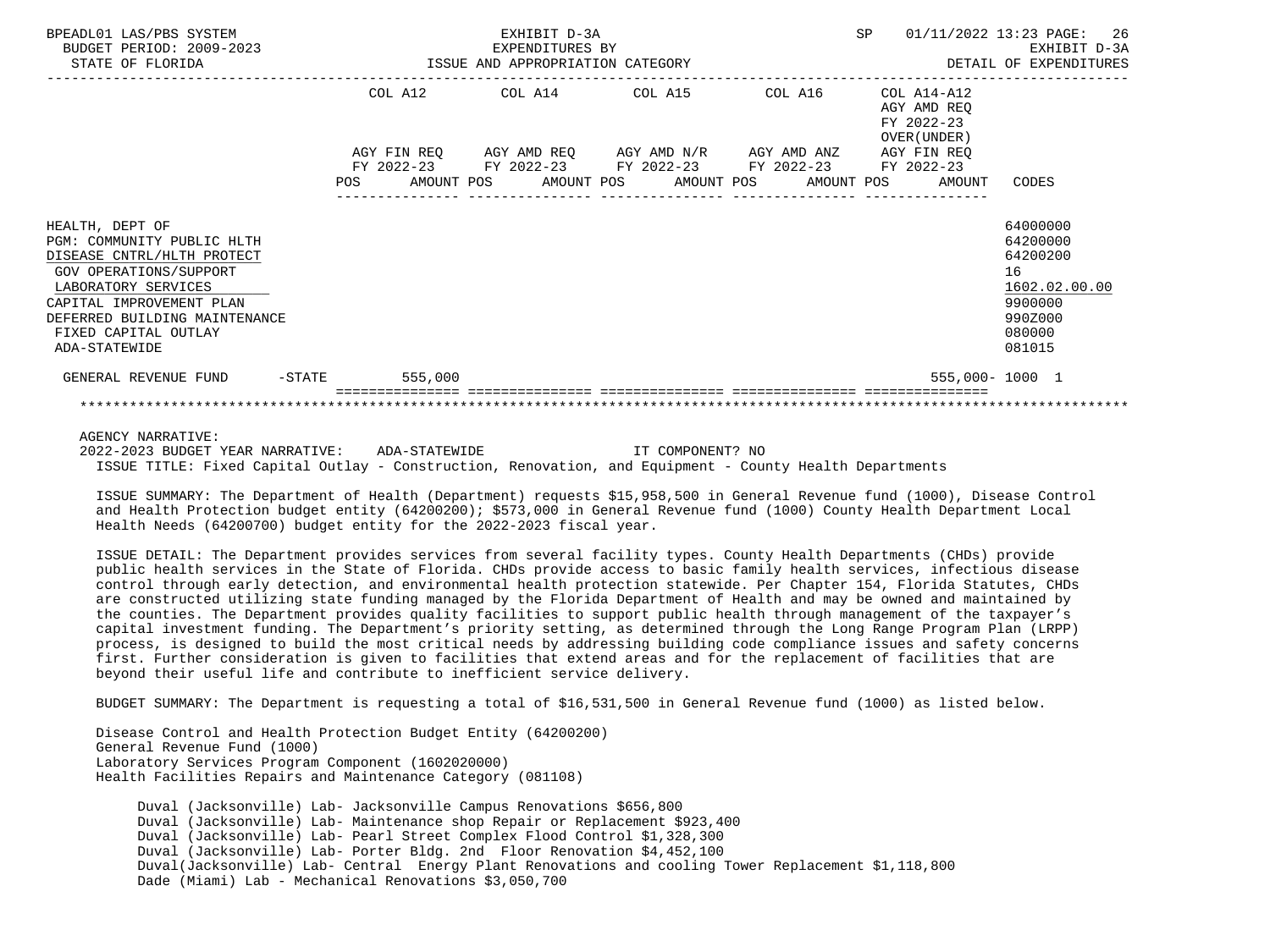| BPEADL01 LAS/PBS SYSTEM<br>BUDGET PERIOD: 2009-2023<br>STATE OF FLORIDA                                                                                                                                                            | EXHIBIT D-3A<br>EXPENDITURES BY<br>ISSUE AND APPROPRIATION CATEGORY |         |  |                                                                                        |  |  |  |            |  | 01/11/2022 13:23 PAGE:                                   | EXHIBIT D-3A<br>DETAIL OF EXPENDITURES                                                            | 26 |
|------------------------------------------------------------------------------------------------------------------------------------------------------------------------------------------------------------------------------------|---------------------------------------------------------------------|---------|--|----------------------------------------------------------------------------------------|--|--|--|------------|--|----------------------------------------------------------|---------------------------------------------------------------------------------------------------|----|
|                                                                                                                                                                                                                                    |                                                                     | COL A12 |  | COL A14 COL A15 COL A16<br>AGY FIN REQ AGY AMD REQ AGY AMD N/R AGY AMD ANZ AGY FIN REQ |  |  |  |            |  | COL A14-A12<br>AGY AMD REO<br>FY 2022-23<br>OVER (UNDER) |                                                                                                   |    |
|                                                                                                                                                                                                                                    | POS                                                                 |         |  | FY 2022-23 FY 2022-23 FY 2022-23 FY 2022-23<br>AMOUNT POS AMOUNT POS AMOUNT POS        |  |  |  | AMOUNT POS |  | FY 2022-23<br>AMOUNT                                     | CODES                                                                                             |    |
| HEALTH, DEPT OF<br>PGM: COMMUNITY PUBLIC HLTH<br>DISEASE CNTRL/HLTH PROTECT<br>GOV OPERATIONS/SUPPORT<br>LABORATORY SERVICES<br>CAPITAL IMPROVEMENT PLAN<br>DEFERRED BUILDING MAINTENANCE<br>FIXED CAPITAL OUTLAY<br>ADA-STATEWIDE |                                                                     |         |  |                                                                                        |  |  |  |            |  |                                                          | 64000000<br>64200000<br>64200200<br>16<br>1602.02.00.00<br>9900000<br>990Z000<br>080000<br>081015 |    |
| GENERAL REVENUE FUND<br>$-\mathtt{STATE}$                                                                                                                                                                                          |                                                                     | 555,000 |  |                                                                                        |  |  |  |            |  | 555,000-1000 1                                           |                                                                                                   |    |
|                                                                                                                                                                                                                                    |                                                                     |         |  |                                                                                        |  |  |  |            |  |                                                          |                                                                                                   |    |

## AGENCY NARRATIVE:

2022-2023 BUDGET YEAR NARRATIVE: ADA-STATEWIDE **IT COMPONENT?** NO ISSUE TITLE: Fixed Capital Outlay - Construction, Renovation, and Equipment - County Health Departments

 ISSUE SUMMARY: The Department of Health (Department) requests \$15,958,500 in General Revenue fund (1000), Disease Control and Health Protection budget entity (64200200); \$573,000 in General Revenue fund (1000) County Health Department Local Health Needs (64200700) budget entity for the 2022-2023 fiscal year.

 ISSUE DETAIL: The Department provides services from several facility types. County Health Departments (CHDs) provide public health services in the State of Florida. CHDs provide access to basic family health services, infectious disease control through early detection, and environmental health protection statewide. Per Chapter 154, Florida Statutes, CHDs are constructed utilizing state funding managed by the Florida Department of Health and may be owned and maintained by the counties. The Department provides quality facilities to support public health through management of the taxpayer's capital investment funding. The Department's priority setting, as determined through the Long Range Program Plan (LRPP) process, is designed to build the most critical needs by addressing building code compliance issues and safety concerns first. Further consideration is given to facilities that extend areas and for the replacement of facilities that are beyond their useful life and contribute to inefficient service delivery.

BUDGET SUMMARY: The Department is requesting a total of \$16,531,500 in General Revenue fund (1000) as listed below.

 Disease Control and Health Protection Budget Entity (64200200) General Revenue Fund (1000) Laboratory Services Program Component (1602020000) Health Facilities Repairs and Maintenance Category (081108)

 Duval (Jacksonville) Lab- Jacksonville Campus Renovations \$656,800 Duval (Jacksonville) Lab- Maintenance shop Repair or Replacement \$923,400 Duval (Jacksonville) Lab- Pearl Street Complex Flood Control \$1,328,300 Duval (Jacksonville) Lab- Porter Bldg. 2nd Floor Renovation \$4,452,100 Duval(Jacksonville) Lab- Central Energy Plant Renovations and cooling Tower Replacement \$1,118,800 Dade (Miami) Lab - Mechanical Renovations \$3,050,700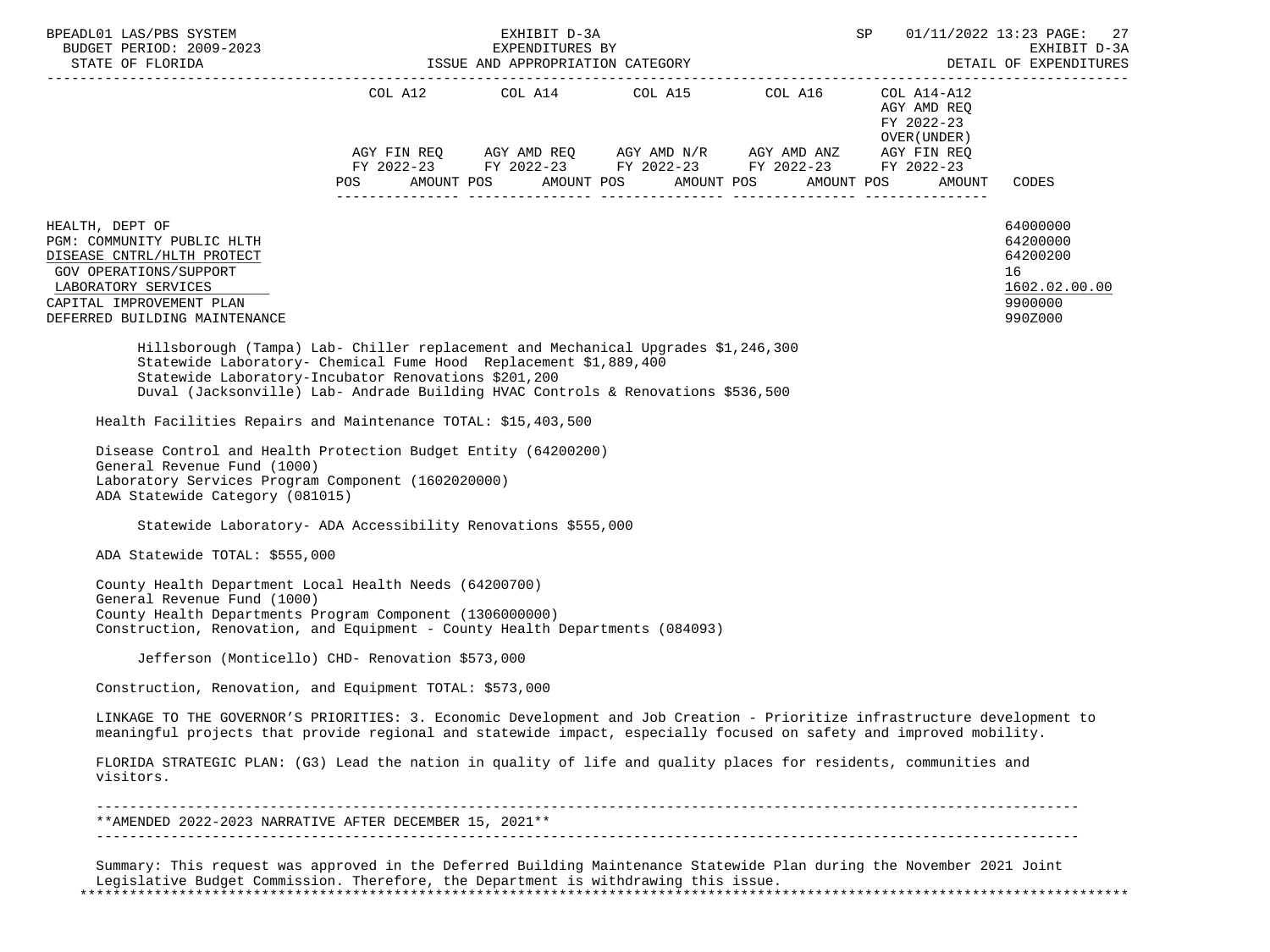| BPEADL01 LAS/PBS SYSTEM<br>BUDGET PERIOD: 2009-2023                                                                                                                                                                                                                                               |                          | EXHIBIT D-3A<br>EXPENDITURES BY | ISSUE AND APPROPRIATION CATEGORY              |                                                                                                                                                                                                       | SP                                                                               | 01/11/2022 13:23 PAGE: 27<br>EXHIBIT D-3A<br>DETAIL OF EXPENDITURES           |
|---------------------------------------------------------------------------------------------------------------------------------------------------------------------------------------------------------------------------------------------------------------------------------------------------|--------------------------|---------------------------------|-----------------------------------------------|-------------------------------------------------------------------------------------------------------------------------------------------------------------------------------------------------------|----------------------------------------------------------------------------------|-------------------------------------------------------------------------------|
|                                                                                                                                                                                                                                                                                                   |                          |                                 |                                               |                                                                                                                                                                                                       |                                                                                  |                                                                               |
|                                                                                                                                                                                                                                                                                                   | AMOUNT POS<br><b>POS</b> |                                 | COL A12 COL A14 COL A15 COL A16<br>AMOUNT POS | $AGY \text{ FIN REQ} \qquad \text{AGY AMD REQ} \qquad \text{AGY AMD N/R} \qquad \text{AGY AMD ANZ} \qquad \text{AGY FIN REQ}$<br>FY 2022-23 FY 2022-23 FY 2022-23 FY 2022-23 FY 2022-23<br>AMOUNT POS | COL A14-A12<br>AGY AMD REQ<br>FY 2022-23<br>OVER (UNDER)<br>AMOUNT POS<br>AMOUNT | CODES                                                                         |
| HEALTH, DEPT OF<br>PGM: COMMUNITY PUBLIC HLTH<br>DISEASE CNTRL/HLTH PROTECT<br>GOV OPERATIONS/SUPPORT<br>LABORATORY SERVICES<br>CAPITAL IMPROVEMENT PLAN<br>DEFERRED BUILDING MAINTENANCE                                                                                                         |                          |                                 |                                               |                                                                                                                                                                                                       |                                                                                  | 64000000<br>64200000<br>64200200<br>16<br>1602.02.00.00<br>9900000<br>990Z000 |
| Hillsborough (Tampa) Lab- Chiller replacement and Mechanical Upgrades \$1,246,300<br>Statewide Laboratory- Chemical Fume Hood Replacement \$1,889,400<br>Statewide Laboratory-Incubator Renovations \$201,200<br>Duval (Jacksonville) Lab- Andrade Building HVAC Controls & Renovations \$536,500 |                          |                                 |                                               |                                                                                                                                                                                                       |                                                                                  |                                                                               |
| Health Facilities Repairs and Maintenance TOTAL: \$15,403,500                                                                                                                                                                                                                                     |                          |                                 |                                               |                                                                                                                                                                                                       |                                                                                  |                                                                               |
| Disease Control and Health Protection Budget Entity (64200200)<br>General Revenue Fund (1000)<br>Laboratory Services Program Component (1602020000)<br>ADA Statewide Category (081015)                                                                                                            |                          |                                 |                                               |                                                                                                                                                                                                       |                                                                                  |                                                                               |
| Statewide Laboratory- ADA Accessibility Renovations \$555,000                                                                                                                                                                                                                                     |                          |                                 |                                               |                                                                                                                                                                                                       |                                                                                  |                                                                               |
| ADA Statewide TOTAL: \$555,000                                                                                                                                                                                                                                                                    |                          |                                 |                                               |                                                                                                                                                                                                       |                                                                                  |                                                                               |
| County Health Department Local Health Needs (64200700)<br>General Revenue Fund (1000)<br>County Health Departments Program Component (1306000000)<br>Construction, Renovation, and Equipment - County Health Departments (084093)                                                                 |                          |                                 |                                               |                                                                                                                                                                                                       |                                                                                  |                                                                               |
| Jefferson (Monticello) CHD- Renovation \$573,000                                                                                                                                                                                                                                                  |                          |                                 |                                               |                                                                                                                                                                                                       |                                                                                  |                                                                               |
| Construction, Renovation, and Equipment TOTAL: \$573,000                                                                                                                                                                                                                                          |                          |                                 |                                               |                                                                                                                                                                                                       |                                                                                  |                                                                               |
| LINKAGE TO THE GOVERNOR'S PRIORITIES: 3. Economic Development and Job Creation - Prioritize infrastructure development to<br>meaningful projects that provide regional and statewide impact, especially focused on safety and improved mobility.                                                  |                          |                                 |                                               |                                                                                                                                                                                                       |                                                                                  |                                                                               |
| FLORIDA STRATEGIC PLAN: (G3) Lead the nation in quality of life and quality places for residents, communities and<br>visitors.                                                                                                                                                                    |                          |                                 |                                               |                                                                                                                                                                                                       |                                                                                  |                                                                               |
| **AMENDED 2022-2023 NARRATIVE AFTER DECEMBER 15, 2021**                                                                                                                                                                                                                                           |                          |                                 |                                               |                                                                                                                                                                                                       |                                                                                  |                                                                               |
|                                                                                                                                                                                                                                                                                                   |                          |                                 |                                               | Summary: This request was approved in the Deferred Building Maintenance Statewide Plan during the November 2021 Joint                                                                                 |                                                                                  |                                                                               |

 Legislative Budget Commission. Therefore, the Department is withdrawing this issue. \*\*\*\*\*\*\*\*\*\*\*\*\*\*\*\*\*\*\*\*\*\*\*\*\*\*\*\*\*\*\*\*\*\*\*\*\*\*\*\*\*\*\*\*\*\*\*\*\*\*\*\*\*\*\*\*\*\*\*\*\*\*\*\*\*\*\*\*\*\*\*\*\*\*\*\*\*\*\*\*\*\*\*\*\*\*\*\*\*\*\*\*\*\*\*\*\*\*\*\*\*\*\*\*\*\*\*\*\*\*\*\*\*\*\*\*\*\*\*\*\*\*\*\*\*\*\*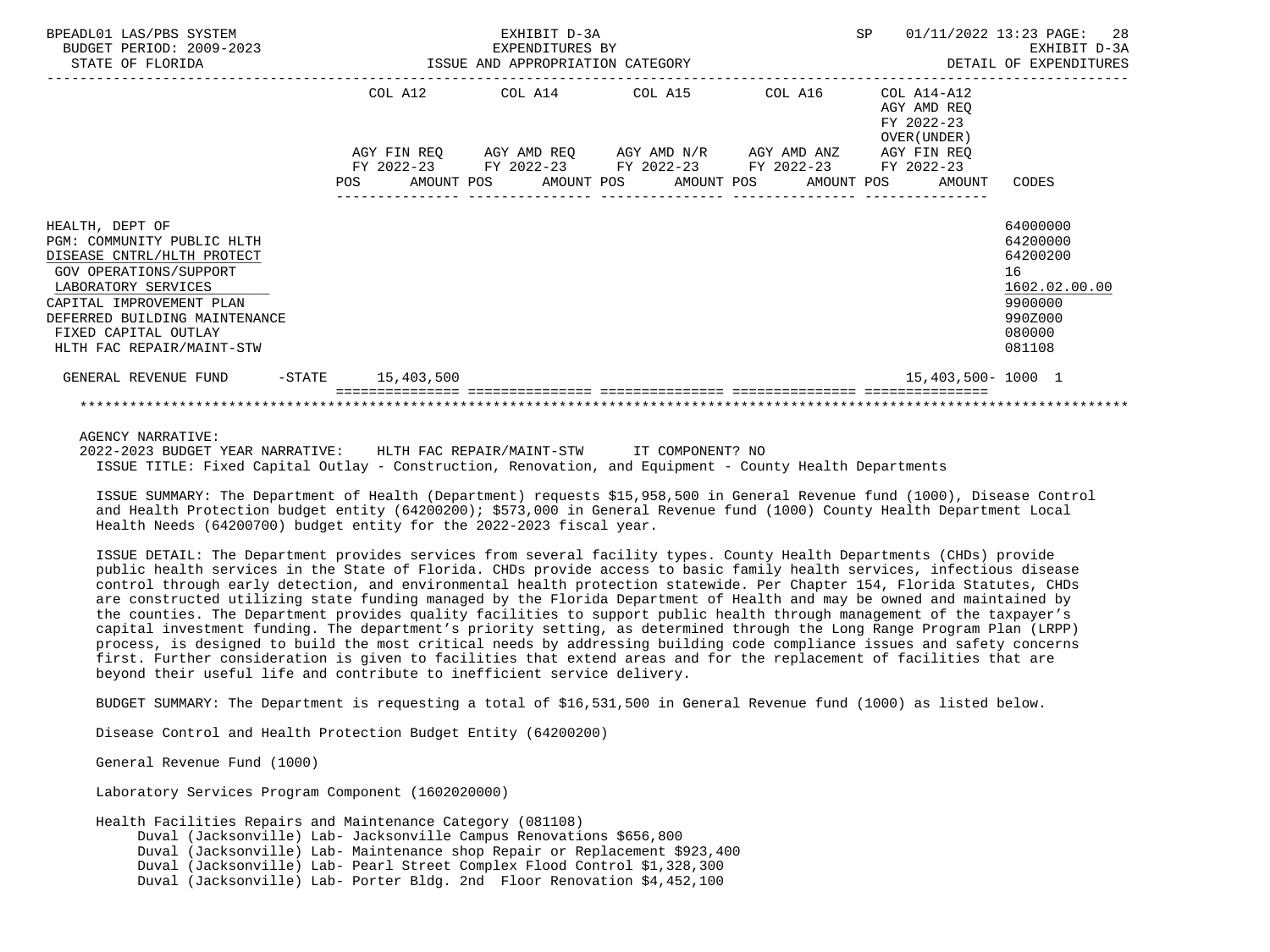| BPEADL01 LAS/PBS SYSTEM<br>BUDGET PERIOD: 2009-2023<br>STATE OF FLORIDA                                                                                                                                                                        | EXHIBIT D-3A<br>EXPENDITURES BY<br>ISSUE AND APPROPRIATION CATEGORY |  |  |                                                                                                                                                          |  |  |  |  | SP |                                                           | 01/11/2022 13:23 PAGE: 28<br>EXHIBIT D-3A<br>DETAIL OF EXPENDITURES                               |  |
|------------------------------------------------------------------------------------------------------------------------------------------------------------------------------------------------------------------------------------------------|---------------------------------------------------------------------|--|--|----------------------------------------------------------------------------------------------------------------------------------------------------------|--|--|--|--|----|-----------------------------------------------------------|---------------------------------------------------------------------------------------------------|--|
|                                                                                                                                                                                                                                                |                                                                     |  |  | COL A12 COL A14 COL A15 COL A16<br>AGY FIN REO AGY AMD REO AGY AMD N/R AGY AMD ANZ AGY FIN REO<br>FY 2022-23 FY 2022-23 FY 2022-23 FY 2022-23 FY 2022-23 |  |  |  |  |    | COL A14-A12<br>AGY AMD REO<br>FY 2022-23<br>OVER (UNDER ) |                                                                                                   |  |
|                                                                                                                                                                                                                                                |                                                                     |  |  |                                                                                                                                                          |  |  |  |  |    | POS AMOUNT POS AMOUNT POS AMOUNT POS AMOUNT POS AMOUNT    | CODES                                                                                             |  |
| HEALTH, DEPT OF<br>PGM: COMMUNITY PUBLIC HLTH<br>DISEASE CNTRL/HLTH PROTECT<br>GOV OPERATIONS/SUPPORT<br>LABORATORY SERVICES<br>CAPITAL IMPROVEMENT PLAN<br>DEFERRED BUILDING MAINTENANCE<br>FIXED CAPITAL OUTLAY<br>HLTH FAC REPAIR/MAINT-STW |                                                                     |  |  |                                                                                                                                                          |  |  |  |  |    |                                                           | 64000000<br>64200000<br>64200200<br>16<br>1602.02.00.00<br>9900000<br>990Z000<br>080000<br>081108 |  |
| GENERAL REVENUE FUND -STATE 15,403,500                                                                                                                                                                                                         |                                                                     |  |  |                                                                                                                                                          |  |  |  |  |    | 15,403,500-1000 1                                         |                                                                                                   |  |
|                                                                                                                                                                                                                                                |                                                                     |  |  |                                                                                                                                                          |  |  |  |  |    |                                                           |                                                                                                   |  |

## AGENCY NARRATIVE:

 2022-2023 BUDGET YEAR NARRATIVE: HLTH FAC REPAIR/MAINT-STW IT COMPONENT? NO ISSUE TITLE: Fixed Capital Outlay - Construction, Renovation, and Equipment - County Health Departments

 ISSUE SUMMARY: The Department of Health (Department) requests \$15,958,500 in General Revenue fund (1000), Disease Control and Health Protection budget entity (64200200); \$573,000 in General Revenue fund (1000) County Health Department Local Health Needs (64200700) budget entity for the 2022-2023 fiscal year.

 ISSUE DETAIL: The Department provides services from several facility types. County Health Departments (CHDs) provide public health services in the State of Florida. CHDs provide access to basic family health services, infectious disease control through early detection, and environmental health protection statewide. Per Chapter 154, Florida Statutes, CHDs are constructed utilizing state funding managed by the Florida Department of Health and may be owned and maintained by the counties. The Department provides quality facilities to support public health through management of the taxpayer's capital investment funding. The department's priority setting, as determined through the Long Range Program Plan (LRPP) process, is designed to build the most critical needs by addressing building code compliance issues and safety concerns first. Further consideration is given to facilities that extend areas and for the replacement of facilities that are beyond their useful life and contribute to inefficient service delivery.

BUDGET SUMMARY: The Department is requesting a total of \$16,531,500 in General Revenue fund (1000) as listed below.

Disease Control and Health Protection Budget Entity (64200200)

General Revenue Fund (1000)

Laboratory Services Program Component (1602020000)

Health Facilities Repairs and Maintenance Category (081108)

Duval (Jacksonville) Lab- Jacksonville Campus Renovations \$656,800

Duval (Jacksonville) Lab- Maintenance shop Repair or Replacement \$923,400

 Duval (Jacksonville) Lab- Pearl Street Complex Flood Control \$1,328,300 Duval (Jacksonville) Lab- Porter Bldg. 2nd Floor Renovation \$4,452,100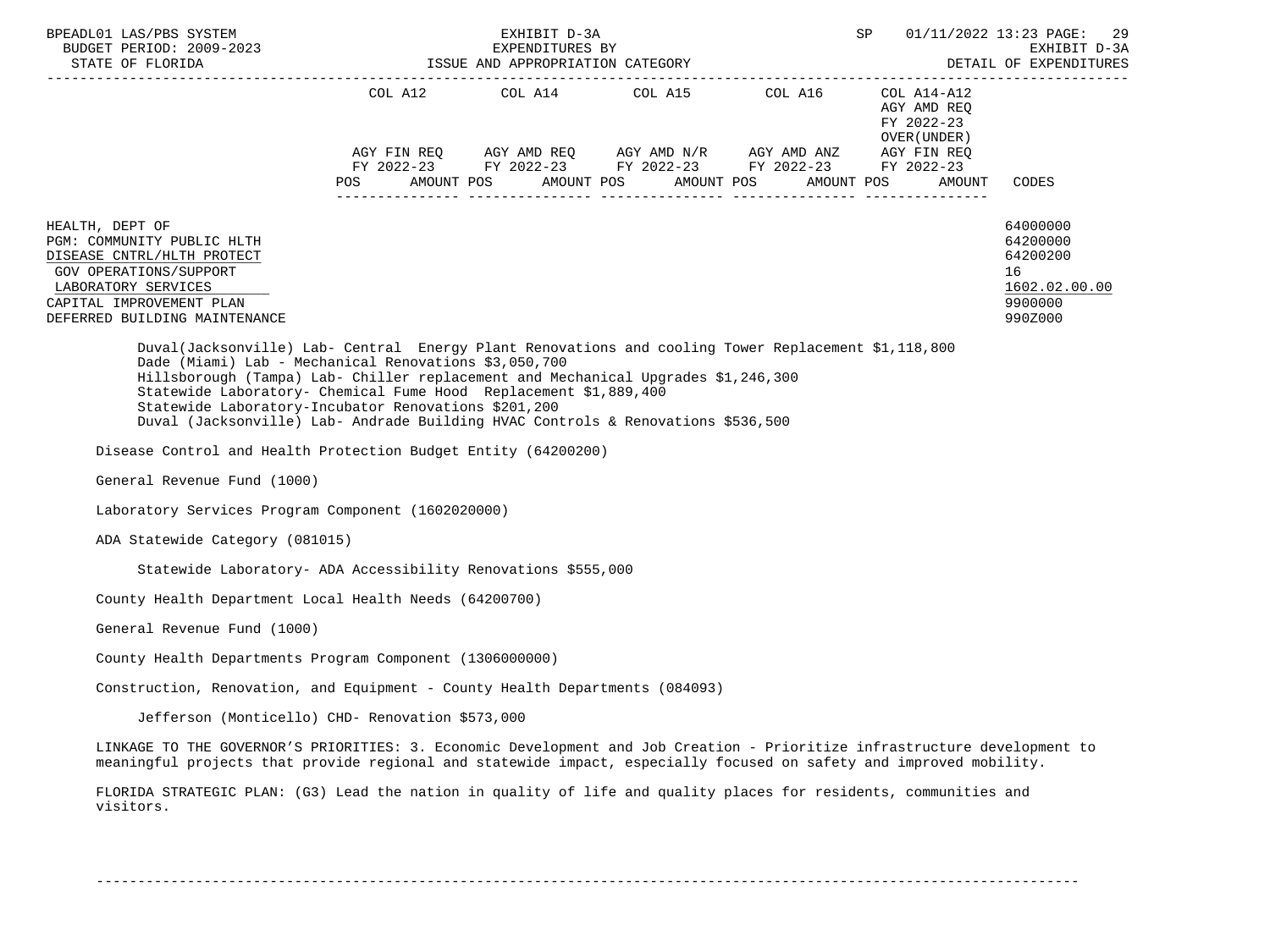| BPEADL01 LAS/PBS SYSTEM                                                                                                                                                                                                                                                                                                                                                                                                                                           |            | EXHIBIT D-3A | SP                                                                                                                                                                                                                                                                                                                                                                                                                                                                                                                              | 01/11/2022 13:23 PAGE:<br>-29<br>EXHIBIT D-3A<br>DETAIL OF EXPENDITURES |                                                                               |
|-------------------------------------------------------------------------------------------------------------------------------------------------------------------------------------------------------------------------------------------------------------------------------------------------------------------------------------------------------------------------------------------------------------------------------------------------------------------|------------|--------------|---------------------------------------------------------------------------------------------------------------------------------------------------------------------------------------------------------------------------------------------------------------------------------------------------------------------------------------------------------------------------------------------------------------------------------------------------------------------------------------------------------------------------------|-------------------------------------------------------------------------|-------------------------------------------------------------------------------|
|                                                                                                                                                                                                                                                                                                                                                                                                                                                                   | <b>POS</b> |              | $COL A12 \hspace{1.2cm} COL A14 \hspace{1.2cm} COL A15 \hspace{1.2cm} COL A16 \hspace{1.2cm} COL A14-A12$<br>$\begin{array}{lllllll} {\text{AGY}} & {\text{FIN}} & {\text{REG}} & {\text{AGY}} & {\text{AMP}} & {\text{AGY}} & {\text{AMP}} & {\text{MY}} & {\text{MID}} & {\text{AND}} & {\text{AND}} & {\text{AND}} & {\text{ARY}} & {\text{FIN}} & {\text{REG}} \\ {\text{FY}} & 2022-23 & {\text{FY}} & 2022-23 & {\text{FY}} & 2022-23 & {\text{FY}} & 2022-23 \end{array}$<br>AMOUNT POS AMOUNT POS AMOUNT POS AMOUNT POS | AGY AMD REQ<br>FY 2022-23<br>OVER (UNDER )<br>AMOUNT                    | CODES                                                                         |
| HEALTH, DEPT OF<br>PGM: COMMUNITY PUBLIC HLTH<br>DISEASE CNTRL/HLTH PROTECT<br>GOV OPERATIONS/SUPPORT<br>LABORATORY SERVICES<br>CAPITAL IMPROVEMENT PLAN<br>DEFERRED BUILDING MAINTENANCE                                                                                                                                                                                                                                                                         |            |              |                                                                                                                                                                                                                                                                                                                                                                                                                                                                                                                                 |                                                                         | 64000000<br>64200000<br>64200200<br>16<br>1602.02.00.00<br>9900000<br>990Z000 |
| Duval(Jacksonville) Lab- Central Energy Plant Renovations and cooling Tower Replacement \$1,118,800<br>Dade (Miami) Lab - Mechanical Renovations \$3,050,700<br>Hillsborough (Tampa) Lab- Chiller replacement and Mechanical Upgrades \$1,246,300<br>Statewide Laboratory- Chemical Fume Hood Replacement \$1,889,400<br>Statewide Laboratory-Incubator Renovations \$201,200<br>Duval (Jacksonville) Lab- Andrade Building HVAC Controls & Renovations \$536,500 |            |              |                                                                                                                                                                                                                                                                                                                                                                                                                                                                                                                                 |                                                                         |                                                                               |
| Disease Control and Health Protection Budget Entity (64200200)                                                                                                                                                                                                                                                                                                                                                                                                    |            |              |                                                                                                                                                                                                                                                                                                                                                                                                                                                                                                                                 |                                                                         |                                                                               |
| General Revenue Fund (1000)                                                                                                                                                                                                                                                                                                                                                                                                                                       |            |              |                                                                                                                                                                                                                                                                                                                                                                                                                                                                                                                                 |                                                                         |                                                                               |
| Laboratory Services Program Component (1602020000)                                                                                                                                                                                                                                                                                                                                                                                                                |            |              |                                                                                                                                                                                                                                                                                                                                                                                                                                                                                                                                 |                                                                         |                                                                               |
| ADA Statewide Category (081015)                                                                                                                                                                                                                                                                                                                                                                                                                                   |            |              |                                                                                                                                                                                                                                                                                                                                                                                                                                                                                                                                 |                                                                         |                                                                               |
| Statewide Laboratory- ADA Accessibility Renovations \$555,000                                                                                                                                                                                                                                                                                                                                                                                                     |            |              |                                                                                                                                                                                                                                                                                                                                                                                                                                                                                                                                 |                                                                         |                                                                               |
| County Health Department Local Health Needs (64200700)                                                                                                                                                                                                                                                                                                                                                                                                            |            |              |                                                                                                                                                                                                                                                                                                                                                                                                                                                                                                                                 |                                                                         |                                                                               |
| General Revenue Fund (1000)                                                                                                                                                                                                                                                                                                                                                                                                                                       |            |              |                                                                                                                                                                                                                                                                                                                                                                                                                                                                                                                                 |                                                                         |                                                                               |
| County Health Departments Program Component (1306000000)                                                                                                                                                                                                                                                                                                                                                                                                          |            |              |                                                                                                                                                                                                                                                                                                                                                                                                                                                                                                                                 |                                                                         |                                                                               |
| Construction, Renovation, and Equipment - County Health Departments (084093)                                                                                                                                                                                                                                                                                                                                                                                      |            |              |                                                                                                                                                                                                                                                                                                                                                                                                                                                                                                                                 |                                                                         |                                                                               |
| Jefferson (Monticello) CHD- Renovation \$573,000                                                                                                                                                                                                                                                                                                                                                                                                                  |            |              |                                                                                                                                                                                                                                                                                                                                                                                                                                                                                                                                 |                                                                         |                                                                               |
| LINKAGE TO THE GOVERNOR'S PRIORITIES: 3. Economic Development and Job Creation - Prioritize infrastructure development to<br>meaningful projects that provide regional and statewide impact, especially focused on safety and improved mobility.                                                                                                                                                                                                                  |            |              |                                                                                                                                                                                                                                                                                                                                                                                                                                                                                                                                 |                                                                         |                                                                               |
| FLORIDA STRATEGIC PLAN: (G3) Lead the nation in quality of life and quality places for residents, communities and<br>visitors.                                                                                                                                                                                                                                                                                                                                    |            |              |                                                                                                                                                                                                                                                                                                                                                                                                                                                                                                                                 |                                                                         |                                                                               |

-----------------------------------------------------------------------------------------------------------------------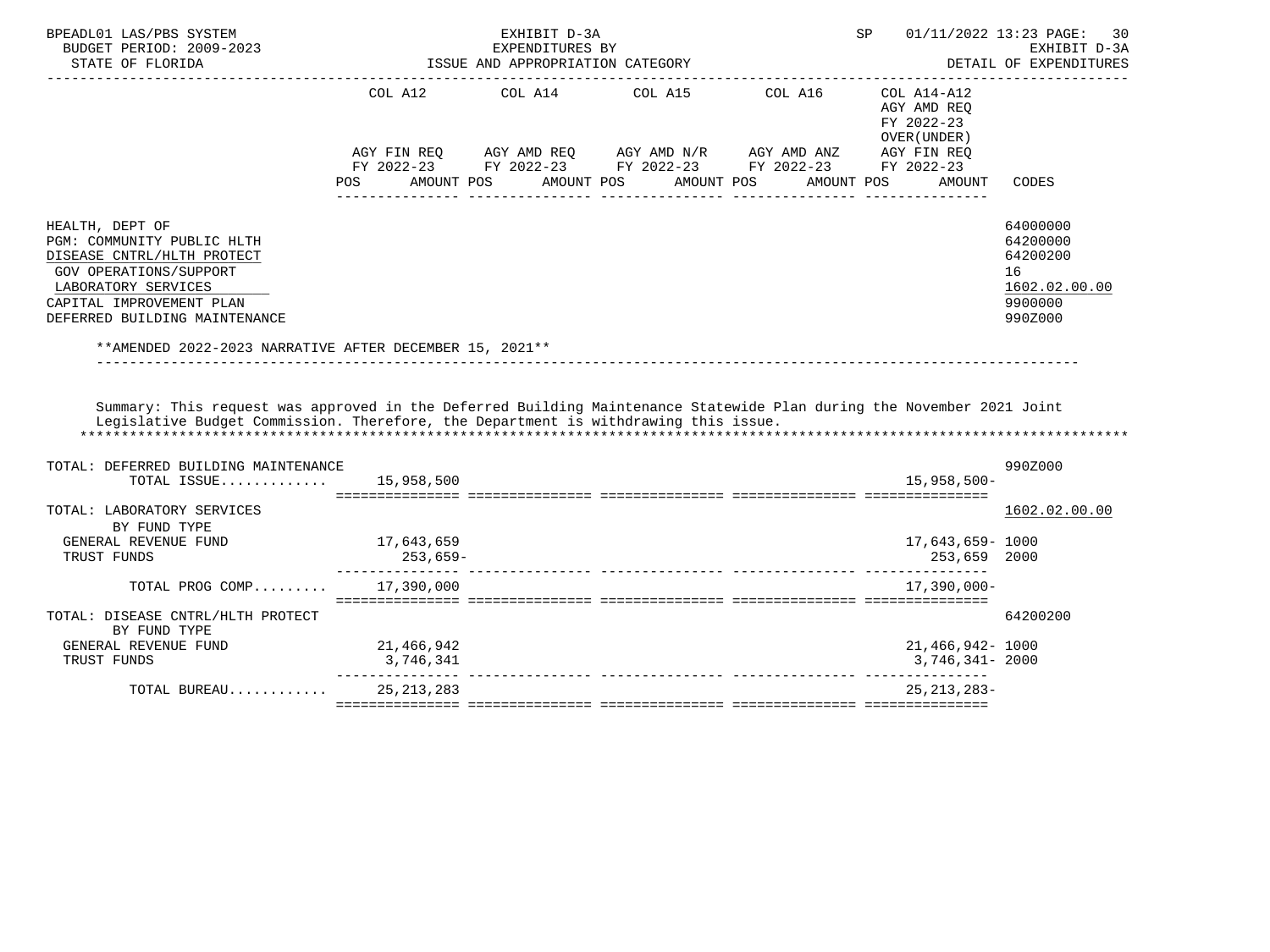| COL A12<br>COL A14<br>COL A15<br>COL A16<br>$COL A14 - A12$<br>AGY AMD REO<br>FY 2022-23<br>OVER (UNDER)                                                                                                                                                                |                                                                         |
|-------------------------------------------------------------------------------------------------------------------------------------------------------------------------------------------------------------------------------------------------------------------------|-------------------------------------------------------------------------|
| AGY FIN REQ 6GY AMD REQ 6GY AMD N/R 6GY AMD ANZ<br>AGY FIN REQ                                                                                                                                                                                                          |                                                                         |
| FY 2022-23 FY 2022-23 FY 2022-23 FY 2022-23 FY 2022-23<br>AMOUNT POS<br>AMOUNT POS<br>AMOUNT POS<br>POS<br>AMOUNT POS<br><b>AMOUNT</b>                                                                                                                                  | CODES                                                                   |
| HEALTH, DEPT OF<br>PGM: COMMUNITY PUBLIC HLTH<br>DISEASE CNTRL/HLTH PROTECT<br><b>GOV OPERATIONS/SUPPORT</b><br>16<br>LABORATORY SERVICES<br>CAPITAL IMPROVEMENT PLAN<br>DEFERRED BUILDING MAINTENANCE                                                                  | 64000000<br>64200000<br>64200200<br>1602.02.00.00<br>9900000<br>990Z000 |
| **AMENDED 2022-2023 NARRATIVE AFTER DECEMBER 15, 2021**<br>Summary: This request was approved in the Deferred Building Maintenance Statewide Plan during the November 2021 Joint<br>Legislative Budget Commission. Therefore, the Department is withdrawing this issue. |                                                                         |
| TOTAL: DEFERRED BUILDING MAINTENANCE                                                                                                                                                                                                                                    | 990Z000                                                                 |
| $15.958.500 -$<br>TOTAL ISSUE<br>15,958,500                                                                                                                                                                                                                             |                                                                         |
| TOTAL: LABORATORY SERVICES<br>BY FUND TYPE                                                                                                                                                                                                                              | 1602.02.00.00                                                           |
| GENERAL REVENUE FUND<br>17,643,659<br>17,643,659-1000<br>253,659-<br>253,659 2000<br>TRUST FUNDS                                                                                                                                                                        |                                                                         |
| TOTAL PROG COMP 17,390,000<br>$17,390,000 -$                                                                                                                                                                                                                            |                                                                         |
| TOTAL: DISEASE CNTRL/HLTH PROTECT<br>BY FUND TYPE                                                                                                                                                                                                                       | 64200200                                                                |
| 21,466,942<br>21,466,942-1000<br>GENERAL REVENUE FUND<br>TRUST FUNDS<br>3,746,341<br>3,746,341- 2000                                                                                                                                                                    |                                                                         |
| 25, 213, 283<br>$25, 213, 283 -$<br>TOTAL BUREAU                                                                                                                                                                                                                        |                                                                         |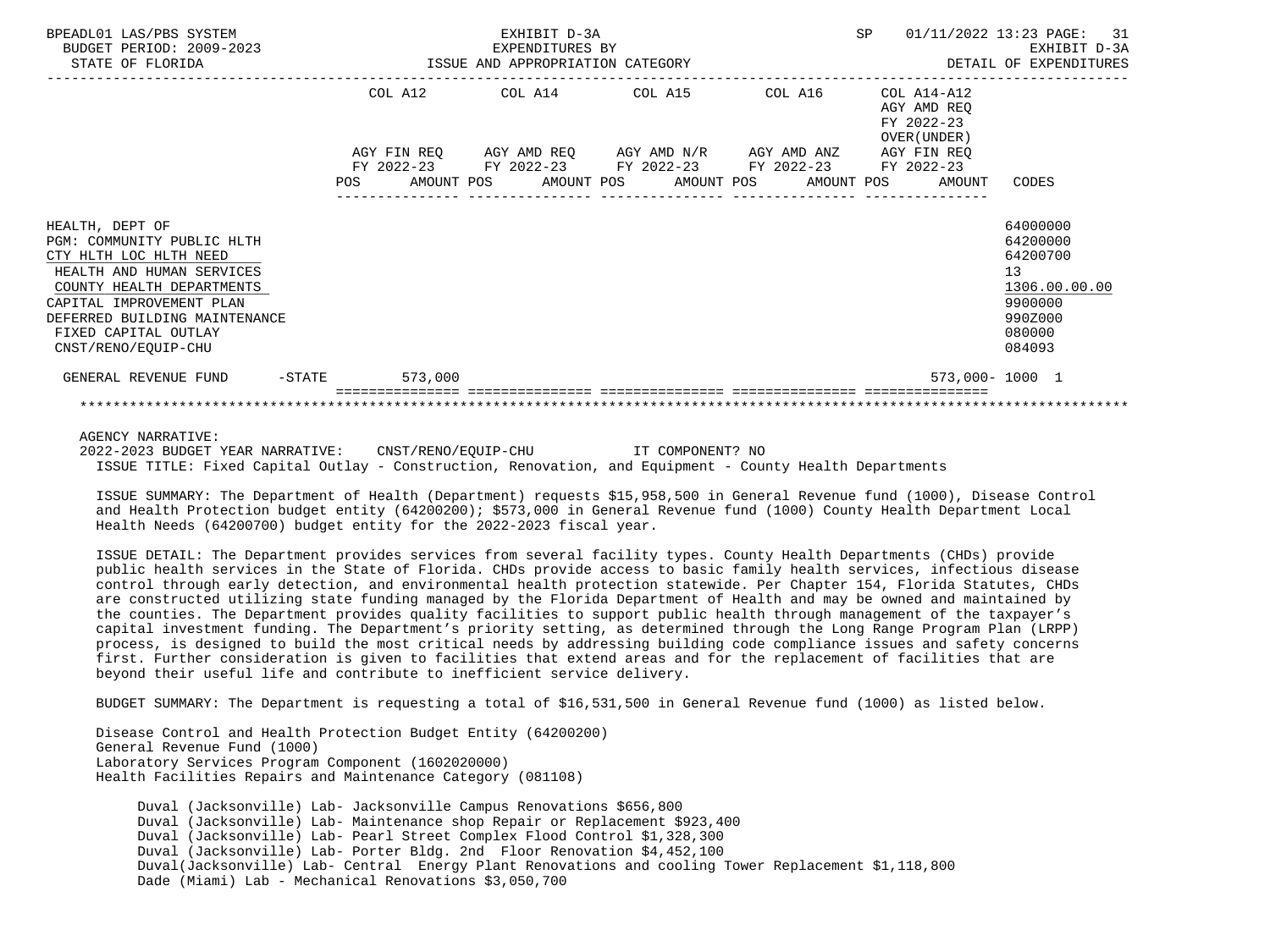| BPEADL01 LAS/PBS SYSTEM<br>BUDGET PERIOD: 2009-2023<br>STATE OF FLORIDA                                                                                                                                                                       |     |         | EXHIBIT D-3A<br>EXPENDITURES BY | ISSUE AND APPROPRIATION CATEGORY                                                                                                      | <b>SP</b>                                                              | 01/11/2022 13:23 PAGE: 31<br>EXHIBIT D-3A<br>DETAIL OF EXPENDITURES                               |  |
|-----------------------------------------------------------------------------------------------------------------------------------------------------------------------------------------------------------------------------------------------|-----|---------|---------------------------------|---------------------------------------------------------------------------------------------------------------------------------------|------------------------------------------------------------------------|---------------------------------------------------------------------------------------------------|--|
|                                                                                                                                                                                                                                               |     | COL A12 |                                 | COL A14 COL A15 COL A16<br>AGY FIN REQ AGY AMD REQ AGY AMD N/R AGY AMD ANZ AGY FIN REQ<br>FY 2022-23 FY 2022-23 FY 2022-23 FY 2022-23 | COL A14-A12<br>AGY AMD REO<br>FY 2022-23<br>OVER (UNDER)<br>FY 2022-23 |                                                                                                   |  |
|                                                                                                                                                                                                                                               | POS |         |                                 | AMOUNT POS AMOUNT POS AMOUNT POS                                                                                                      | AMOUNT POS<br>AMOUNT                                                   | CODES                                                                                             |  |
| HEALTH, DEPT OF<br>PGM: COMMUNITY PUBLIC HLTH<br>CTY HLTH LOC HLTH NEED<br>HEALTH AND HUMAN SERVICES<br>COUNTY HEALTH DEPARTMENTS<br>CAPITAL IMPROVEMENT PLAN<br>DEFERRED BUILDING MAINTENANCE<br>FIXED CAPITAL OUTLAY<br>CNST/RENO/EOUIP-CHU |     |         |                                 |                                                                                                                                       |                                                                        | 64000000<br>64200000<br>64200700<br>13<br>1306.00.00.00<br>9900000<br>990Z000<br>080000<br>084093 |  |
| GENERAL REVENUE FUND<br>$-$ STATE                                                                                                                                                                                                             |     | 573,000 |                                 |                                                                                                                                       | 573,000-1000 1                                                         |                                                                                                   |  |
|                                                                                                                                                                                                                                               |     |         |                                 |                                                                                                                                       |                                                                        |                                                                                                   |  |

AGENCY NARRATIVE:

 2022-2023 BUDGET YEAR NARRATIVE: CNST/RENO/EQUIP-CHU IT COMPONENT? NO ISSUE TITLE: Fixed Capital Outlay - Construction, Renovation, and Equipment - County Health Departments

 ISSUE SUMMARY: The Department of Health (Department) requests \$15,958,500 in General Revenue fund (1000), Disease Control and Health Protection budget entity (64200200); \$573,000 in General Revenue fund (1000) County Health Department Local Health Needs (64200700) budget entity for the 2022-2023 fiscal year.

 ISSUE DETAIL: The Department provides services from several facility types. County Health Departments (CHDs) provide public health services in the State of Florida. CHDs provide access to basic family health services, infectious disease control through early detection, and environmental health protection statewide. Per Chapter 154, Florida Statutes, CHDs are constructed utilizing state funding managed by the Florida Department of Health and may be owned and maintained by the counties. The Department provides quality facilities to support public health through management of the taxpayer's capital investment funding. The Department's priority setting, as determined through the Long Range Program Plan (LRPP) process, is designed to build the most critical needs by addressing building code compliance issues and safety concerns first. Further consideration is given to facilities that extend areas and for the replacement of facilities that are beyond their useful life and contribute to inefficient service delivery.

BUDGET SUMMARY: The Department is requesting a total of \$16,531,500 in General Revenue fund (1000) as listed below.

 Disease Control and Health Protection Budget Entity (64200200) General Revenue Fund (1000) Laboratory Services Program Component (1602020000) Health Facilities Repairs and Maintenance Category (081108)

 Duval (Jacksonville) Lab- Jacksonville Campus Renovations \$656,800 Duval (Jacksonville) Lab- Maintenance shop Repair or Replacement \$923,400 Duval (Jacksonville) Lab- Pearl Street Complex Flood Control \$1,328,300 Duval (Jacksonville) Lab- Porter Bldg. 2nd Floor Renovation \$4,452,100 Duval(Jacksonville) Lab- Central Energy Plant Renovations and cooling Tower Replacement \$1,118,800 Dade (Miami) Lab - Mechanical Renovations \$3,050,700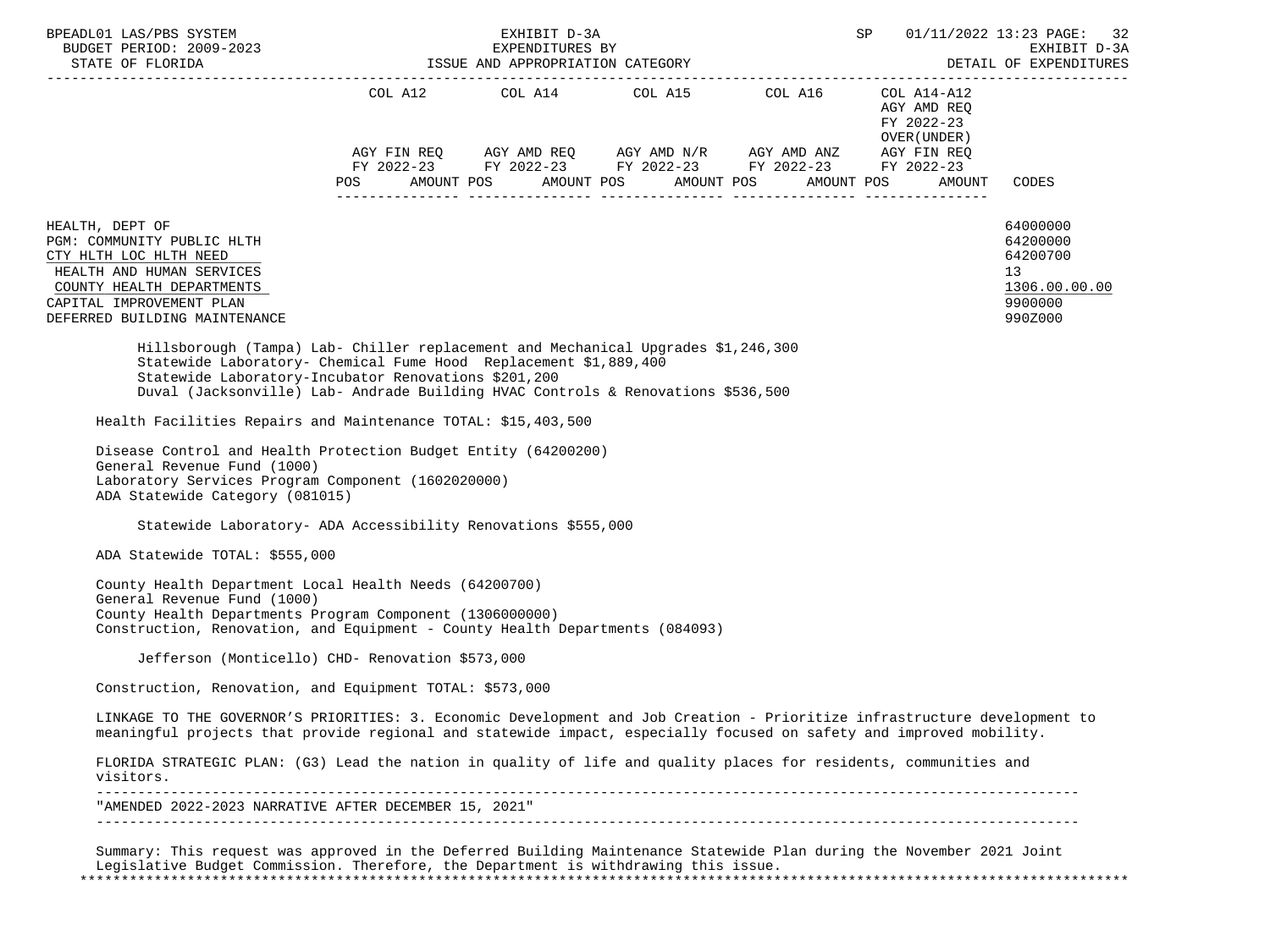| BUDGET PERIOD: 2009-2023                                                                                                                                                                                                                                                                          |                      | EXHIBIT D-3A<br>EXPENDITURES BY | ISSUE AND APPROPRIATION CATEGORY                                                                                                                                      | SP                                                        | 01/11/2022 13:23 PAGE: 32<br>EXHIBIT D-3A                                     |
|---------------------------------------------------------------------------------------------------------------------------------------------------------------------------------------------------------------------------------------------------------------------------------------------------|----------------------|---------------------------------|-----------------------------------------------------------------------------------------------------------------------------------------------------------------------|-----------------------------------------------------------|-------------------------------------------------------------------------------|
| STATE OF FLORIDA                                                                                                                                                                                                                                                                                  |                      |                                 |                                                                                                                                                                       |                                                           | DETAIL OF EXPENDITURES<br>------------------                                  |
|                                                                                                                                                                                                                                                                                                   |                      |                                 | COL A12 COL A14 COL A15 COL A16<br>$AGY \text{ FIN REQ} \qquad AGY \text{ AMD REQ} \qquad AGY \text{ AMD } N/R \qquad AGY \text{ AMD ANZ} \qquad AGY \text{ FIN REQ}$ | COL A14-A12<br>AGY AMD REO<br>FY 2022-23<br>OVER (UNDER ) |                                                                               |
|                                                                                                                                                                                                                                                                                                   | AMOUNT POS<br>POS DO |                                 | FY 2022-23 FY 2022-23 FY 2022-23 FY 2022-23 FY 2022-23<br>AMOUNT POS AMOUNT POS                                                                                       | AMOUNT POS<br>AMOUNT                                      | CODES                                                                         |
|                                                                                                                                                                                                                                                                                                   |                      |                                 |                                                                                                                                                                       |                                                           |                                                                               |
| HEALTH, DEPT OF<br>PGM: COMMUNITY PUBLIC HLTH<br>CTY HLTH LOC HLTH NEED<br>HEALTH AND HUMAN SERVICES<br>COUNTY HEALTH DEPARTMENTS<br>CAPITAL IMPROVEMENT PLAN<br>DEFERRED BUILDING MAINTENANCE                                                                                                    |                      |                                 |                                                                                                                                                                       |                                                           | 64000000<br>64200000<br>64200700<br>13<br>1306.00.00.00<br>9900000<br>990Z000 |
| Hillsborough (Tampa) Lab- Chiller replacement and Mechanical Upgrades \$1,246,300<br>Statewide Laboratory- Chemical Fume Hood Replacement \$1,889,400<br>Statewide Laboratory-Incubator Renovations \$201,200<br>Duval (Jacksonville) Lab- Andrade Building HVAC Controls & Renovations \$536,500 |                      |                                 |                                                                                                                                                                       |                                                           |                                                                               |
| Health Facilities Repairs and Maintenance TOTAL: \$15,403,500                                                                                                                                                                                                                                     |                      |                                 |                                                                                                                                                                       |                                                           |                                                                               |
| Disease Control and Health Protection Budget Entity (64200200)<br>General Revenue Fund (1000)<br>Laboratory Services Program Component (1602020000)<br>ADA Statewide Category (081015)                                                                                                            |                      |                                 |                                                                                                                                                                       |                                                           |                                                                               |
|                                                                                                                                                                                                                                                                                                   |                      |                                 |                                                                                                                                                                       |                                                           |                                                                               |
| Statewide Laboratory- ADA Accessibility Renovations \$555,000                                                                                                                                                                                                                                     |                      |                                 |                                                                                                                                                                       |                                                           |                                                                               |
| ADA Statewide TOTAL: \$555,000                                                                                                                                                                                                                                                                    |                      |                                 |                                                                                                                                                                       |                                                           |                                                                               |
| County Health Department Local Health Needs (64200700)<br>General Revenue Fund (1000)<br>County Health Departments Program Component (1306000000)<br>Construction, Renovation, and Equipment - County Health Departments (084093)                                                                 |                      |                                 |                                                                                                                                                                       |                                                           |                                                                               |
| Jefferson (Monticello) CHD- Renovation \$573,000                                                                                                                                                                                                                                                  |                      |                                 |                                                                                                                                                                       |                                                           |                                                                               |
| Construction, Renovation, and Equipment TOTAL: \$573,000                                                                                                                                                                                                                                          |                      |                                 |                                                                                                                                                                       |                                                           |                                                                               |
| LINKAGE TO THE GOVERNOR'S PRIORITIES: 3. Economic Development and Job Creation - Prioritize infrastructure development to<br>meaningful projects that provide regional and statewide impact, especially focused on safety and improved mobility.                                                  |                      |                                 |                                                                                                                                                                       |                                                           |                                                                               |
| FLORIDA STRATEGIC PLAN: (G3) Lead the nation in quality of life and quality places for residents, communities and<br>visitors.                                                                                                                                                                    |                      |                                 |                                                                                                                                                                       |                                                           |                                                                               |

 Legislative Budget Commission. Therefore, the Department is withdrawing this issue. \*\*\*\*\*\*\*\*\*\*\*\*\*\*\*\*\*\*\*\*\*\*\*\*\*\*\*\*\*\*\*\*\*\*\*\*\*\*\*\*\*\*\*\*\*\*\*\*\*\*\*\*\*\*\*\*\*\*\*\*\*\*\*\*\*\*\*\*\*\*\*\*\*\*\*\*\*\*\*\*\*\*\*\*\*\*\*\*\*\*\*\*\*\*\*\*\*\*\*\*\*\*\*\*\*\*\*\*\*\*\*\*\*\*\*\*\*\*\*\*\*\*\*\*\*\*\*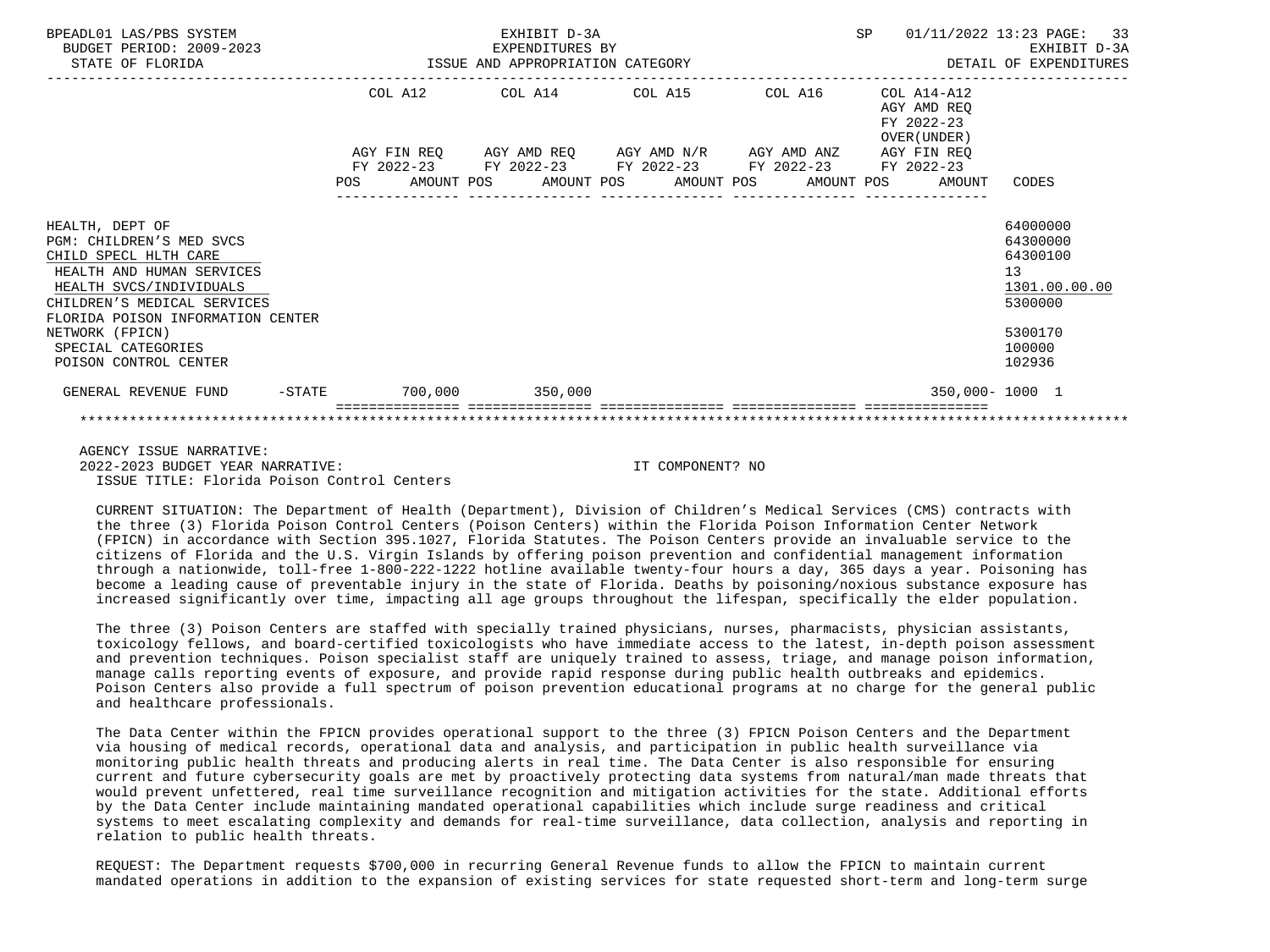| BPEADL01 LAS/PBS SYSTEM<br>BUDGET PERIOD: 2009-2023<br>STATE OF FLORIDA                                                                                                                          |  |  | EXHIBIT D-3A<br>9-2023 EXPENDITURES BY<br>ISSUE AND APPROPRIATION CATEGORY |  |  | SP |                                                          | 01/11/2022 13:23 PAGE: 33<br>EXHIBIT D-3A<br>DETAIL OF EXPENDITURES             |
|--------------------------------------------------------------------------------------------------------------------------------------------------------------------------------------------------|--|--|----------------------------------------------------------------------------|--|--|----|----------------------------------------------------------|---------------------------------------------------------------------------------|
|                                                                                                                                                                                                  |  |  | COL A12 COL A14 COL A15 COL A16                                            |  |  |    | COL A14-A12<br>AGY AMD REO<br>FY 2022-23<br>OVER (UNDER) |                                                                                 |
|                                                                                                                                                                                                  |  |  | AGY FIN REQ 6 AGY AMD REQ 6 AGY AMD N/R 6 AGY AMD ANZ 6 AGY FIN REQ        |  |  |    |                                                          |                                                                                 |
|                                                                                                                                                                                                  |  |  | FY 2022-23 FY 2022-23 FY 2022-23 FY 2022-23 FY 2022-23                     |  |  |    | POS AMOUNT POS AMOUNT POS AMOUNT POS AMOUNT POS AMOUNT   | CODES                                                                           |
| HEALTH, DEPT OF<br>PGM: CHILDREN'S MED SVCS<br>CHILD SPECL HLTH CARE<br>HEALTH AND HUMAN SERVICES<br>HEALTH SVCS/INDIVIDUALS<br>CHILDREN'S MEDICAL SERVICES<br>FLORIDA POISON INFORMATION CENTER |  |  |                                                                            |  |  |    |                                                          | 64000000<br>64300000<br>64300100<br>13 <sup>°</sup><br>1301.00.00.00<br>5300000 |
| NETWORK (FPICN)<br>SPECIAL CATEGORIES<br>POISON CONTROL CENTER                                                                                                                                   |  |  |                                                                            |  |  |    |                                                          | 5300170<br>100000<br>102936                                                     |
| GENERAL REVENUE FUND -STATE 700,000 350,000                                                                                                                                                      |  |  |                                                                            |  |  |    | 350,000-1000 1                                           |                                                                                 |
|                                                                                                                                                                                                  |  |  |                                                                            |  |  |    |                                                          |                                                                                 |

 AGENCY ISSUE NARRATIVE: 2022-2023 BUDGET YEAR NARRATIVE: IT COMPONENT? NO ISSUE TITLE: Florida Poison Control Centers

 CURRENT SITUATION: The Department of Health (Department), Division of Children's Medical Services (CMS) contracts with the three (3) Florida Poison Control Centers (Poison Centers) within the Florida Poison Information Center Network (FPICN) in accordance with Section 395.1027, Florida Statutes. The Poison Centers provide an invaluable service to the citizens of Florida and the U.S. Virgin Islands by offering poison prevention and confidential management information through a nationwide, toll-free 1-800-222-1222 hotline available twenty-four hours a day, 365 days a year. Poisoning has become a leading cause of preventable injury in the state of Florida. Deaths by poisoning/noxious substance exposure has increased significantly over time, impacting all age groups throughout the lifespan, specifically the elder population.

 The three (3) Poison Centers are staffed with specially trained physicians, nurses, pharmacists, physician assistants, toxicology fellows, and board-certified toxicologists who have immediate access to the latest, in-depth poison assessment and prevention techniques. Poison specialist staff are uniquely trained to assess, triage, and manage poison information, manage calls reporting events of exposure, and provide rapid response during public health outbreaks and epidemics. Poison Centers also provide a full spectrum of poison prevention educational programs at no charge for the general public and healthcare professionals.

 The Data Center within the FPICN provides operational support to the three (3) FPICN Poison Centers and the Department via housing of medical records, operational data and analysis, and participation in public health surveillance via monitoring public health threats and producing alerts in real time. The Data Center is also responsible for ensuring current and future cybersecurity goals are met by proactively protecting data systems from natural/man made threats that would prevent unfettered, real time surveillance recognition and mitigation activities for the state. Additional efforts by the Data Center include maintaining mandated operational capabilities which include surge readiness and critical systems to meet escalating complexity and demands for real-time surveillance, data collection, analysis and reporting in relation to public health threats.

 REQUEST: The Department requests \$700,000 in recurring General Revenue funds to allow the FPICN to maintain current mandated operations in addition to the expansion of existing services for state requested short-term and long-term surge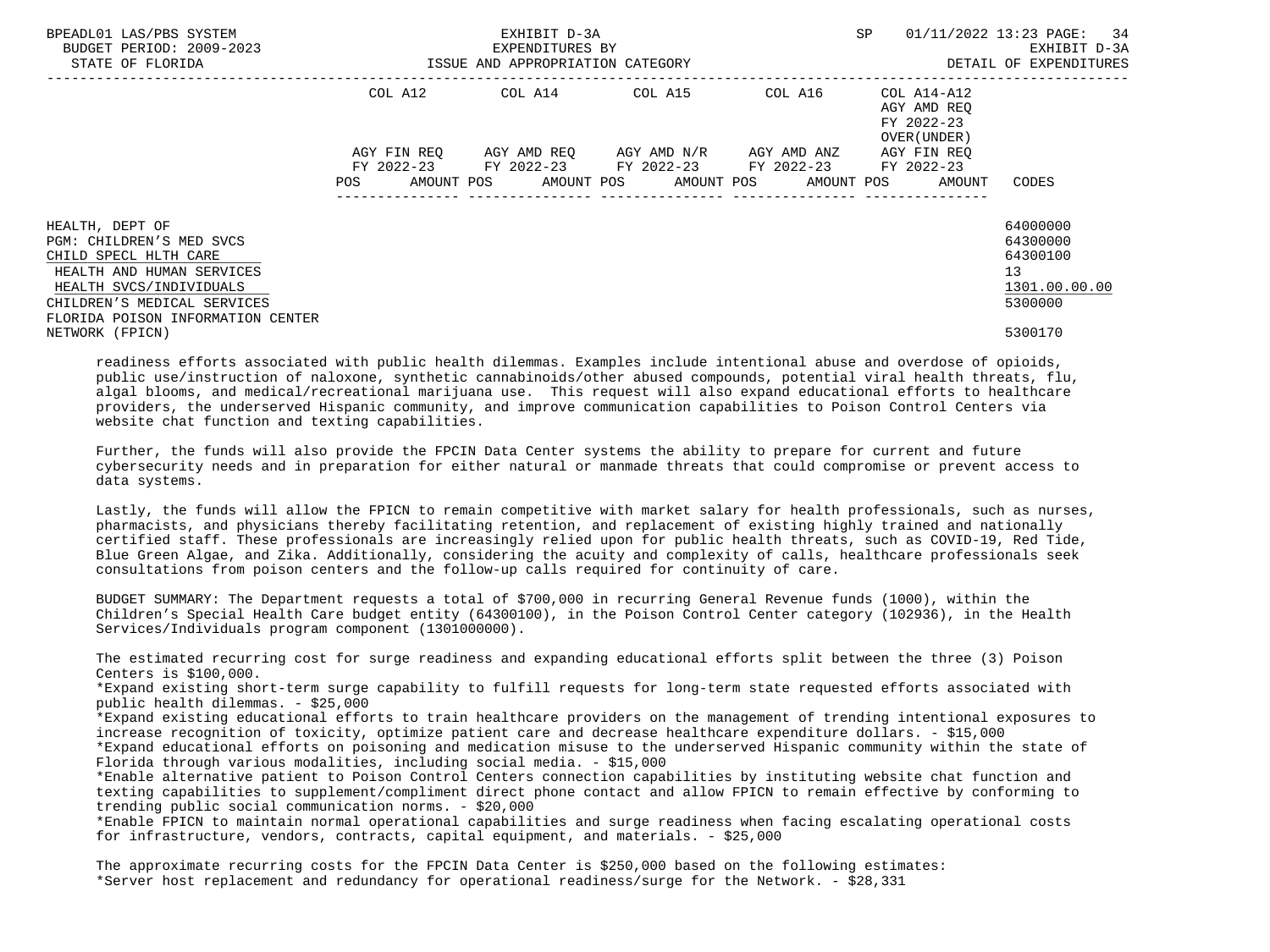| BPEADL01 LAS/PBS SYSTEM<br>BUDGET PERIOD: 2009-2023<br>STATE OF FLORIDA                                                                                                                          | ISSUE AND APPROPRIATION CATEGORY | EXHIBIT D-3A<br>EXPENDITURES BY                                                                                                                                 |         | <b>SP</b><br>01/11/2022 13:23 PAGE: 34<br>DETAIL OF EXPENDITURES |                                                                    |  |
|--------------------------------------------------------------------------------------------------------------------------------------------------------------------------------------------------|----------------------------------|-----------------------------------------------------------------------------------------------------------------------------------------------------------------|---------|------------------------------------------------------------------|--------------------------------------------------------------------|--|
|                                                                                                                                                                                                  |                                  | COL A12 COL A14 COL A15                                                                                                                                         | COL A16 | COL A14-A12<br>AGY AMD REQ<br>FY 2022-23<br>OVER (UNDER)         |                                                                    |  |
|                                                                                                                                                                                                  | POS                              | AGY FIN REO AGY AMD REO AGY AMD N/R AGY AMD ANZ<br>FY 2022-23 FY 2022-23 FY 2022-23 FY 2022-23 FY 2022-23<br>AMOUNT POS AMOUNT POS AMOUNT POS AMOUNT POS AMOUNT |         | AGY FIN REO                                                      | CODES                                                              |  |
| HEALTH, DEPT OF<br>PGM: CHILDREN'S MED SVCS<br>CHILD SPECL HLTH CARE<br>HEALTH AND HUMAN SERVICES<br>HEALTH SVCS/INDIVIDUALS<br>CHILDREN'S MEDICAL SERVICES<br>FLORIDA POISON INFORMATION CENTER |                                  |                                                                                                                                                                 |         |                                                                  | 64000000<br>64300000<br>64300100<br>13<br>1301.00.00.00<br>5300000 |  |
| NETWORK (FPICN)                                                                                                                                                                                  |                                  |                                                                                                                                                                 |         |                                                                  | 5300170                                                            |  |

 readiness efforts associated with public health dilemmas. Examples include intentional abuse and overdose of opioids, public use/instruction of naloxone, synthetic cannabinoids/other abused compounds, potential viral health threats, flu, algal blooms, and medical/recreational marijuana use. This request will also expand educational efforts to healthcare providers, the underserved Hispanic community, and improve communication capabilities to Poison Control Centers via website chat function and texting capabilities.

 Further, the funds will also provide the FPCIN Data Center systems the ability to prepare for current and future cybersecurity needs and in preparation for either natural or manmade threats that could compromise or prevent access to data systems.

 Lastly, the funds will allow the FPICN to remain competitive with market salary for health professionals, such as nurses, pharmacists, and physicians thereby facilitating retention, and replacement of existing highly trained and nationally certified staff. These professionals are increasingly relied upon for public health threats, such as COVID-19, Red Tide, Blue Green Algae, and Zika. Additionally, considering the acuity and complexity of calls, healthcare professionals seek consultations from poison centers and the follow-up calls required for continuity of care.

 BUDGET SUMMARY: The Department requests a total of \$700,000 in recurring General Revenue funds (1000), within the Children's Special Health Care budget entity (64300100), in the Poison Control Center category (102936), in the Health Services/Individuals program component (1301000000).

 The estimated recurring cost for surge readiness and expanding educational efforts split between the three (3) Poison Centers is \$100,000.

 \*Expand existing short-term surge capability to fulfill requests for long-term state requested efforts associated with public health dilemmas. - \$25,000

 \*Expand existing educational efforts to train healthcare providers on the management of trending intentional exposures to increase recognition of toxicity, optimize patient care and decrease healthcare expenditure dollars. - \$15,000

 \*Expand educational efforts on poisoning and medication misuse to the underserved Hispanic community within the state of Florida through various modalities, including social media. - \$15,000

 \*Enable alternative patient to Poison Control Centers connection capabilities by instituting website chat function and texting capabilities to supplement/compliment direct phone contact and allow FPICN to remain effective by conforming to trending public social communication norms. - \$20,000

 \*Enable FPICN to maintain normal operational capabilities and surge readiness when facing escalating operational costs for infrastructure, vendors, contracts, capital equipment, and materials. - \$25,000

 The approximate recurring costs for the FPCIN Data Center is \$250,000 based on the following estimates: \*Server host replacement and redundancy for operational readiness/surge for the Network. - \$28,331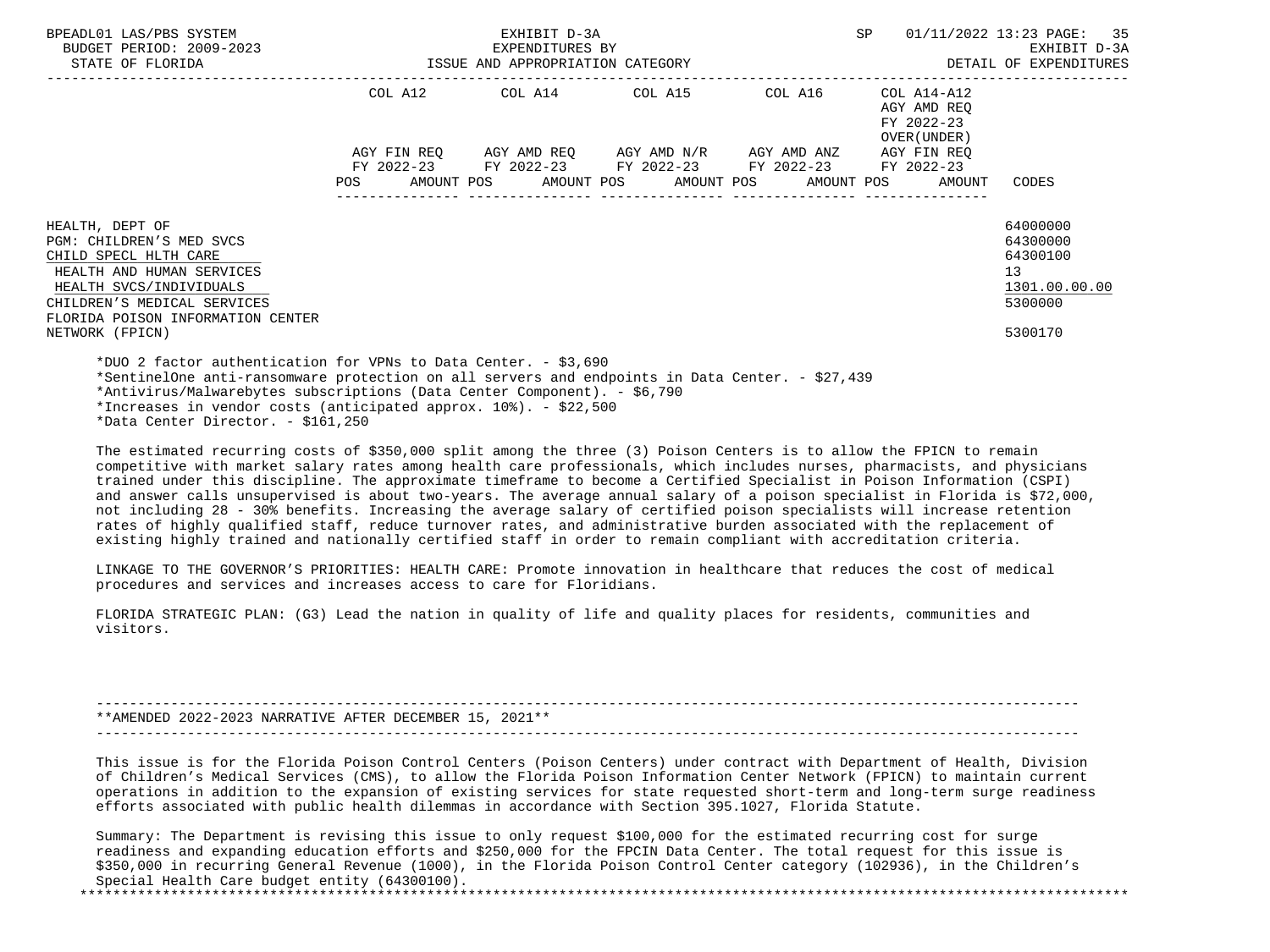| BPEADL01 LAS/PBS SYSTEM<br>BUDGET PERIOD: 2009-2023<br>STATE OF FLORIDA                                                                                                                                                                                                                                            | EXHIBIT D-3A<br>EXPENDITURES BY<br>ISSUE AND APPROPRIATION CATEGORY |             |  |  |  |                                                                                                       |  | SP. |                                                          | 01/11/2022 13:23 PAGE: 35<br>EXHIBIT D-3A<br>DETAIL OF EXPENDITURES           |
|--------------------------------------------------------------------------------------------------------------------------------------------------------------------------------------------------------------------------------------------------------------------------------------------------------------------|---------------------------------------------------------------------|-------------|--|--|--|-------------------------------------------------------------------------------------------------------|--|-----|----------------------------------------------------------|-------------------------------------------------------------------------------|
|                                                                                                                                                                                                                                                                                                                    |                                                                     | AGY FIN REO |  |  |  | COL A12 COL A14 COL A15 COL A16<br>AGY AMD REQ      AGY AMD N/R      AGY AMD ANZ      AGY FIN REQ     |  |     | COL A14-A12<br>AGY AMD REO<br>FY 2022-23<br>OVER (UNDER) |                                                                               |
|                                                                                                                                                                                                                                                                                                                    | <b>POS</b>                                                          |             |  |  |  | FY 2022-23 FY 2022-23 FY 2022-23 FY 2022-23 FY 2022-23<br>AMOUNT POS AMOUNT POS AMOUNT POS AMOUNT POS |  |     | AMOUNT                                                   | CODES                                                                         |
| HEALTH, DEPT OF<br>PGM: CHILDREN'S MED SVCS<br>CHILD SPECL HLTH CARE<br>HEALTH AND HUMAN SERVICES<br>HEALTH SVCS/INDIVIDUALS<br>CHILDREN'S MEDICAL SERVICES<br>FLORIDA POISON INFORMATION CENTER<br>NETWORK (FPICN)                                                                                                |                                                                     |             |  |  |  |                                                                                                       |  |     |                                                          | 64000000<br>64300000<br>64300100<br>13<br>1301.00.00.00<br>5300000<br>5300170 |
| *DUO 2 factor authentication for VPNs to Data Center. - \$3,690<br>*SentinelOne anti-ransomware protection on all servers and endpoints in Data Center. - \$27,439<br>*Antivirus/Malwarebytes subscriptions (Data Center Component). - \$6,790<br>*Increases in vendor costs (anticipated approx. 10%). - \$22,500 |                                                                     |             |  |  |  |                                                                                                       |  |     |                                                          |                                                                               |

\*Data Center Director. - \$161,250

 The estimated recurring costs of \$350,000 split among the three (3) Poison Centers is to allow the FPICN to remain competitive with market salary rates among health care professionals, which includes nurses, pharmacists, and physicians trained under this discipline. The approximate timeframe to become a Certified Specialist in Poison Information (CSPI) and answer calls unsupervised is about two-years. The average annual salary of a poison specialist in Florida is \$72,000, not including 28 - 30% benefits. Increasing the average salary of certified poison specialists will increase retention rates of highly qualified staff, reduce turnover rates, and administrative burden associated with the replacement of existing highly trained and nationally certified staff in order to remain compliant with accreditation criteria.

 LINKAGE TO THE GOVERNOR'S PRIORITIES: HEALTH CARE: Promote innovation in healthcare that reduces the cost of medical procedures and services and increases access to care for Floridians.

 FLORIDA STRATEGIC PLAN: (G3) Lead the nation in quality of life and quality places for residents, communities and visitors.

 ----------------------------------------------------------------------------------------------------------------------- \*\*AMENDED 2022-2023 NARRATIVE AFTER DECEMBER 15, 2021\*\* -----------------------------------------------------------------------------------------------------------------------

 This issue is for the Florida Poison Control Centers (Poison Centers) under contract with Department of Health, Division of Children's Medical Services (CMS), to allow the Florida Poison Information Center Network (FPICN) to maintain current operations in addition to the expansion of existing services for state requested short-term and long-term surge readiness efforts associated with public health dilemmas in accordance with Section 395.1027, Florida Statute.

 Summary: The Department is revising this issue to only request \$100,000 for the estimated recurring cost for surge readiness and expanding education efforts and \$250,000 for the FPCIN Data Center. The total request for this issue is \$350,000 in recurring General Revenue (1000), in the Florida Poison Control Center category (102936), in the Children's Special Health Care budget entity (64300100).

\*\*\*\*\*\*\*\*\*\*\*\*\*\*\*\*\*\*\*\*\*\*\*\*\*\*\*\*\*\*\*\*\*\*\*\*\*\*\*\*\*\*\*\*\*\*\*\*\*\*\*\*\*\*\*\*\*\*\*\*\*\*\*\*\*\*\*\*\*\*\*\*\*\*\*\*\*\*\*\*\*\*\*\*\*\*\*\*\*\*\*\*\*\*\*\*\*\*\*\*\*\*\*\*\*\*\*\*\*\*\*\*\*\*\*\*\*\*\*\*\*\*\*\*\*\*\*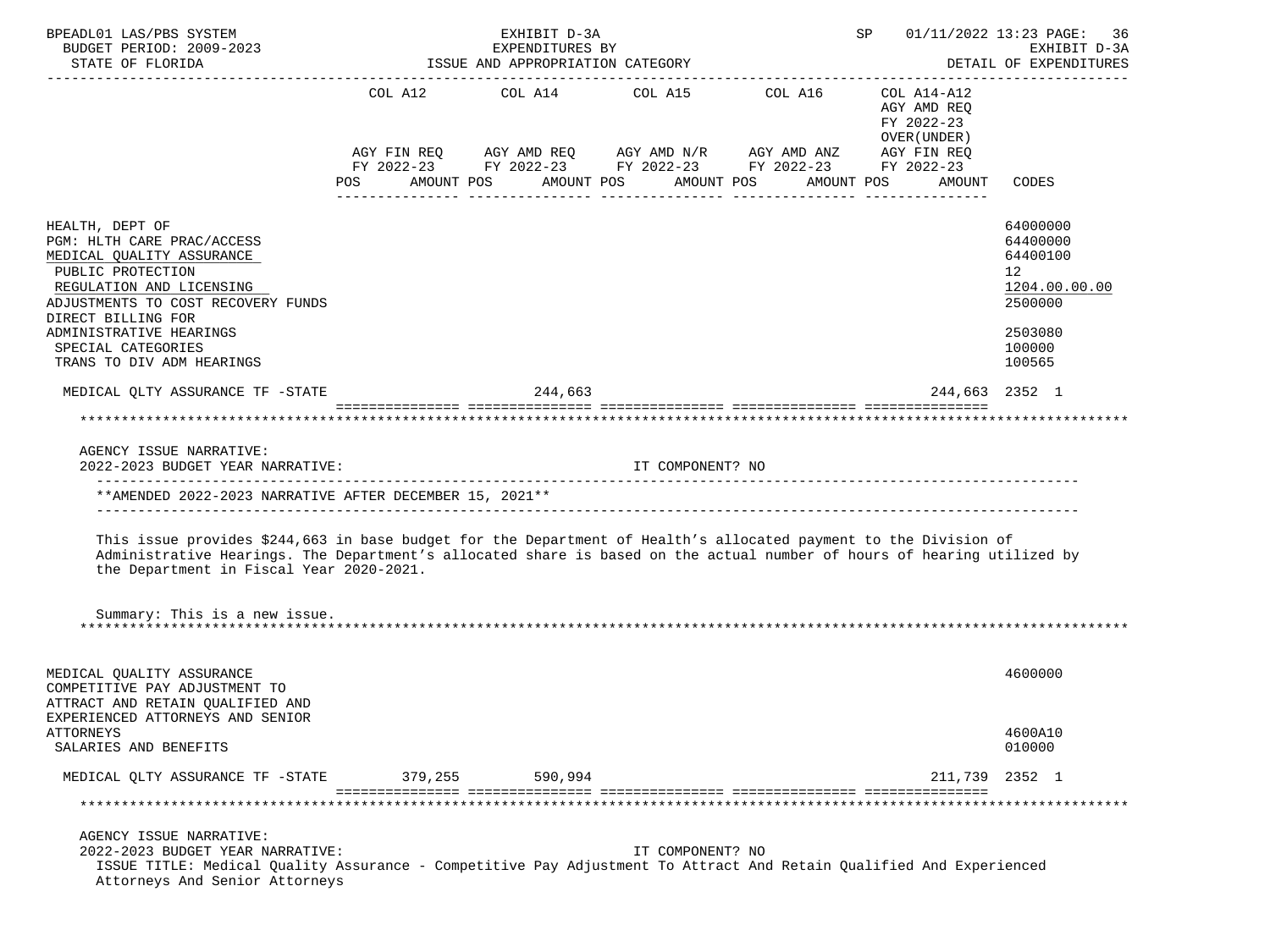| BPEADL01 LAS/PBS SYSTEM<br>BUDGET PERIOD: 2009-2023                                                                                                                                                                                                                                                                      |                   | EXHIBIT D-3A<br>EXPENDITURES BY  |                                               |                                                                                                                                                   | SP                                                                 | 01/11/2022 13:23 PAGE: 36<br>EXHIBIT D-3A                                                         |
|--------------------------------------------------------------------------------------------------------------------------------------------------------------------------------------------------------------------------------------------------------------------------------------------------------------------------|-------------------|----------------------------------|-----------------------------------------------|---------------------------------------------------------------------------------------------------------------------------------------------------|--------------------------------------------------------------------|---------------------------------------------------------------------------------------------------|
| STATE OF FLORIDA                                                                                                                                                                                                                                                                                                         |                   | ISSUE AND APPROPRIATION CATEGORY |                                               |                                                                                                                                                   |                                                                    | DETAIL OF EXPENDITURES                                                                            |
|                                                                                                                                                                                                                                                                                                                          | POS<br>AMOUNT POS |                                  | COL A12 COL A14 COL A15 COL A16<br>AMOUNT POS | AGY FIN REQ AGY AMD REQ AGY AMD N/R AGY AMD ANZ AGY FIN REQ<br>FY 2022-23 FY 2022-23 FY 2022-23 FY 2022-23 FY 2022-23<br>AMOUNT POS<br>AMOUNT POS | COL A14-A12<br>AGY AMD REO<br>FY 2022-23<br>OVER (UNDER)<br>AMOUNT | CODES                                                                                             |
|                                                                                                                                                                                                                                                                                                                          |                   |                                  |                                               |                                                                                                                                                   |                                                                    |                                                                                                   |
| HEALTH, DEPT OF<br>PGM: HLTH CARE PRAC/ACCESS<br>MEDICAL QUALITY ASSURANCE<br>PUBLIC PROTECTION<br>REGULATION AND LICENSING<br>ADJUSTMENTS TO COST RECOVERY FUNDS<br>DIRECT BILLING FOR<br>ADMINISTRATIVE HEARINGS<br>SPECIAL CATEGORIES<br>TRANS TO DIV ADM HEARINGS                                                    |                   |                                  |                                               |                                                                                                                                                   |                                                                    | 64000000<br>64400000<br>64400100<br>12<br>1204.00.00.00<br>2500000<br>2503080<br>100000<br>100565 |
| MEDICAL OLTY ASSURANCE TF -STATE                                                                                                                                                                                                                                                                                         |                   | 244,663                          |                                               |                                                                                                                                                   |                                                                    | 244,663 2352 1                                                                                    |
| **************************************                                                                                                                                                                                                                                                                                   |                   |                                  |                                               |                                                                                                                                                   |                                                                    |                                                                                                   |
| AGENCY ISSUE NARRATIVE:<br>2022-2023 BUDGET YEAR NARRATIVE:                                                                                                                                                                                                                                                              |                   |                                  | IT COMPONENT? NO                              |                                                                                                                                                   |                                                                    |                                                                                                   |
| **AMENDED 2022-2023 NARRATIVE AFTER DECEMBER 15, 2021**                                                                                                                                                                                                                                                                  |                   |                                  |                                               |                                                                                                                                                   |                                                                    |                                                                                                   |
| This issue provides \$244,663 in base budget for the Department of Health's allocated payment to the Division of<br>Administrative Hearings. The Department's allocated share is based on the actual number of hours of hearing utilized by<br>the Department in Fiscal Year 2020-2021.<br>Summary: This is a new issue. |                   |                                  |                                               |                                                                                                                                                   |                                                                    |                                                                                                   |
| MEDICAL OUALITY ASSURANCE<br>COMPETITIVE PAY ADJUSTMENT TO<br>ATTRACT AND RETAIN QUALIFIED AND<br>EXPERIENCED ATTORNEYS AND SENIOR<br>ATTORNEYS                                                                                                                                                                          |                   |                                  |                                               |                                                                                                                                                   |                                                                    | 4600000<br>4600A10                                                                                |
| SALARIES AND BENEFITS                                                                                                                                                                                                                                                                                                    |                   |                                  |                                               |                                                                                                                                                   |                                                                    | 010000                                                                                            |
| MEDICAL QLTY ASSURANCE TF -STATE                                                                                                                                                                                                                                                                                         | 379,255           | 590,994                          |                                               |                                                                                                                                                   |                                                                    | 211,739 2352 1                                                                                    |
|                                                                                                                                                                                                                                                                                                                          |                   |                                  |                                               |                                                                                                                                                   |                                                                    |                                                                                                   |
| AGENCY ISSUE NARRATIVE:<br>2022-2023 BUDGET YEAR NARRATIVE:<br>ISSUE TITLE: Medical Quality Assurance - Competitive Pay Adjustment To Attract And Retain Qualified And Experienced<br>Attorneys And Senior Attorneys                                                                                                     |                   |                                  | IT COMPONENT? NO                              |                                                                                                                                                   |                                                                    |                                                                                                   |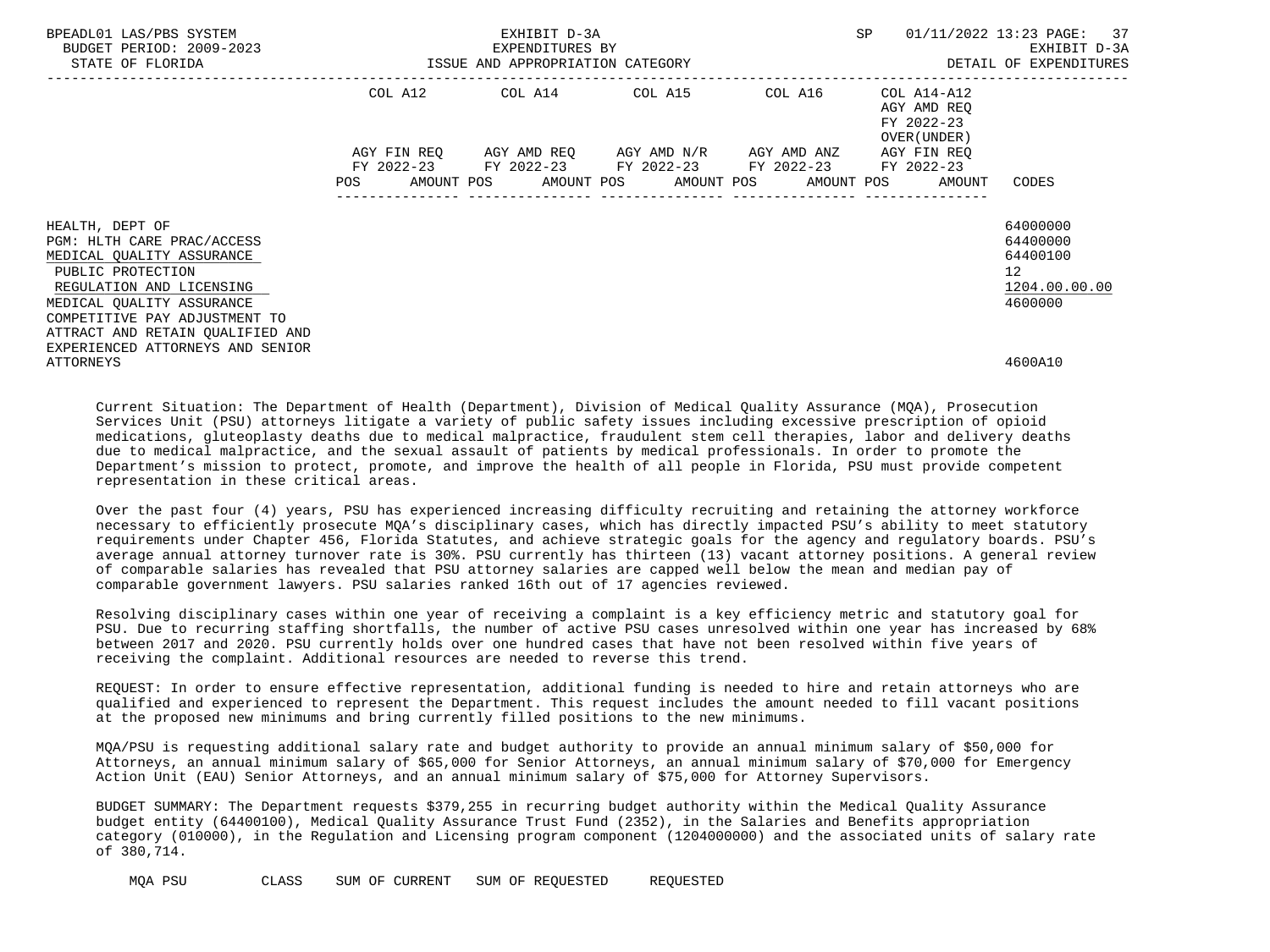| BPEADL01 LAS/PBS SYSTEM<br>BUDGET PERIOD: 2009-2023<br>STATE OF FLORIDA                                                                                                                                                                                           | ISSUE AND APPROPRIATION CATEGORY | EXHIBIT D-3A<br>EXPENDITURES BY                                                                | <b>SP</b>             | 01/11/2022 13:23 PAGE: 37<br>EXHIBIT D-3A<br>DETAIL OF EXPENDITURES |                                           |                                                                                   |
|-------------------------------------------------------------------------------------------------------------------------------------------------------------------------------------------------------------------------------------------------------------------|----------------------------------|------------------------------------------------------------------------------------------------|-----------------------|---------------------------------------------------------------------|-------------------------------------------|-----------------------------------------------------------------------------------|
|                                                                                                                                                                                                                                                                   |                                  | COL A12 COL A14 COL A15 COL A16 COL A14-A12                                                    |                       | -------------------------                                           | AGY AMD REO<br>FY 2022-23<br>OVER (UNDER) |                                                                                   |
|                                                                                                                                                                                                                                                                   | FY 2022-23<br>POS                | AGY FIN REQ AGY AMD REQ AGY AMD N/R AGY AMD ANZ<br>AMOUNT POS AMOUNT POS AMOUNT POS AMOUNT POS | FY 2022-23 FY 2022-23 | FY 2022-23                                                          | AGY FIN REO<br>FY 2022-23<br>AMOUNT       | CODES                                                                             |
| HEALTH, DEPT OF<br>PGM: HLTH CARE PRAC/ACCESS<br>MEDICAL QUALITY ASSURANCE<br>PUBLIC PROTECTION<br>REGULATION AND LICENSING<br>MEDICAL OUALITY ASSURANCE<br>COMPETITIVE PAY ADJUSTMENT TO<br>ATTRACT AND RETAIN OUALIFIED AND<br>EXPERIENCED ATTORNEYS AND SENIOR |                                  |                                                                                                |                       |                                                                     |                                           | 64000000<br>64400000<br>64400100<br>$12 \overline{ }$<br>1204.00.00.00<br>4600000 |
| ATTORNEYS                                                                                                                                                                                                                                                         |                                  |                                                                                                |                       |                                                                     |                                           | 4600A10                                                                           |

 Current Situation: The Department of Health (Department), Division of Medical Quality Assurance (MQA), Prosecution Services Unit (PSU) attorneys litigate a variety of public safety issues including excessive prescription of opioid medications, gluteoplasty deaths due to medical malpractice, fraudulent stem cell therapies, labor and delivery deaths due to medical malpractice, and the sexual assault of patients by medical professionals. In order to promote the Department's mission to protect, promote, and improve the health of all people in Florida, PSU must provide competent representation in these critical areas.

 Over the past four (4) years, PSU has experienced increasing difficulty recruiting and retaining the attorney workforce necessary to efficiently prosecute MQA's disciplinary cases, which has directly impacted PSU's ability to meet statutory requirements under Chapter 456, Florida Statutes, and achieve strategic goals for the agency and regulatory boards. PSU's average annual attorney turnover rate is 30%. PSU currently has thirteen (13) vacant attorney positions. A general review of comparable salaries has revealed that PSU attorney salaries are capped well below the mean and median pay of comparable government lawyers. PSU salaries ranked 16th out of 17 agencies reviewed.

 Resolving disciplinary cases within one year of receiving a complaint is a key efficiency metric and statutory goal for PSU. Due to recurring staffing shortfalls, the number of active PSU cases unresolved within one year has increased by 68% between 2017 and 2020. PSU currently holds over one hundred cases that have not been resolved within five years of receiving the complaint. Additional resources are needed to reverse this trend.

 REQUEST: In order to ensure effective representation, additional funding is needed to hire and retain attorneys who are qualified and experienced to represent the Department. This request includes the amount needed to fill vacant positions at the proposed new minimums and bring currently filled positions to the new minimums.

 MQA/PSU is requesting additional salary rate and budget authority to provide an annual minimum salary of \$50,000 for Attorneys, an annual minimum salary of \$65,000 for Senior Attorneys, an annual minimum salary of \$70,000 for Emergency Action Unit (EAU) Senior Attorneys, and an annual minimum salary of \$75,000 for Attorney Supervisors.

 BUDGET SUMMARY: The Department requests \$379,255 in recurring budget authority within the Medical Quality Assurance budget entity (64400100), Medical Quality Assurance Trust Fund (2352), in the Salaries and Benefits appropriation category (010000), in the Regulation and Licensing program component (1204000000) and the associated units of salary rate of 380,714.

MQA PSU CLASS SUM OF CURRENT SUM OF REQUESTED REQUESTED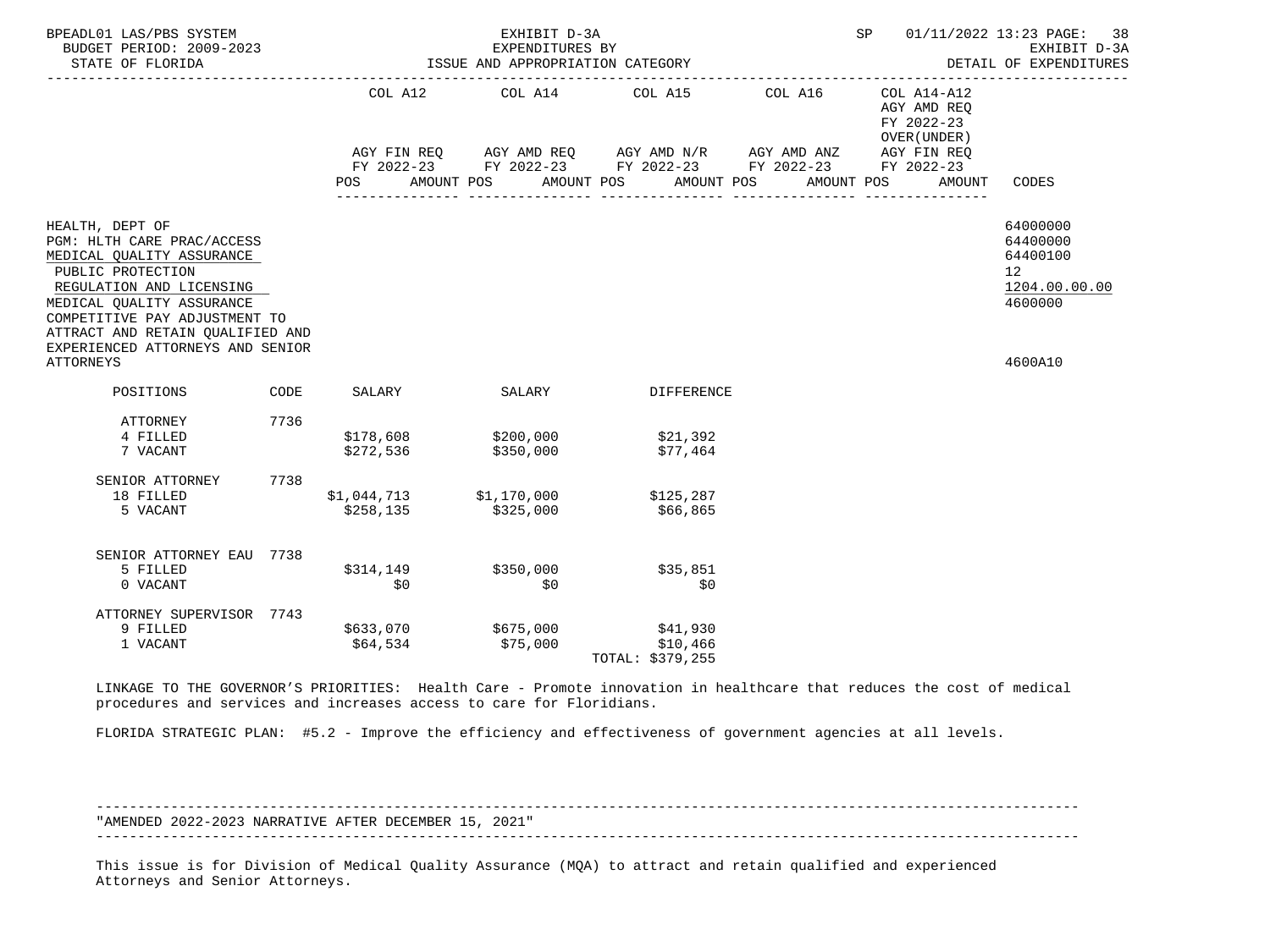| BPEADL01 LAS/PBS SYSTEM<br>BUDGET PERIOD: 2009-2023<br>STATE OF FLORIDA                                                                                                                                                                                                               |      | ISSUE AND APPROPRIATION CATEGORY                  | EXHIBIT D-3A<br>EXPENDITURES BY |                                                                                                                                                                                                         | SP                                                                 | 01/11/2022 13:23 PAGE: 38<br>EXHIBIT D-3A<br>DETAIL OF EXPENDITURES           |
|---------------------------------------------------------------------------------------------------------------------------------------------------------------------------------------------------------------------------------------------------------------------------------------|------|---------------------------------------------------|---------------------------------|---------------------------------------------------------------------------------------------------------------------------------------------------------------------------------------------------------|--------------------------------------------------------------------|-------------------------------------------------------------------------------|
|                                                                                                                                                                                                                                                                                       |      | POS                                               |                                 | COL A12 COL A14 COL A15 COL A16<br>AGY FIN REQ AGY AMD REQ AGY AMD N/R AGY AMD ANZ AGY FIN REQ<br>FY 2022-23 FY 2022-23 FY 2022-23 FY 2022-23 FY 2022-23<br>AMOUNT POS AMOUNT POS AMOUNT POS AMOUNT POS | COL A14-A12<br>AGY AMD REO<br>FY 2022-23<br>OVER (UNDER)<br>AMOUNT | CODES                                                                         |
| HEALTH, DEPT OF<br>PGM: HLTH CARE PRAC/ACCESS<br>MEDICAL QUALITY ASSURANCE<br>PUBLIC PROTECTION<br>REGULATION AND LICENSING<br>MEDICAL OUALITY ASSURANCE<br>COMPETITIVE PAY ADJUSTMENT TO<br>ATTRACT AND RETAIN OUALIFIED AND<br>EXPERIENCED ATTORNEYS AND SENIOR<br><b>ATTORNEYS</b> |      |                                                   |                                 |                                                                                                                                                                                                         |                                                                    | 64000000<br>64400000<br>64400100<br>12<br>1204.00.00.00<br>4600000<br>4600A10 |
| POSITIONS                                                                                                                                                                                                                                                                             | CODE | SALARY                                            | <b>SALARY</b>                   | DIFFERENCE                                                                                                                                                                                              |                                                                    |                                                                               |
| ATTORNEY<br>4 FILLED<br>7 VACANT                                                                                                                                                                                                                                                      | 7736 | \$178,608    \$200,000<br>\$272,536               | \$350,000                       | \$21,392<br>\$77,464                                                                                                                                                                                    |                                                                    |                                                                               |
| SENIOR ATTORNEY<br>18 FILLED<br>5 VACANT                                                                                                                                                                                                                                              | 7738 | $$1,044,713$ $$1,170,000$ $$125,287$<br>\$258,135 | \$325,000                       | \$66,865                                                                                                                                                                                                |                                                                    |                                                                               |
| SENIOR ATTORNEY EAU 7738<br>5 FILLED<br>0 VACANT                                                                                                                                                                                                                                      |      | \$314,149<br>\$0                                  | \$350,000<br>\$0                | \$35,851<br>\$0                                                                                                                                                                                         |                                                                    |                                                                               |
| ATTORNEY SUPERVISOR 7743<br>9 FILLED<br>1 VACANT                                                                                                                                                                                                                                      |      | \$64,534                                          | \$633,070 \$675,000<br>\$75,000 | \$41,930<br>\$10,466<br>TOTAL: \$379,255                                                                                                                                                                |                                                                    |                                                                               |

 LINKAGE TO THE GOVERNOR'S PRIORITIES: Health Care - Promote innovation in healthcare that reduces the cost of medical procedures and services and increases access to care for Floridians.

FLORIDA STRATEGIC PLAN: #5.2 - Improve the efficiency and effectiveness of government agencies at all levels.

 ----------------------------------------------------------------------------------------------------------------------- "AMENDED 2022-2023 NARRATIVE AFTER DECEMBER 15, 2021" -----------------------------------------------------------------------------------------------------------------------

 This issue is for Division of Medical Quality Assurance (MQA) to attract and retain qualified and experienced Attorneys and Senior Attorneys.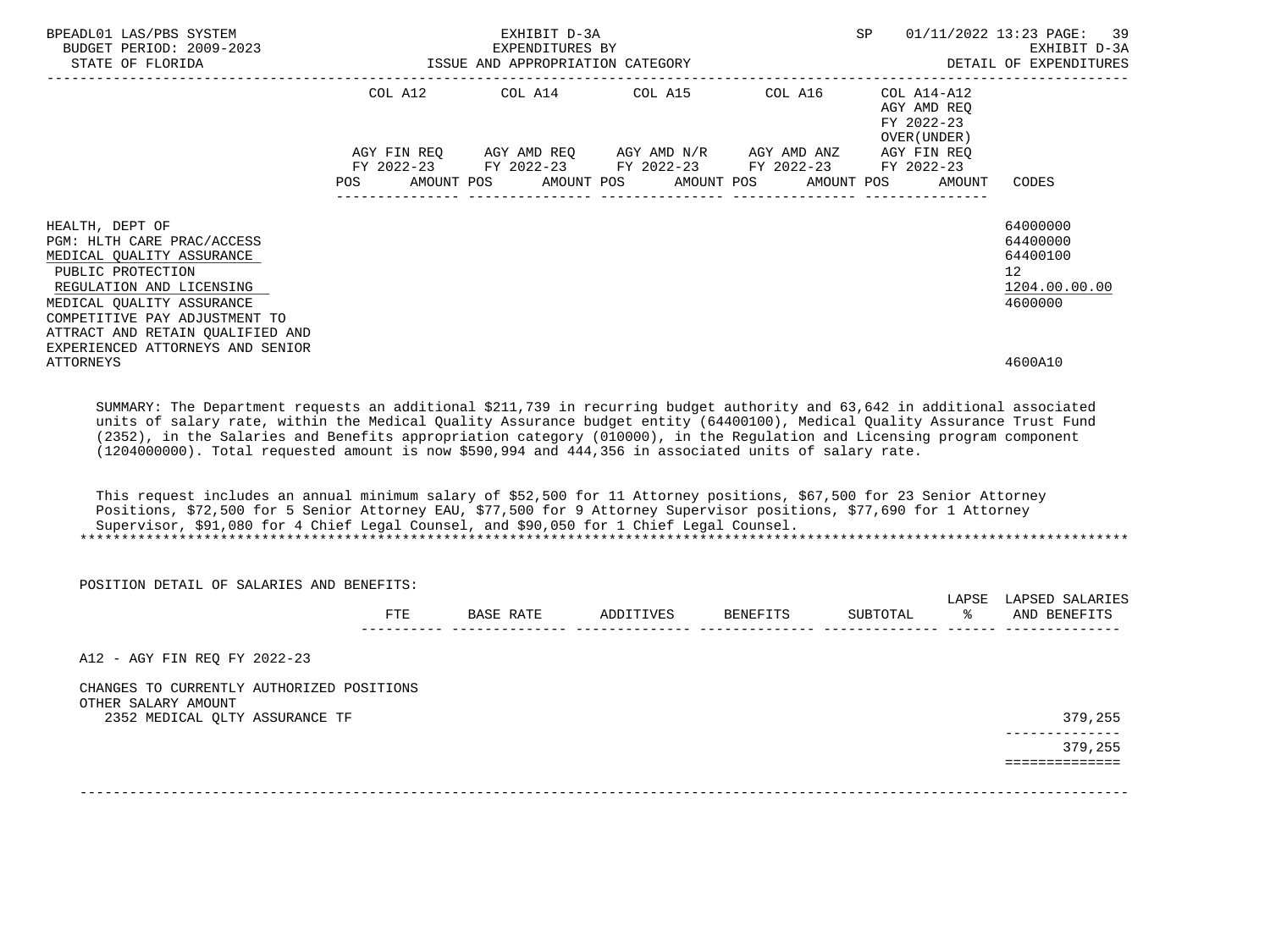| BPEADL01 LAS/PBS SYSTEM<br>BUDGET PERIOD: 2009-2023<br>STATE OF FLORIDA                                                                                                                                                                                                                                                                                                                                                                                                                                                                                                                                                                                                                                                                                                                                                                 |     | EXHIBIT D-3A<br>EXPENDITURES BY<br>ISSUE AND APPROPRIATION CATEGORY                                                                                                    |            |                          | SP                                                                  | 01/11/2022 13:23 PAGE:<br>39<br>EXHIBIT D-3A<br>DETAIL OF EXPENDITURES          |
|-----------------------------------------------------------------------------------------------------------------------------------------------------------------------------------------------------------------------------------------------------------------------------------------------------------------------------------------------------------------------------------------------------------------------------------------------------------------------------------------------------------------------------------------------------------------------------------------------------------------------------------------------------------------------------------------------------------------------------------------------------------------------------------------------------------------------------------------|-----|------------------------------------------------------------------------------------------------------------------------------------------------------------------------|------------|--------------------------|---------------------------------------------------------------------|---------------------------------------------------------------------------------|
|                                                                                                                                                                                                                                                                                                                                                                                                                                                                                                                                                                                                                                                                                                                                                                                                                                         | POS | COL A12 COL A14 COL A15 COL A16<br>AGY FIN REQ AGY AMD REQ AGY AMD N/R AGY AMD ANZ AGY FIN REQ<br>FY 2022-23 FY 2022-23 FY 2022-23 FY 2022-23 FY 2022-23<br>AMOUNT POS | AMOUNT POS | AMOUNT POS<br>AMOUNT POS | COL A14-A12<br>AGY AMD REO<br>FY 2022-23<br>OVER (UNDER )<br>AMOUNT | CODES                                                                           |
| HEALTH, DEPT OF<br>PGM: HLTH CARE PRAC/ACCESS<br>MEDICAL QUALITY ASSURANCE<br>PUBLIC PROTECTION<br>REGULATION AND LICENSING<br>MEDICAL OUALITY ASSURANCE<br>COMPETITIVE PAY ADJUSTMENT TO<br>ATTRACT AND RETAIN QUALIFIED AND                                                                                                                                                                                                                                                                                                                                                                                                                                                                                                                                                                                                           |     |                                                                                                                                                                        |            |                          |                                                                     | 64000000<br>64400000<br>64400100<br>12 <sup>°</sup><br>1204.00.00.00<br>4600000 |
| EXPERIENCED ATTORNEYS AND SENIOR<br><b>ATTORNEYS</b>                                                                                                                                                                                                                                                                                                                                                                                                                                                                                                                                                                                                                                                                                                                                                                                    |     |                                                                                                                                                                        |            |                          |                                                                     | 4600A10                                                                         |
| SUMMARY: The Department requests an additional \$211,739 in recurring budget authority and 63,642 in additional associated<br>units of salary rate, within the Medical Quality Assurance budget entity (64400100), Medical Quality Assurance Trust Fund<br>(2352), in the Salaries and Benefits appropriation category (010000), in the Regulation and Licensing program component<br>(1204000000). Total requested amount is now \$590,994 and 444,356 in associated units of salary rate.<br>This request includes an annual minimum salary of \$52,500 for 11 Attorney positions, \$67,500 for 23 Senior Attorney<br>Positions, \$72,500 for 5 Senior Attorney EAU, \$77,500 for 9 Attorney Supervisor positions, \$77,690 for 1 Attorney<br>Supervisor, \$91,080 for 4 Chief Legal Counsel, and \$90,050 for 1 Chief Legal Counsel. |     |                                                                                                                                                                        |            |                          |                                                                     |                                                                                 |
| POSITION DETAIL OF SALARIES AND BENEFITS:                                                                                                                                                                                                                                                                                                                                                                                                                                                                                                                                                                                                                                                                                                                                                                                               |     |                                                                                                                                                                        |            |                          |                                                                     |                                                                                 |
|                                                                                                                                                                                                                                                                                                                                                                                                                                                                                                                                                                                                                                                                                                                                                                                                                                         |     | FTE BASE RATE ADDITIVES BENEFITS                                                                                                                                       |            |                          | ိ<br>SUBTOTAL                                                       | LAPSE LAPSED SALARIES<br>AND BENEFITS                                           |
| A12 - AGY FIN REQ FY 2022-23                                                                                                                                                                                                                                                                                                                                                                                                                                                                                                                                                                                                                                                                                                                                                                                                            |     |                                                                                                                                                                        |            |                          |                                                                     |                                                                                 |
| CHANGES TO CURRENTLY AUTHORIZED POSITIONS                                                                                                                                                                                                                                                                                                                                                                                                                                                                                                                                                                                                                                                                                                                                                                                               |     |                                                                                                                                                                        |            |                          |                                                                     |                                                                                 |
| OTHER SALARY AMOUNT<br>2352 MEDICAL QLTY ASSURANCE TF                                                                                                                                                                                                                                                                                                                                                                                                                                                                                                                                                                                                                                                                                                                                                                                   |     |                                                                                                                                                                        |            |                          |                                                                     | 379,255                                                                         |
|                                                                                                                                                                                                                                                                                                                                                                                                                                                                                                                                                                                                                                                                                                                                                                                                                                         |     |                                                                                                                                                                        |            |                          |                                                                     | ------------<br>379,255                                                         |

-------------------------------------------------------------------------------------------------------------------------------

==============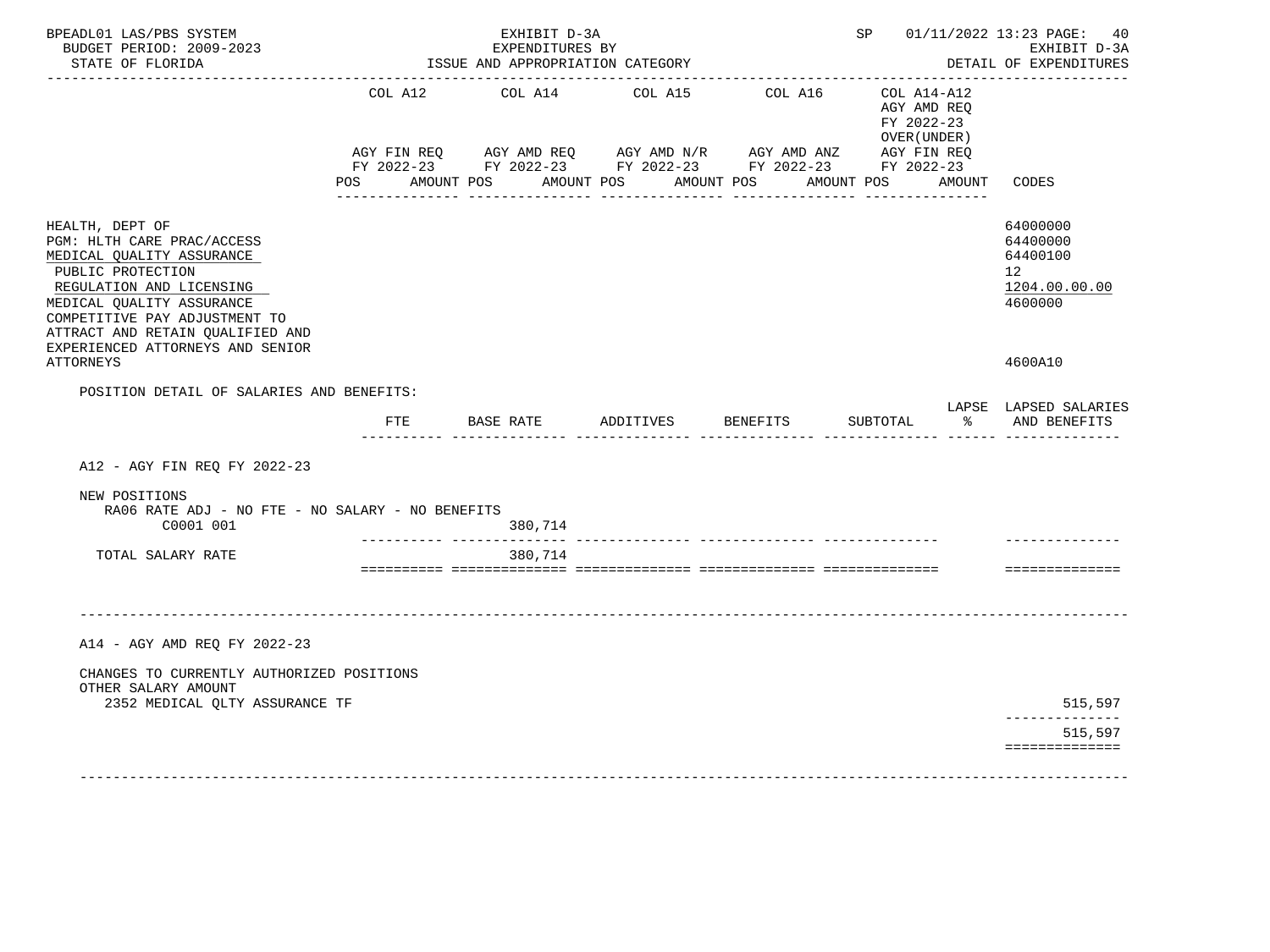| BPEADL01 LAS/PBS SYSTEM<br>BUDGET PERIOD: 2009-2023<br>STATE OF FLORIDA                                                                                                                                                                                           |                | EXHIBIT D-3A<br>EXPENDITURES BY<br>ISSUE AND APPROPRIATION CATEGORY<br>____________________________________ |                    |                                                                                                                                     | SP 01/11/2022 13:23 PAGE: 40                             | EXHIBIT D-3A<br>DETAIL OF EXPENDITURES                             |
|-------------------------------------------------------------------------------------------------------------------------------------------------------------------------------------------------------------------------------------------------------------------|----------------|-------------------------------------------------------------------------------------------------------------|--------------------|-------------------------------------------------------------------------------------------------------------------------------------|----------------------------------------------------------|--------------------------------------------------------------------|
|                                                                                                                                                                                                                                                                   | COL A12        | COL A14                                                                                                     | COL A15            | COL A16                                                                                                                             | COL A14-A12<br>AGY AMD REQ<br>FY 2022-23<br>OVER (UNDER) |                                                                    |
|                                                                                                                                                                                                                                                                   | POS AMOUNT POS |                                                                                                             | AMOUNT POS         | AGY FIN REQ AGY AMD REQ AGY AMD N/R AGY AMD ANZ AGY FIN REQ<br>FY 2022-23 FY 2022-23 FY 2022-23 FY 2022-23 FY 2022-23<br>AMOUNT POS | AMOUNT POS<br>AMOUNT                                     | CODES                                                              |
| HEALTH, DEPT OF<br>PGM: HLTH CARE PRAC/ACCESS<br>MEDICAL QUALITY ASSURANCE<br>PUBLIC PROTECTION<br>REGULATION AND LICENSING<br>MEDICAL QUALITY ASSURANCE<br>COMPETITIVE PAY ADJUSTMENT TO<br>ATTRACT AND RETAIN QUALIFIED AND<br>EXPERIENCED ATTORNEYS AND SENIOR |                |                                                                                                             |                    |                                                                                                                                     |                                                          | 64000000<br>64400000<br>64400100<br>12<br>1204.00.00.00<br>4600000 |
| <b>ATTORNEYS</b>                                                                                                                                                                                                                                                  |                |                                                                                                             |                    |                                                                                                                                     |                                                          | 4600A10                                                            |
| POSITION DETAIL OF SALARIES AND BENEFITS:                                                                                                                                                                                                                         | FTE            | BASE RATE                                                                                                   | ADDITIVES BENEFITS |                                                                                                                                     | SUBTOTAL<br>$\frac{1}{2}$                                | LAPSE LAPSED SALARIES<br>AND BENEFITS                              |
|                                                                                                                                                                                                                                                                   |                |                                                                                                             |                    |                                                                                                                                     |                                                          |                                                                    |
| A12 - AGY FIN REO FY 2022-23                                                                                                                                                                                                                                      |                |                                                                                                             |                    |                                                                                                                                     |                                                          |                                                                    |
| NEW POSITIONS<br>RA06 RATE ADJ - NO FTE - NO SALARY - NO BENEFITS<br>C0001 001                                                                                                                                                                                    |                | 380,714                                                                                                     |                    |                                                                                                                                     |                                                          |                                                                    |
| TOTAL SALARY RATE                                                                                                                                                                                                                                                 |                | ___________ _______________<br>380,714                                                                      |                    |                                                                                                                                     |                                                          |                                                                    |
|                                                                                                                                                                                                                                                                   |                |                                                                                                             |                    |                                                                                                                                     |                                                          | ==============                                                     |
|                                                                                                                                                                                                                                                                   |                |                                                                                                             |                    |                                                                                                                                     |                                                          |                                                                    |
| A14 - AGY AMD REO FY 2022-23                                                                                                                                                                                                                                      |                |                                                                                                             |                    |                                                                                                                                     |                                                          |                                                                    |
| CHANGES TO CURRENTLY AUTHORIZED POSITIONS<br>OTHER SALARY AMOUNT                                                                                                                                                                                                  |                |                                                                                                             |                    |                                                                                                                                     |                                                          |                                                                    |
| 2352 MEDICAL QLTY ASSURANCE TF                                                                                                                                                                                                                                    |                |                                                                                                             |                    |                                                                                                                                     |                                                          | 515,597                                                            |
|                                                                                                                                                                                                                                                                   |                |                                                                                                             |                    |                                                                                                                                     |                                                          | 515,597<br>==============                                          |
|                                                                                                                                                                                                                                                                   |                |                                                                                                             |                    |                                                                                                                                     |                                                          |                                                                    |